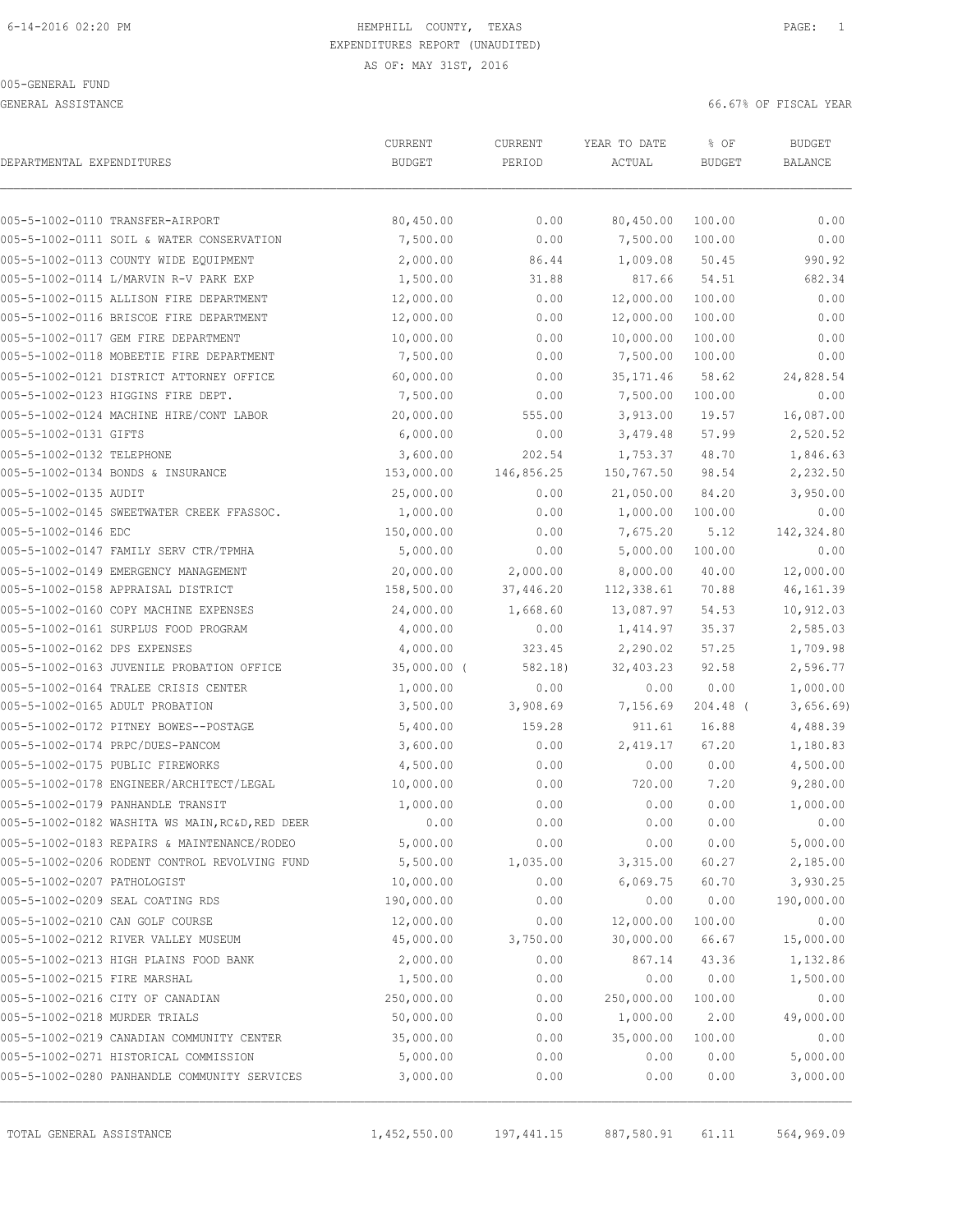GENERAL ASSISTANCE **EXECUTE:** 66.67% OF FISCAL YEAR

| DEPARTMENTAL EXPENDITURES     |                                                 | CURRENT<br><b>BUDGET</b> | CURRENT<br>PERIOD | YEAR TO DATE<br>ACTUAL | % OF<br><b>BUDGET</b> | BUDGET<br><b>BALANCE</b> |
|-------------------------------|-------------------------------------------------|--------------------------|-------------------|------------------------|-----------------------|--------------------------|
|                               | 005-5-1002-0110 TRANSFER-AIRPORT                | 80,450.00                | 0.00              | 80,450.00              | 100.00                | 0.00                     |
|                               | 005-5-1002-0111 SOIL & WATER CONSERVATION       | 7,500.00                 | 0.00              | 7,500.00               | 100.00                | 0.00                     |
|                               | 005-5-1002-0113 COUNTY WIDE EQUIPMENT           | 2,000.00                 | 86.44             | 1,009.08               | 50.45                 | 990.92                   |
|                               | 005-5-1002-0114 L/MARVIN R-V PARK EXP           | 1,500.00                 | 31.88             | 817.66                 | 54.51                 | 682.34                   |
|                               | 005-5-1002-0115 ALLISON FIRE DEPARTMENT         | 12,000.00                | 0.00              | 12,000.00              | 100.00                | 0.00                     |
|                               | 005-5-1002-0116 BRISCOE FIRE DEPARTMENT         | 12,000.00                | 0.00              | 12,000.00              | 100.00                | 0.00                     |
|                               | 005-5-1002-0117 GEM FIRE DEPARTMENT             | 10,000.00                | 0.00              | 10,000.00              | 100.00                | 0.00                     |
|                               | 005-5-1002-0118 MOBEETIE FIRE DEPARTMENT        | 7,500.00                 | 0.00              | 7,500.00               | 100.00                | 0.00                     |
|                               | 005-5-1002-0121 DISTRICT ATTORNEY OFFICE        | 60,000.00                | 0.00              | 35, 171.46             | 58.62                 | 24,828.54                |
|                               | 005-5-1002-0123 HIGGINS FIRE DEPT.              | 7,500.00                 | 0.00              | 7,500.00               | 100.00                | 0.00                     |
|                               | 005-5-1002-0124 MACHINE HIRE/CONT LABOR         | 20,000.00                | 555.00            | 3,913.00               | 19.57                 | 16,087.00                |
| 005-5-1002-0131 GIFTS         |                                                 | 6,000.00                 | 0.00              | 3,479.48               | 57.99                 | 2,520.52                 |
| 005-5-1002-0132 TELEPHONE     |                                                 | 3,600.00                 | 202.54            | 1,753.37               | 48.70                 | 1,846.63                 |
|                               | 005-5-1002-0134 BONDS & INSURANCE               | 153,000.00               | 146,856.25        | 150,767.50             | 98.54                 | 2,232.50                 |
| 005-5-1002-0135 AUDIT         |                                                 | 25,000.00                | 0.00              | 21,050.00              | 84.20                 | 3,950.00                 |
|                               | 005-5-1002-0145 SWEETWATER CREEK FFASSOC.       | 1,000.00                 | 0.00              | 1,000.00               | 100.00                | 0.00                     |
| 005-5-1002-0146 EDC           |                                                 | 150,000.00               | 0.00              | 7,675.20               | 5.12                  | 142,324.80               |
|                               | 005-5-1002-0147 FAMILY SERV CTR/TPMHA           | 5,000.00                 | 0.00              | 5,000.00               | 100.00                | 0.00                     |
|                               | 005-5-1002-0149 EMERGENCY MANAGEMENT            | 20,000.00                | 2,000.00          | 8,000.00               | 40.00                 | 12,000.00                |
|                               | 005-5-1002-0158 APPRAISAL DISTRICT              | 158,500.00               | 37,446.20         | 112,338.61             | 70.88                 | 46, 161.39               |
|                               | 005-5-1002-0160 COPY MACHINE EXPENSES           | 24,000.00                | 1,668.60          | 13,087.97              | 54.53                 | 10,912.03                |
|                               | 005-5-1002-0161 SURPLUS FOOD PROGRAM            | 4,000.00                 | 0.00              | 1,414.97               | 35.37                 | 2,585.03                 |
| 005-5-1002-0162 DPS EXPENSES  |                                                 | 4,000.00                 | 323.45            | 2,290.02               | 57.25                 | 1,709.98                 |
|                               | 005-5-1002-0163 JUVENILE PROBATION OFFICE       | $35,000.00$ (            | 582.18)           | 32,403.23              | 92.58                 | 2,596.77                 |
|                               | 005-5-1002-0164 TRALEE CRISIS CENTER            | 1,000.00                 | 0.00              | 0.00                   | 0.00                  | 1,000.00                 |
|                               | 005-5-1002-0165 ADULT PROBATION                 | 3,500.00                 | 3,908.69          | 7,156.69               | $204.48$ (            | 3,656.69                 |
|                               | 005-5-1002-0172 PITNEY BOWES--POSTAGE           | 5,400.00                 | 159.28            | 911.61                 | 16.88                 | 4,488.39                 |
|                               | 005-5-1002-0174 PRPC/DUES-PANCOM                | 3,600.00                 | 0.00              | 2,419.17               | 67.20                 | 1,180.83                 |
|                               | 005-5-1002-0175 PUBLIC FIREWORKS                | 4,500.00                 | 0.00              | 0.00                   | 0.00                  | 4,500.00                 |
|                               | 005-5-1002-0178 ENGINEER/ARCHITECT/LEGAL        | 10,000.00                | 0.00              | 720.00                 | 7.20                  | 9,280.00                 |
|                               | 005-5-1002-0179 PANHANDLE TRANSIT               | 1,000.00                 | 0.00              | 0.00                   | 0.00                  | 1,000.00                 |
|                               | 005-5-1002-0182 WASHITA WS MAIN, RC&D, RED DEER | 0.00                     | 0.00              | 0.00                   | 0.00                  | 0.00                     |
|                               | 005-5-1002-0183 REPAIRS & MAINTENANCE/RODEO     | 5,000.00                 | 0.00              | 0.00                   | 0.00                  | 5,000.00                 |
|                               | 005-5-1002-0206 RODENT CONTROL REVOLVING FUND   | 5,500.00                 | 1,035.00          | 3,315.00               | 60.27                 | 2,185.00                 |
| 005-5-1002-0207 PATHOLOGIST   |                                                 | 10,000.00                | 0.00              | 6,069.75               | 60.70                 | 3,930.25                 |
|                               | 005-5-1002-0209 SEAL COATING RDS                | 190,000.00               | 0.00              | 0.00                   | 0.00                  | 190,000.00               |
|                               | 005-5-1002-0210 CAN GOLF COURSE                 | 12,000.00                | 0.00              | 12,000.00              | 100.00                | 0.00                     |
|                               | 005-5-1002-0212 RIVER VALLEY MUSEUM             | 45,000.00                | 3,750.00          | 30,000.00              | 66.67                 | 15,000.00                |
|                               | 005-5-1002-0213 HIGH PLAINS FOOD BANK           | 2,000.00                 | 0.00              | 867.14                 | 43.36                 | 1,132.86                 |
| 005-5-1002-0215 FIRE MARSHAL  |                                                 | 1,500.00                 | 0.00              | 0.00                   | 0.00                  | 1,500.00                 |
|                               | 005-5-1002-0216 CITY OF CANADIAN                | 250,000.00               | 0.00              | 250,000.00             | 100.00                | 0.00                     |
| 005-5-1002-0218 MURDER TRIALS |                                                 | 50,000.00                | 0.00              | 1,000.00               | 2.00                  | 49,000.00                |
|                               | 005-5-1002-0219 CANADIAN COMMUNITY CENTER       | 35,000.00                | 0.00              | 35,000.00              | 100.00                | 0.00                     |
|                               | 005-5-1002-0271 HISTORICAL COMMISSION           | 5,000.00                 | 0.00              | 0.00                   | 0.00                  | 5,000.00                 |
|                               | 005-5-1002-0280 PANHANDLE COMMUNITY SERVICES    | 3,000.00                 | 0.00              | 0.00                   | 0.00                  | 3,000.00                 |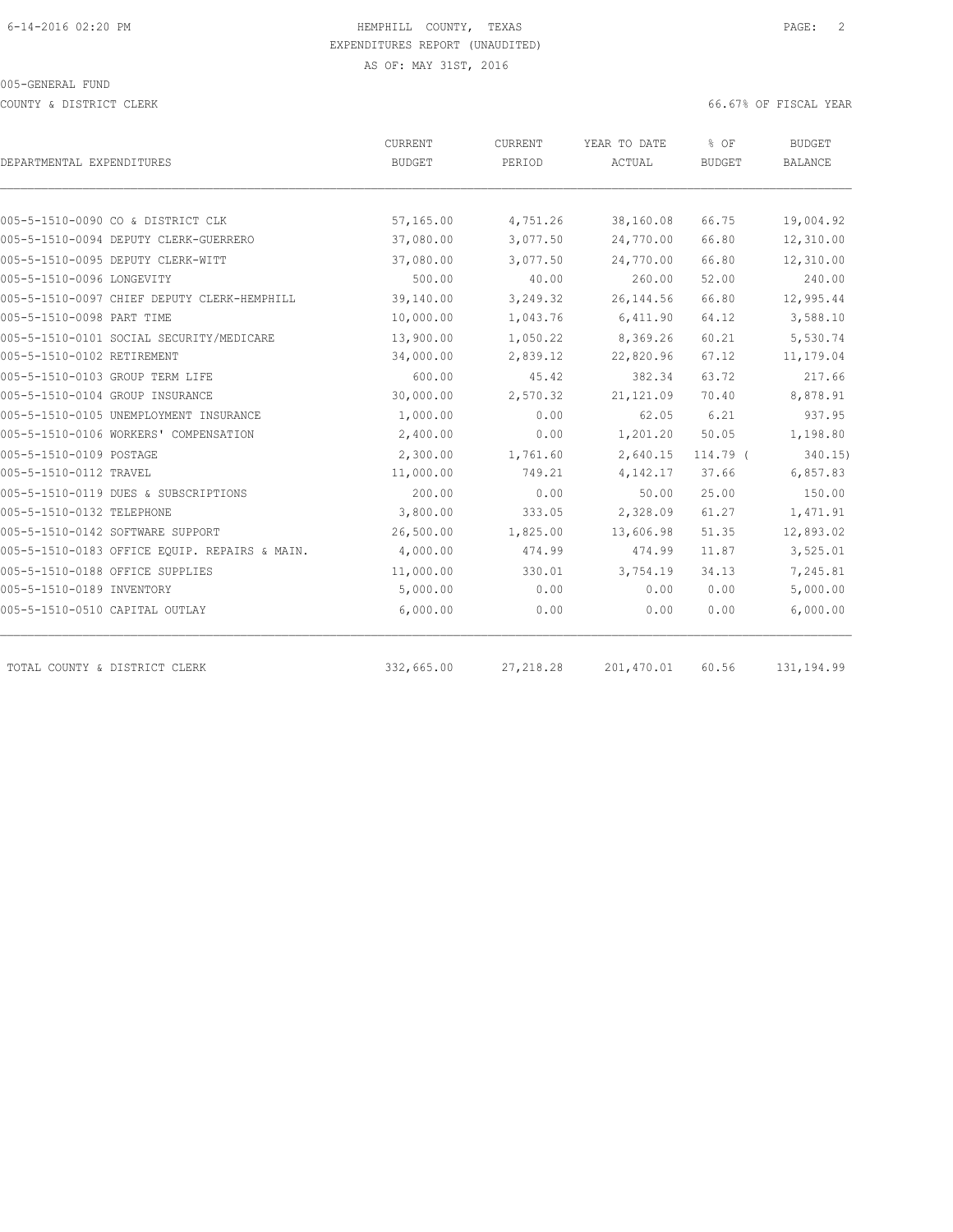COUNTY & DISTRICT CLERK 66.67% OF FISCAL YEAR

| CURRENT       | CURRENT    | YEAR TO DATE | % OF          | BUDGET         |
|---------------|------------|--------------|---------------|----------------|
| <b>BUDGET</b> | PERIOD     | ACTUAL       | <b>BUDGET</b> | <b>BALANCE</b> |
|               |            |              |               |                |
| 57,165.00     | 4,751.26   | 38,160.08    | 66.75         | 19,004.92      |
| 37,080.00     | 3,077.50   | 24,770.00    | 66.80         | 12,310.00      |
| 37,080.00     | 3,077.50   | 24,770.00    | 66.80         | 12,310.00      |
| 500.00        | 40.00      | 260.00       | 52.00         | 240.00         |
| 39,140.00     | 3,249.32   | 26, 144.56   | 66.80         | 12,995.44      |
| 10,000.00     | 1,043.76   | 6,411.90     | 64.12         | 3,588.10       |
| 13,900.00     | 1,050.22   | 8,369.26     | 60.21         | 5,530.74       |
| 34,000.00     | 2,839.12   | 22,820.96    | 67.12         | 11,179.04      |
| 600.00        | 45.42      | 382.34       | 63.72         | 217.66         |
| 30,000.00     | 2,570.32   | 21, 121.09   | 70.40         | 8,878.91       |
| 1,000.00      | 0.00       | 62.05        | 6.21          | 937.95         |
| 2,400.00      | 0.00       | 1,201.20     | 50.05         | 1,198.80       |
| 2,300.00      | 1,761.60   | 2,640.15     | 114.79 (      | 340.15         |
| 11,000.00     | 749.21     | 4,142.17     | 37.66         | 6,857.83       |
| 200.00        | 0.00       | 50.00        | 25.00         | 150.00         |
| 3,800.00      | 333.05     | 2,328.09     | 61.27         | 1,471.91       |
| 26,500.00     | 1,825.00   | 13,606.98    | 51.35         | 12,893.02      |
| 4,000.00      | 474.99     | 474.99       | 11.87         | 3,525.01       |
| 11,000.00     | 330.01     | 3,754.19     | 34.13         | 7,245.81       |
| 5,000.00      | 0.00       | 0.00         | 0.00          | 5,000.00       |
| 6,000.00      | 0.00       | 0.00         | 0.00          | 6,000.00       |
|               |            |              |               | 131, 194.99    |
|               | 332,665.00 | 27, 218.28   | 201,470.01    | 60.56          |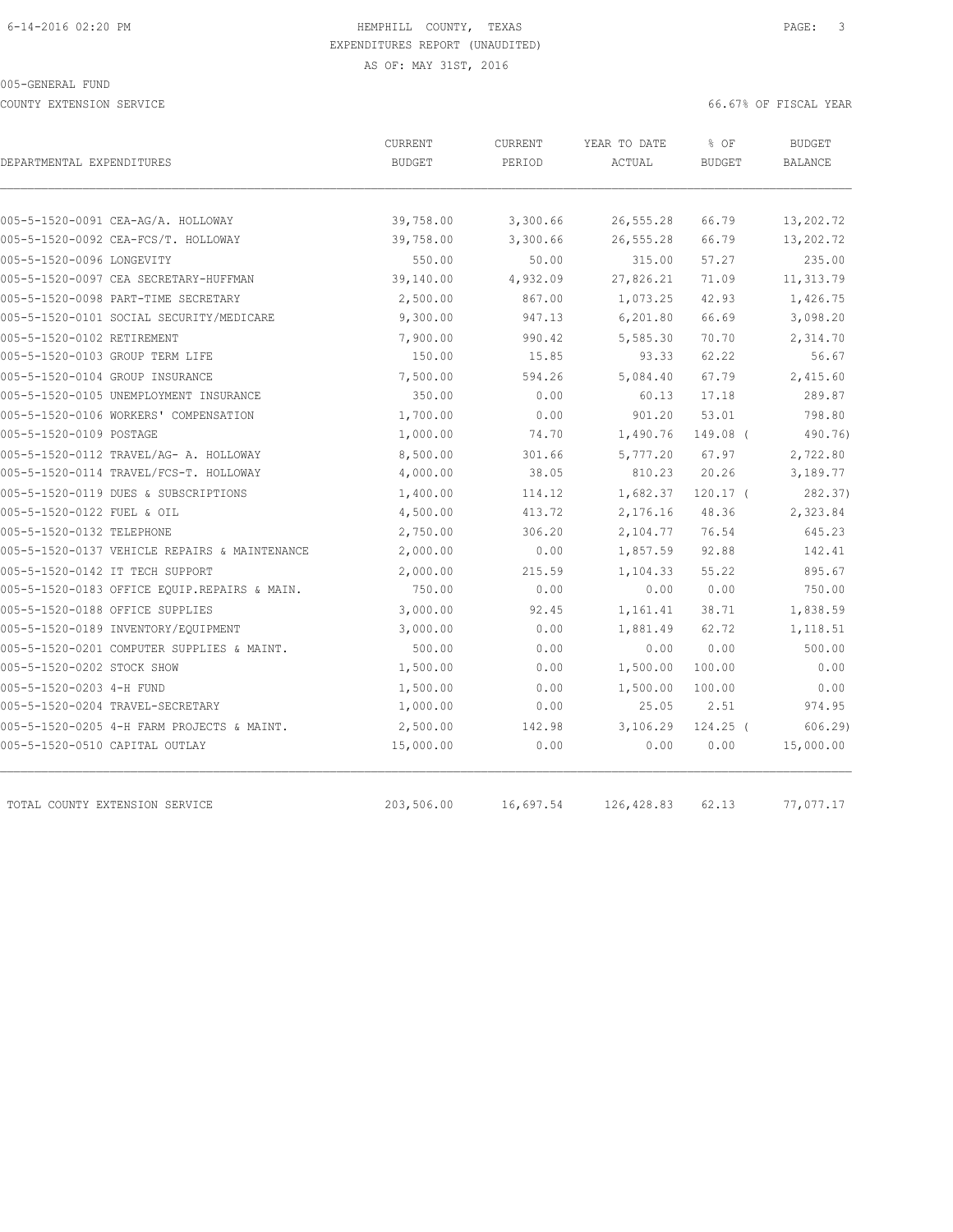COUNTY EXTENSION SERVICE 66.67% OF FISCAL YEAR

| DEPARTMENTAL EXPENDITURES<br><b>BUDGET</b><br>PERIOD<br>005-5-1520-0091 CEA-AG/A. HOLLOWAY<br>39,758.00<br>3,300.66<br>005-5-1520-0092 CEA-FCS/T. HOLLOWAY<br>39,758.00<br>3,300.66<br>005-5-1520-0096 LONGEVITY<br>550.00<br>50.00<br>39,140.00<br>4,932.09<br>005-5-1520-0097 CEA SECRETARY-HUFFMAN<br>005-5-1520-0098 PART-TIME SECRETARY<br>2,500.00<br>867.00<br>9,300.00<br>005-5-1520-0101 SOCIAL SECURITY/MEDICARE<br>947.13<br>005-5-1520-0102 RETIREMENT<br>7,900.00<br>990.42<br>150.00<br>005-5-1520-0103 GROUP TERM LIFE<br>15.85<br>7,500.00<br>005-5-1520-0104 GROUP INSURANCE<br>594.26<br>350.00<br>0.00<br>005-5-1520-0105 UNEMPLOYMENT INSURANCE<br>005-5-1520-0106 WORKERS' COMPENSATION<br>1,700.00<br>0.00<br>005-5-1520-0109 POSTAGE<br>1,000.00<br>74.70<br>005-5-1520-0112 TRAVEL/AG- A. HOLLOWAY<br>8,500.00<br>301.66 | ACTUAL<br>26,555.28<br>26,555.28 | <b>BUDGET</b>  | <b>BALANCE</b>      |
|--------------------------------------------------------------------------------------------------------------------------------------------------------------------------------------------------------------------------------------------------------------------------------------------------------------------------------------------------------------------------------------------------------------------------------------------------------------------------------------------------------------------------------------------------------------------------------------------------------------------------------------------------------------------------------------------------------------------------------------------------------------------------------------------------------------------------------------------------|----------------------------------|----------------|---------------------|
|                                                                                                                                                                                                                                                                                                                                                                                                                                                                                                                                                                                                                                                                                                                                                                                                                                                  |                                  |                |                     |
|                                                                                                                                                                                                                                                                                                                                                                                                                                                                                                                                                                                                                                                                                                                                                                                                                                                  |                                  |                |                     |
|                                                                                                                                                                                                                                                                                                                                                                                                                                                                                                                                                                                                                                                                                                                                                                                                                                                  |                                  | 66.79<br>66.79 | 13,202.72           |
|                                                                                                                                                                                                                                                                                                                                                                                                                                                                                                                                                                                                                                                                                                                                                                                                                                                  | 315.00                           | 57.27          | 13,202.72<br>235.00 |
|                                                                                                                                                                                                                                                                                                                                                                                                                                                                                                                                                                                                                                                                                                                                                                                                                                                  | 27,826.21                        | 71.09          | 11,313.79           |
|                                                                                                                                                                                                                                                                                                                                                                                                                                                                                                                                                                                                                                                                                                                                                                                                                                                  |                                  |                |                     |
|                                                                                                                                                                                                                                                                                                                                                                                                                                                                                                                                                                                                                                                                                                                                                                                                                                                  | 1,073.25                         | 42.93          | 1,426.75            |
|                                                                                                                                                                                                                                                                                                                                                                                                                                                                                                                                                                                                                                                                                                                                                                                                                                                  | 6, 201.80                        | 66.69          | 3,098.20            |
|                                                                                                                                                                                                                                                                                                                                                                                                                                                                                                                                                                                                                                                                                                                                                                                                                                                  | 5,585.30                         | 70.70          | 2,314.70            |
|                                                                                                                                                                                                                                                                                                                                                                                                                                                                                                                                                                                                                                                                                                                                                                                                                                                  | 93.33                            | 62.22          | 56.67               |
|                                                                                                                                                                                                                                                                                                                                                                                                                                                                                                                                                                                                                                                                                                                                                                                                                                                  | 5,084.40                         | 67.79          | 2,415.60            |
|                                                                                                                                                                                                                                                                                                                                                                                                                                                                                                                                                                                                                                                                                                                                                                                                                                                  | 60.13                            | 17.18          | 289.87              |
|                                                                                                                                                                                                                                                                                                                                                                                                                                                                                                                                                                                                                                                                                                                                                                                                                                                  | 901.20                           | 53.01          | 798.80              |
|                                                                                                                                                                                                                                                                                                                                                                                                                                                                                                                                                                                                                                                                                                                                                                                                                                                  | 1,490.76                         | 149.08 (       | 490.76)             |
|                                                                                                                                                                                                                                                                                                                                                                                                                                                                                                                                                                                                                                                                                                                                                                                                                                                  | 5,777.20                         | 67.97          | 2,722.80            |
| 005-5-1520-0114 TRAVEL/FCS-T. HOLLOWAY<br>4,000.00<br>38.05                                                                                                                                                                                                                                                                                                                                                                                                                                                                                                                                                                                                                                                                                                                                                                                      | 810.23                           | 20.26          | 3,189.77            |
| 005-5-1520-0119 DUES & SUBSCRIPTIONS<br>1,400.00<br>114.12                                                                                                                                                                                                                                                                                                                                                                                                                                                                                                                                                                                                                                                                                                                                                                                       | 1,682.37                         | $120.17$ (     | 282.37)             |
| 005-5-1520-0122 FUEL & OIL<br>4,500.00<br>413.72                                                                                                                                                                                                                                                                                                                                                                                                                                                                                                                                                                                                                                                                                                                                                                                                 | 2,176.16                         | 48.36          | 2,323.84            |
| 2,750.00<br>005-5-1520-0132 TELEPHONE<br>306.20                                                                                                                                                                                                                                                                                                                                                                                                                                                                                                                                                                                                                                                                                                                                                                                                  | 2,104.77                         | 76.54          | 645.23              |
| 005-5-1520-0137 VEHICLE REPAIRS & MAINTENANCE<br>2,000.00                                                                                                                                                                                                                                                                                                                                                                                                                                                                                                                                                                                                                                                                                                                                                                                        | 1,857.59<br>0.00                 | 92.88          | 142.41              |
| 005-5-1520-0142 IT TECH SUPPORT<br>2,000.00<br>215.59                                                                                                                                                                                                                                                                                                                                                                                                                                                                                                                                                                                                                                                                                                                                                                                            | 1,104.33                         | 55.22          | 895.67              |
| 750.00<br>005-5-1520-0183 OFFICE EQUIP.REPAIRS & MAIN.                                                                                                                                                                                                                                                                                                                                                                                                                                                                                                                                                                                                                                                                                                                                                                                           | 0.00<br>0.00                     | 0.00           | 750.00              |
| 005-5-1520-0188 OFFICE SUPPLIES<br>3,000.00<br>92.45                                                                                                                                                                                                                                                                                                                                                                                                                                                                                                                                                                                                                                                                                                                                                                                             | 1,161.41                         | 38.71          | 1,838.59            |
| 3,000.00<br>005-5-1520-0189 INVENTORY/EQUIPMENT                                                                                                                                                                                                                                                                                                                                                                                                                                                                                                                                                                                                                                                                                                                                                                                                  | 0.00<br>1,881.49                 | 62.72          | 1,118.51            |
| 005-5-1520-0201 COMPUTER SUPPLIES & MAINT.<br>500.00                                                                                                                                                                                                                                                                                                                                                                                                                                                                                                                                                                                                                                                                                                                                                                                             | 0.00<br>0.00                     | 0.00           | 500.00              |
| 005-5-1520-0202 STOCK SHOW<br>1,500.00                                                                                                                                                                                                                                                                                                                                                                                                                                                                                                                                                                                                                                                                                                                                                                                                           | 0.00<br>1,500.00                 | 100.00         | 0.00                |
| 005-5-1520-0203 4-H FUND<br>1,500.00                                                                                                                                                                                                                                                                                                                                                                                                                                                                                                                                                                                                                                                                                                                                                                                                             | 0.00<br>1,500.00                 | 100.00         | 0.00                |
| 005-5-1520-0204 TRAVEL-SECRETARY<br>1,000.00                                                                                                                                                                                                                                                                                                                                                                                                                                                                                                                                                                                                                                                                                                                                                                                                     | 0.00<br>25.05                    | 2.51           | 974.95              |
| 2,500.00<br>005-5-1520-0205 4-H FARM PROJECTS & MAINT.<br>142.98                                                                                                                                                                                                                                                                                                                                                                                                                                                                                                                                                                                                                                                                                                                                                                                 | 3,106.29                         | $124.25$ (     | 606.29              |
| 005-5-1520-0510 CAPITAL OUTLAY<br>15,000.00                                                                                                                                                                                                                                                                                                                                                                                                                                                                                                                                                                                                                                                                                                                                                                                                      | 0.00<br>0.00                     | 0.00           | 15,000.00           |
| 203,506.00<br>16,697.54<br>TOTAL COUNTY EXTENSION SERVICE                                                                                                                                                                                                                                                                                                                                                                                                                                                                                                                                                                                                                                                                                                                                                                                        |                                  |                |                     |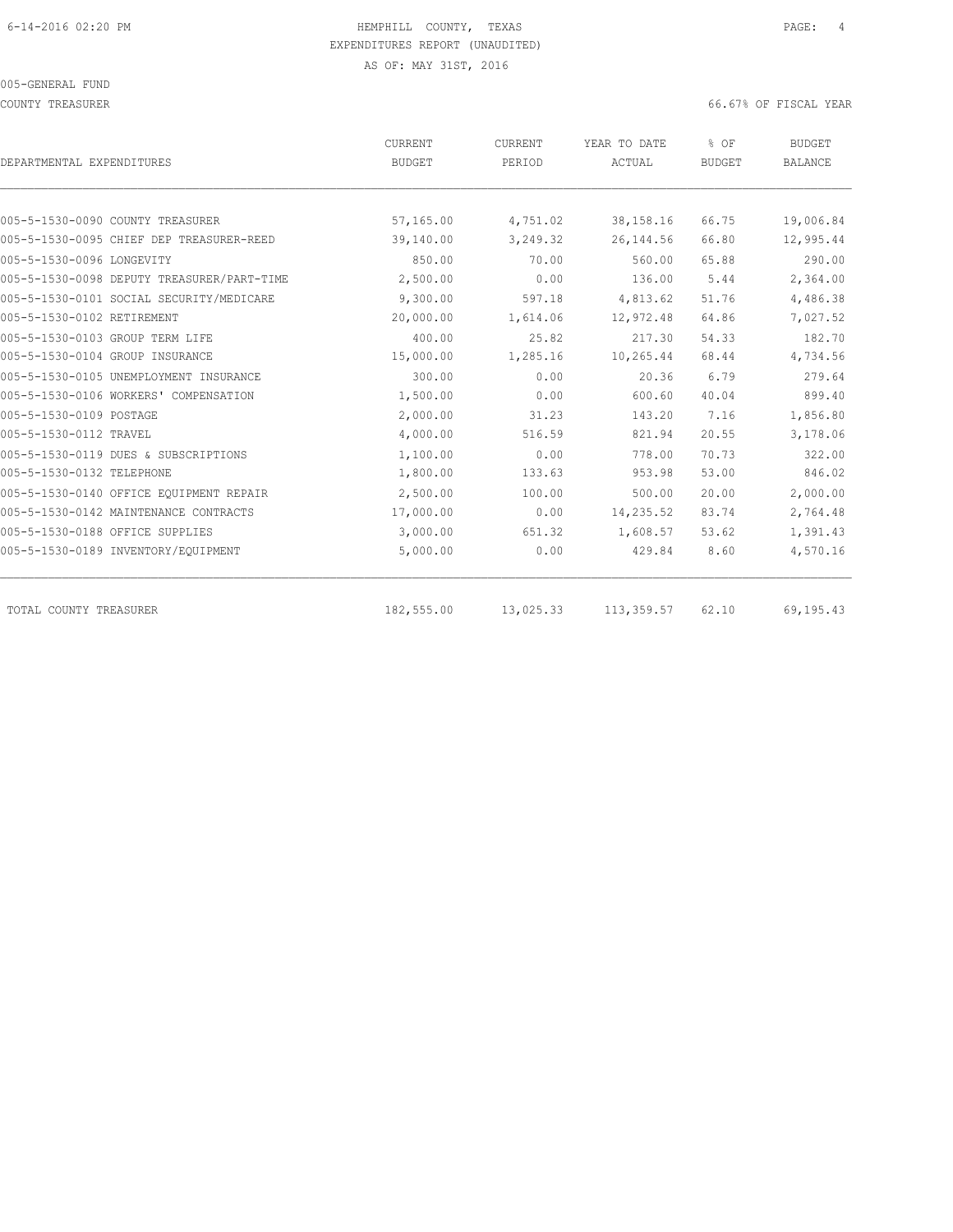#### 005-GENERAL FUND

COUNTY TREASURER 66.67% OF FISCAL YEAR

| DEPARTMENTAL EXPENDITURES                  | CURRENT<br><b>BUDGET</b> | CURRENT<br>PERIOD | YEAR TO DATE<br>ACTUAL | % OF<br><b>BUDGET</b>                                                                                                                                      | <b>BUDGET</b><br><b>BALANCE</b> |
|--------------------------------------------|--------------------------|-------------------|------------------------|------------------------------------------------------------------------------------------------------------------------------------------------------------|---------------------------------|
|                                            |                          |                   |                        | 66.75<br>66.80<br>65.88<br>5.44<br>51.76<br>64.86<br>54.33<br>68.44<br>6.79<br>40.04<br>7.16<br>20.55<br>70.73<br>53.00<br>20.00<br>83.74<br>53.62<br>8.60 |                                 |
| 005-5-1530-0090 COUNTY TREASURER           | 57,165.00                | 4,751.02          | 38, 158. 16            |                                                                                                                                                            | 19,006.84                       |
| 005-5-1530-0095 CHIEF DEP TREASURER-REED   | 39,140.00                | 3,249.32          | 26, 144.56             |                                                                                                                                                            | 12,995.44                       |
| 005-5-1530-0096 LONGEVITY                  | 850.00                   | 70.00             | 560.00                 |                                                                                                                                                            | 290.00                          |
| 005-5-1530-0098 DEPUTY TREASURER/PART-TIME | 2,500.00                 | 0.00              | 136.00                 |                                                                                                                                                            | 2,364.00                        |
| 005-5-1530-0101 SOCIAL SECURITY/MEDICARE   | 9,300.00                 | 597.18            | 4,813.62               |                                                                                                                                                            | 4,486.38                        |
| 005-5-1530-0102 RETIREMENT                 | 20,000.00                | 1,614.06          | 12,972.48              |                                                                                                                                                            | 7,027.52                        |
| 005-5-1530-0103 GROUP TERM LIFE            | 400.00                   | 25.82             | 217.30                 |                                                                                                                                                            | 182.70                          |
| 005-5-1530-0104 GROUP INSURANCE            | 15,000.00                | 1,285.16          | 10,265.44              |                                                                                                                                                            | 4,734.56                        |
| 005-5-1530-0105 UNEMPLOYMENT INSURANCE     | 300.00                   | 0.00              | 20.36                  |                                                                                                                                                            | 279.64                          |
| 005-5-1530-0106 WORKERS' COMPENSATION      | 1,500.00                 | 0.00              | 600.60                 |                                                                                                                                                            | 899.40                          |
| 005-5-1530-0109 POSTAGE                    | 2,000.00                 | 31.23             | 143.20                 |                                                                                                                                                            | 1,856.80                        |
| 005-5-1530-0112 TRAVEL                     | 4,000.00                 | 516.59            | 821.94                 |                                                                                                                                                            | 3,178.06                        |
| 005-5-1530-0119 DUES & SUBSCRIPTIONS       | 1,100.00                 | 0.00              | 778.00                 |                                                                                                                                                            | 322.00                          |
| 005-5-1530-0132 TELEPHONE                  | 1,800.00                 | 133.63            | 953.98                 |                                                                                                                                                            | 846.02                          |
| 005-5-1530-0140 OFFICE EQUIPMENT REPAIR    | 2,500.00                 | 100.00            | 500.00                 |                                                                                                                                                            | 2,000.00                        |
| 005-5-1530-0142 MAINTENANCE CONTRACTS      | 17,000.00                | 0.00              | 14,235.52              |                                                                                                                                                            | 2,764.48                        |
| 005-5-1530-0188 OFFICE SUPPLIES            | 3,000.00                 | 651.32            | 1,608.57               |                                                                                                                                                            | 1,391.43                        |
| 005-5-1530-0189 INVENTORY/EQUIPMENT        | 5,000.00                 | 0.00              | 429.84                 |                                                                                                                                                            | 4,570.16                        |
| TOTAL COUNTY TREASURER                     | 182,555.00               | 13,025.33         | 113,359.57             | 62.10                                                                                                                                                      | 69,195.43                       |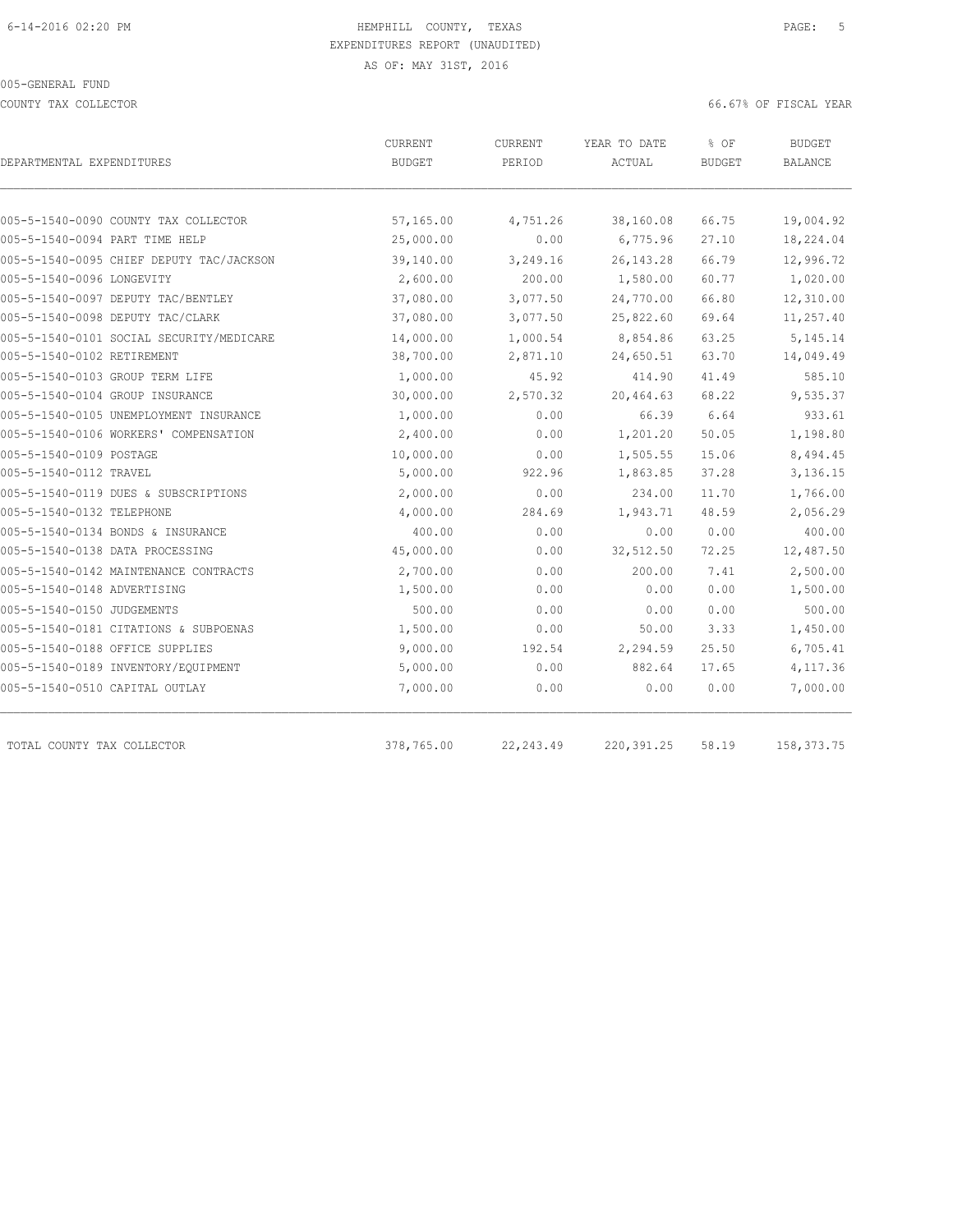COUNTY TAX COLLECTOR 66.67% OF FISCAL YEAR

| DEPARTMENTAL EXPENDITURES                | CURRENT<br><b>BUDGET</b> | <b>CURRENT</b><br>PERIOD | YEAR TO DATE<br>ACTUAL | % OF<br><b>BUDGET</b> | <b>BUDGET</b><br>BALANCE |
|------------------------------------------|--------------------------|--------------------------|------------------------|-----------------------|--------------------------|
|                                          |                          |                          |                        |                       |                          |
| 005-5-1540-0090 COUNTY TAX COLLECTOR     | 57,165.00                | 4,751.26                 | 38,160.08              | 66.75                 | 19,004.92                |
| 005-5-1540-0094 PART TIME HELP           | 25,000.00                | 0.00                     | 6,775.96               | 27.10                 | 18,224.04                |
| 005-5-1540-0095 CHIEF DEPUTY TAC/JACKSON | 39,140.00                | 3,249.16                 | 26, 143.28             | 66.79                 | 12,996.72                |
| 005-5-1540-0096 LONGEVITY                | 2,600.00                 | 200.00                   | 1,580.00               | 60.77                 | 1,020.00                 |
| 005-5-1540-0097 DEPUTY TAC/BENTLEY       | 37,080.00                | 3,077.50                 | 24,770.00              | 66.80                 | 12,310.00                |
| 005-5-1540-0098 DEPUTY TAC/CLARK         | 37,080.00                | 3,077.50                 | 25,822.60              | 69.64                 | 11,257.40                |
| 005-5-1540-0101 SOCIAL SECURITY/MEDICARE | 14,000.00                | 1,000.54                 | 8,854.86               | 63.25                 | 5, 145. 14               |
| 005-5-1540-0102 RETIREMENT               | 38,700.00                | 2,871.10                 | 24,650.51              | 63.70                 | 14,049.49                |
| 005-5-1540-0103 GROUP TERM LIFE          | 1,000.00                 | 45.92                    | 414.90                 | 41.49                 | 585.10                   |
| 005-5-1540-0104 GROUP INSURANCE          | 30,000.00                | 2,570.32                 | 20,464.63              | 68.22                 | 9,535.37                 |
| 005-5-1540-0105 UNEMPLOYMENT INSURANCE   | 1,000.00                 | 0.00                     | 66.39                  | 6.64                  | 933.61                   |
| 005-5-1540-0106 WORKERS' COMPENSATION    | 2,400.00                 | 0.00                     | 1,201.20               | 50.05                 | 1,198.80                 |
| 005-5-1540-0109 POSTAGE                  | 10,000.00                | 0.00                     | 1,505.55               | 15.06                 | 8,494.45                 |
| 005-5-1540-0112 TRAVEL                   | 5,000.00                 | 922.96                   | 1,863.85               | 37.28                 | 3,136.15                 |
| 005-5-1540-0119 DUES & SUBSCRIPTIONS     | 2,000.00                 | 0.00                     | 234.00                 | 11.70                 | 1,766.00                 |
| 005-5-1540-0132 TELEPHONE                | 4,000.00                 | 284.69                   | 1,943.71               | 48.59                 | 2,056.29                 |
| 005-5-1540-0134 BONDS & INSURANCE        | 400.00                   | 0.00                     | 0.00                   | 0.00                  | 400.00                   |
| 005-5-1540-0138 DATA PROCESSING          | 45,000.00                | 0.00                     | 32,512.50              | 72.25                 | 12,487.50                |
| 005-5-1540-0142 MAINTENANCE CONTRACTS    | 2,700.00                 | 0.00                     | 200.00                 | 7.41                  | 2,500.00                 |
| 005-5-1540-0148 ADVERTISING              | 1,500.00                 | 0.00                     | 0.00                   | 0.00                  | 1,500.00                 |
| 005-5-1540-0150 JUDGEMENTS               | 500.00                   | 0.00                     | 0.00                   | 0.00                  | 500.00                   |
| 005-5-1540-0181 CITATIONS & SUBPOENAS    | 1,500.00                 | 0.00                     | 50.00                  | 3.33                  | 1,450.00                 |
| 005-5-1540-0188 OFFICE SUPPLIES          | 9,000.00                 | 192.54                   | 2,294.59               | 25.50                 | 6,705.41                 |
| 005-5-1540-0189 INVENTORY/EQUIPMENT      | 5,000.00                 | 0.00                     | 882.64                 | 17.65                 | 4,117.36                 |
| 005-5-1540-0510 CAPITAL OUTLAY           | 7,000.00                 | 0.00                     | 0.00                   | 0.00                  | 7,000.00                 |
| TOTAL COUNTY TAX COLLECTOR               | 378,765.00               | 22, 243.49               | 220, 391.25            | 58.19                 | 158, 373. 75             |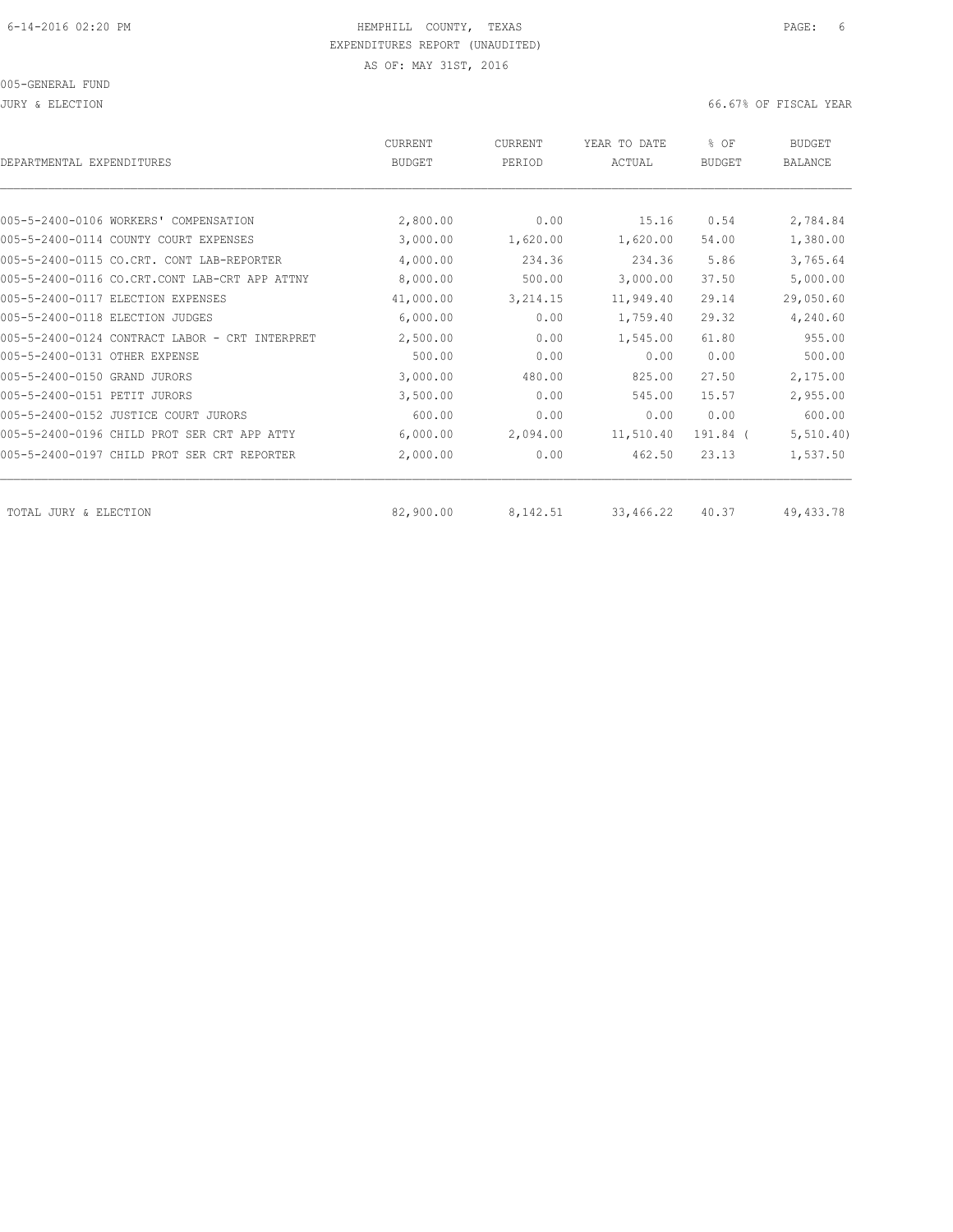005-GENERAL FUND

JURY & ELECTION 66.67% OF FISCAL YEAR

| DEPARTMENTAL EXPENDITURES                      | <b>CURRENT</b><br><b>BUDGET</b> | CURRENT<br>PERIOD | YEAR TO DATE<br>ACTUAL | % OF<br><b>BUDGET</b> | <b>BUDGET</b><br>BALANCE |
|------------------------------------------------|---------------------------------|-------------------|------------------------|-----------------------|--------------------------|
|                                                |                                 |                   |                        |                       |                          |
| 005-5-2400-0106 WORKERS' COMPENSATION          | 2,800.00                        | 0.00              | 15.16                  | 0.54                  | 2,784.84                 |
| 005-5-2400-0114 COUNTY COURT EXPENSES          | 3,000.00                        | 1,620.00          | 1,620.00               | 54.00                 | 1,380.00                 |
| 005-5-2400-0115 CO.CRT. CONT LAB-REPORTER      | 4,000.00                        | 234.36            | 234.36                 | 5.86                  | 3,765.64                 |
| 005-5-2400-0116 CO.CRT.CONT LAB-CRT APP ATTNY  | 8,000.00                        | 500.00            | 3,000.00               | 37.50                 | 5,000.00                 |
| 005-5-2400-0117 ELECTION EXPENSES              | 41,000.00                       | 3,214.15          | 11,949.40              | 29.14                 | 29,050.60                |
| 005-5-2400-0118 ELECTION JUDGES                | 6,000.00                        | 0.00              | 1,759.40               | 29.32                 | 4,240.60                 |
| 005-5-2400-0124 CONTRACT LABOR - CRT INTERPRET | 2,500.00                        | 0.00              | 1,545.00               | 61.80                 | 955.00                   |
| 005-5-2400-0131 OTHER EXPENSE                  | 500.00                          | 0.00              | 0.00                   | 0.00                  | 500.00                   |
| 005-5-2400-0150 GRAND JURORS                   | 3,000.00                        | 480.00            | 825.00                 | 27.50                 | 2,175.00                 |
| 005-5-2400-0151 PETIT<br>JURORS                | 3,500.00                        | 0.00              | 545.00                 | 15.57                 | 2,955.00                 |
| 005-5-2400-0152 JUSTICE COURT JURORS           | 600.00                          | 0.00              | 0.00                   | 0.00                  | 600.00                   |
| 005-5-2400-0196 CHILD PROT SER CRT APP ATTY    | 6,000.00                        | 2,094.00          | 11,510.40              | 191.84 (              | 5, 510.40)               |
| 005-5-2400-0197 CHILD PROT SER CRT REPORTER    | 2,000.00                        | 0.00              | 462.50                 | 23.13                 | 1,537.50                 |
| TOTAL JURY & ELECTION                          | 82,900.00                       | 8,142.51          | 33,466.22              | 40.37                 | 49,433.78                |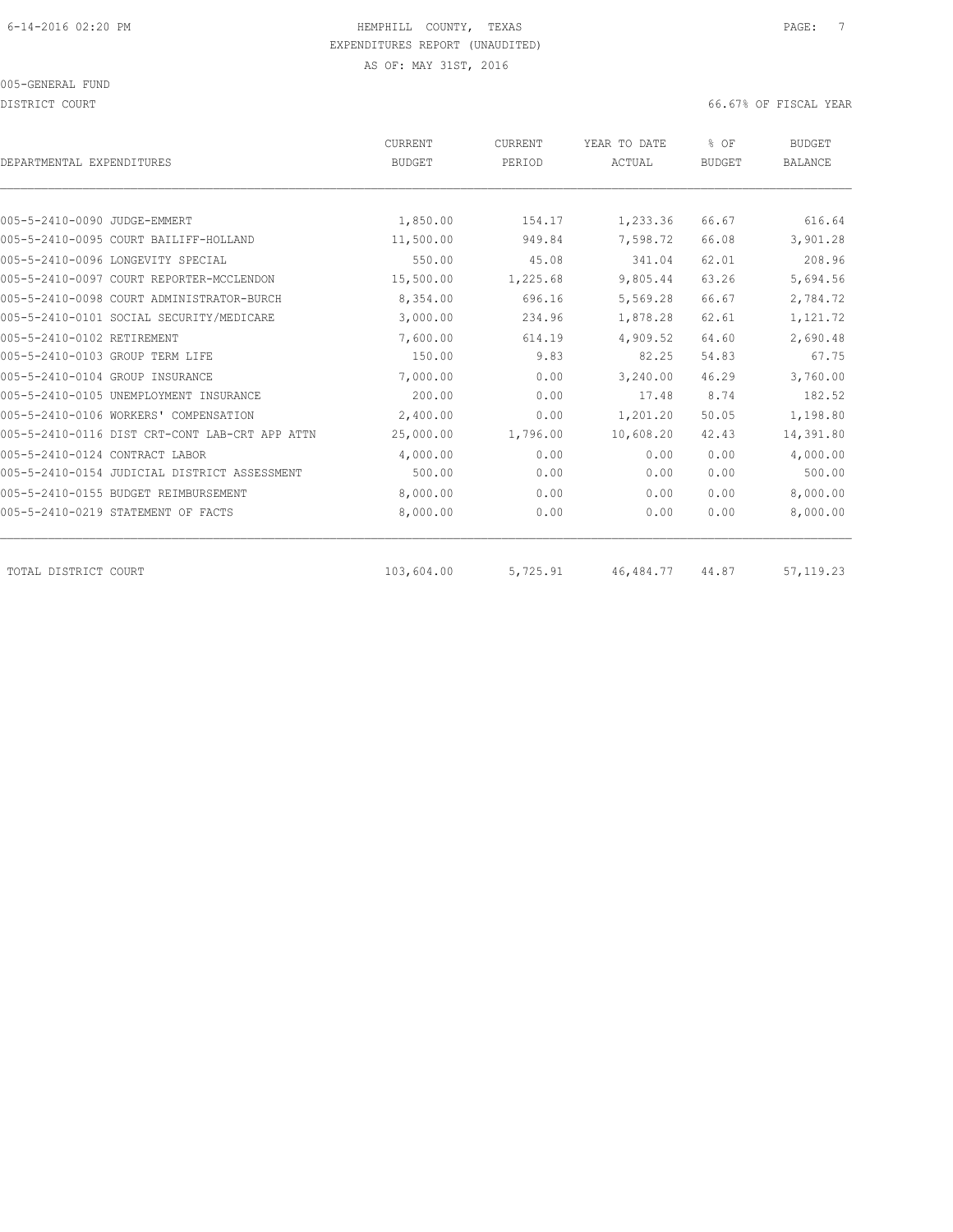DISTRICT COURT COURT COURT COURT COURT COURT COURT COURT COURT COURT COURT COURT COURT COURT COURT COURT COURT

| DEPARTMENTAL EXPENDITURES          |                                                | <b>CURRENT</b><br><b>BUDGET</b> | CURRENT<br>PERIOD | YEAR TO DATE<br>ACTUAL | % OF<br><b>BUDGET</b> | <b>BUDGET</b><br><b>BALANCE</b> |
|------------------------------------|------------------------------------------------|---------------------------------|-------------------|------------------------|-----------------------|---------------------------------|
|                                    |                                                |                                 |                   |                        |                       |                                 |
| 005-5-2410-0090 JUDGE-EMMERT       |                                                | 1,850.00                        | 154.17            | 1,233.36               | 66.67                 | 616.64                          |
|                                    | 005-5-2410-0095 COURT BAILIFF-HOLLAND          | 11,500.00                       | 949.84            | 7,598.72               | 66.08                 | 3,901.28                        |
| 005-5-2410-0096 LONGEVITY SPECIAL  |                                                | 550.00                          | 45.08             | 341.04                 | 62.01                 | 208.96                          |
|                                    | 005-5-2410-0097 COURT REPORTER-MCCLENDON       | 15,500.00                       | 1,225.68          | 9,805.44               | 63.26                 | 5,694.56                        |
|                                    | 005-5-2410-0098 COURT ADMINISTRATOR-BURCH      | 8,354.00                        | 696.16            | 5,569.28               | 66.67                 | 2,784.72                        |
|                                    | 005-5-2410-0101 SOCIAL SECURITY/MEDICARE       | 3,000.00                        | 234.96            | 1,878.28               | 62.61                 | 1,121.72                        |
| 005-5-2410-0102 RETIREMENT         |                                                | 7,600.00                        | 614.19            | 4,909.52               | 64.60                 | 2,690.48                        |
| 005-5-2410-0103 GROUP TERM LIFE    |                                                | 150.00                          | 9.83              | 82.25                  | 54.83                 | 67.75                           |
| 005-5-2410-0104 GROUP INSURANCE    |                                                | 7,000.00                        | 0.00              | 3,240.00               | 46.29                 | 3,760.00                        |
|                                    | 005-5-2410-0105 UNEMPLOYMENT INSURANCE         | 200.00                          | 0.00              | 17.48                  | 8.74                  | 182.52                          |
|                                    | 005-5-2410-0106 WORKERS' COMPENSATION          | 2,400.00                        | 0.00              | 1,201.20               | 50.05                 | 1,198.80                        |
|                                    | 005-5-2410-0116 DIST CRT-CONT LAB-CRT APP ATTN | 25,000.00                       | 1,796.00          | 10,608.20              | 42.43                 | 14,391.80                       |
| 005-5-2410-0124 CONTRACT LABOR     |                                                | 4,000.00                        | 0.00              | 0.00                   | 0.00                  | 4,000.00                        |
|                                    | 005-5-2410-0154 JUDICIAL DISTRICT ASSESSMENT   | 500.00                          | 0.00              | 0.00                   | 0.00                  | 500.00                          |
|                                    | 005-5-2410-0155 BUDGET REIMBURSEMENT           | 8,000.00                        | 0.00              | 0.00                   | 0.00                  | 8,000.00                        |
| 005-5-2410-0219 STATEMENT OF FACTS |                                                | 8,000.00                        | 0.00              | 0.00                   | 0.00                  | 8,000.00                        |
| TOTAL DISTRICT COURT               |                                                | 103,604.00                      | 5,725.91          | 46, 484.77             | 44.87                 | 57, 119.23                      |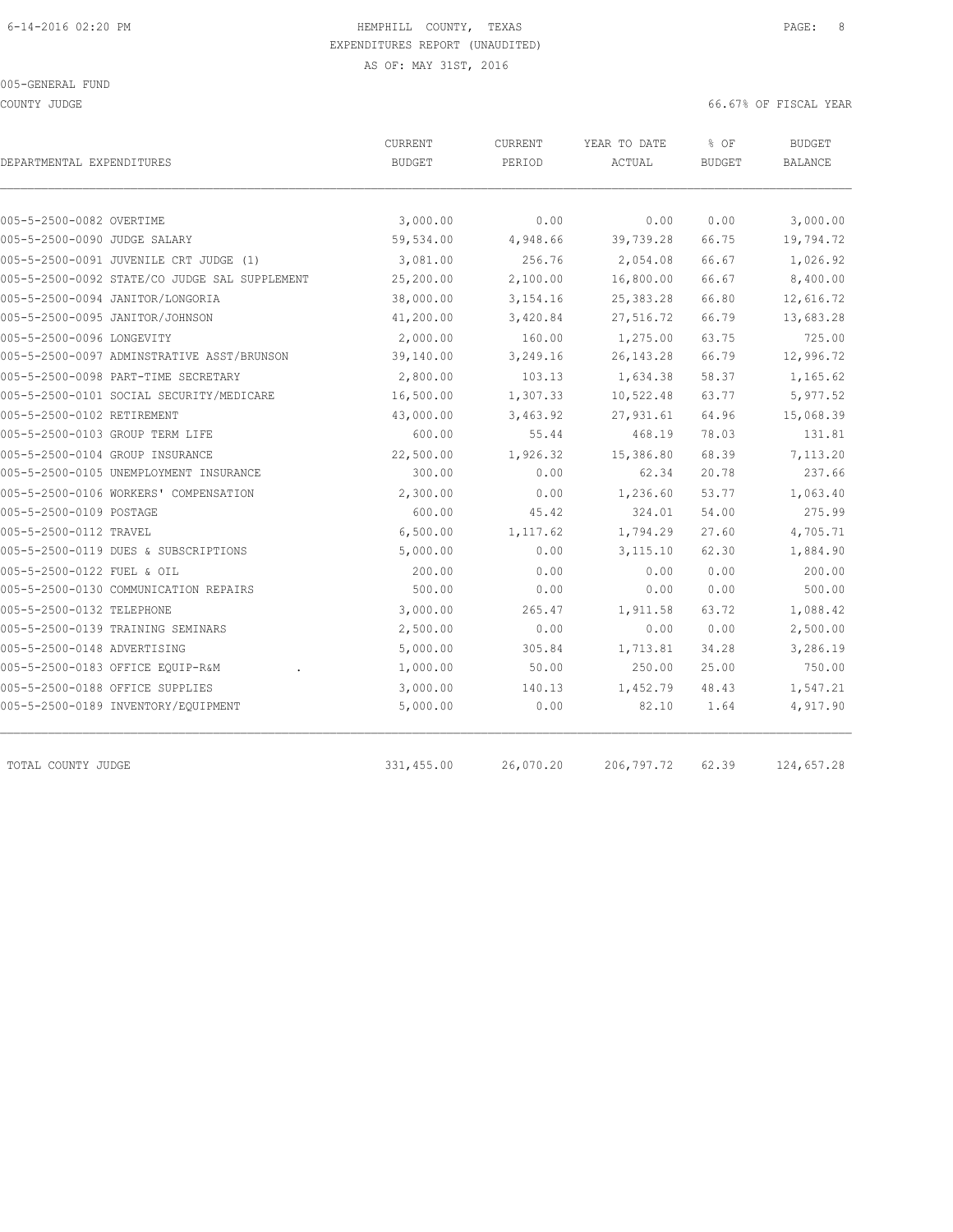COUNTY JUDGE 66.67% OF FISCAL YEAR

| DEPARTMENTAL EXPENDITURES                     | CURRENT<br><b>BUDGET</b> | <b>CURRENT</b><br>PERIOD | YEAR TO DATE<br>ACTUAL | % OF<br><b>BUDGET</b> | <b>BUDGET</b><br><b>BALANCE</b> |
|-----------------------------------------------|--------------------------|--------------------------|------------------------|-----------------------|---------------------------------|
|                                               |                          |                          |                        |                       |                                 |
| 005-5-2500-0082 OVERTIME                      | 3,000.00                 | 0.00                     | 0.00                   | 0.00                  | 3,000.00                        |
| 005-5-2500-0090 JUDGE SALARY                  | 59,534.00                | 4,948.66                 | 39,739.28              | 66.75                 | 19,794.72                       |
| 005-5-2500-0091 JUVENILE CRT JUDGE (1)        | 3,081.00                 | 256.76                   | 2,054.08               | 66.67                 | 1,026.92                        |
| 005-5-2500-0092 STATE/CO JUDGE SAL SUPPLEMENT | 25,200.00                | 2,100.00                 | 16,800.00              | 66.67                 | 8,400.00                        |
| 005-5-2500-0094 JANITOR/LONGORIA              | 38,000.00                | 3, 154. 16               | 25, 383. 28            | 66.80                 | 12,616.72                       |
| 005-5-2500-0095 JANITOR/JOHNSON               | 41,200.00                | 3,420.84                 | 27,516.72              | 66.79                 | 13,683.28                       |
| 005-5-2500-0096 LONGEVITY                     | 2,000.00                 | 160.00                   | 1,275.00               | 63.75                 | 725.00                          |
| 005-5-2500-0097 ADMINSTRATIVE ASST/BRUNSON    | 39,140.00                | 3,249.16                 | 26, 143. 28            | 66.79                 | 12,996.72                       |
| 005-5-2500-0098 PART-TIME SECRETARY           | 2,800.00                 | 103.13                   | 1,634.38               | 58.37                 | 1,165.62                        |
| 005-5-2500-0101 SOCIAL SECURITY/MEDICARE      | 16,500.00                | 1,307.33                 | 10,522.48              | 63.77                 | 5,977.52                        |
| 005-5-2500-0102 RETIREMENT                    | 43,000.00                | 3,463.92                 | 27,931.61              | 64.96                 | 15,068.39                       |
| 005-5-2500-0103 GROUP TERM LIFE               | 600.00                   | 55.44                    | 468.19                 | 78.03                 | 131.81                          |
| 005-5-2500-0104 GROUP INSURANCE               | 22,500.00                | 1,926.32                 | 15,386.80              | 68.39                 | 7,113.20                        |
| 005-5-2500-0105 UNEMPLOYMENT INSURANCE        | 300.00                   | 0.00                     | 62.34                  | 20.78                 | 237.66                          |
| 005-5-2500-0106 WORKERS' COMPENSATION         | 2,300.00                 | 0.00                     | 1,236.60               | 53.77                 | 1,063.40                        |
| 005-5-2500-0109 POSTAGE                       | 600.00                   | 45.42                    | 324.01                 | 54.00                 | 275.99                          |
| 005-5-2500-0112 TRAVEL                        | 6,500.00                 | 1,117.62                 | 1,794.29               | 27.60                 | 4,705.71                        |
| 005-5-2500-0119 DUES & SUBSCRIPTIONS          | 5,000.00                 | 0.00                     | 3,115.10               | 62.30                 | 1,884.90                        |
| 005-5-2500-0122 FUEL & OIL                    | 200.00                   | 0.00                     | 0.00                   | 0.00                  | 200.00                          |
| 005-5-2500-0130 COMMUNICATION REPAIRS         | 500.00                   | 0.00                     | 0.00                   | 0.00                  | 500.00                          |
| 005-5-2500-0132 TELEPHONE                     | 3,000.00                 | 265.47                   | 1,911.58               | 63.72                 | 1,088.42                        |
| 005-5-2500-0139 TRAINING SEMINARS             | 2,500.00                 | 0.00                     | 0.00                   | 0.00                  | 2,500.00                        |
| 005-5-2500-0148 ADVERTISING                   | 5,000.00                 | 305.84                   | 1,713.81               | 34.28                 | 3,286.19                        |
| 005-5-2500-0183 OFFICE EQUIP-R&M              | 1,000.00                 | 50.00                    | 250.00                 | 25.00                 | 750.00                          |
| 005-5-2500-0188 OFFICE SUPPLIES               | 3,000.00                 | 140.13                   | 1,452.79               | 48.43                 | 1,547.21                        |
| 005-5-2500-0189 INVENTORY/EQUIPMENT           | 5,000.00                 | 0.00                     | 82.10                  | 1.64                  | 4,917.90                        |
| TOTAL COUNTY JUDGE                            | 331,455.00               | 26,070.20                | 206, 797.72            | 62.39                 | 124,657.28                      |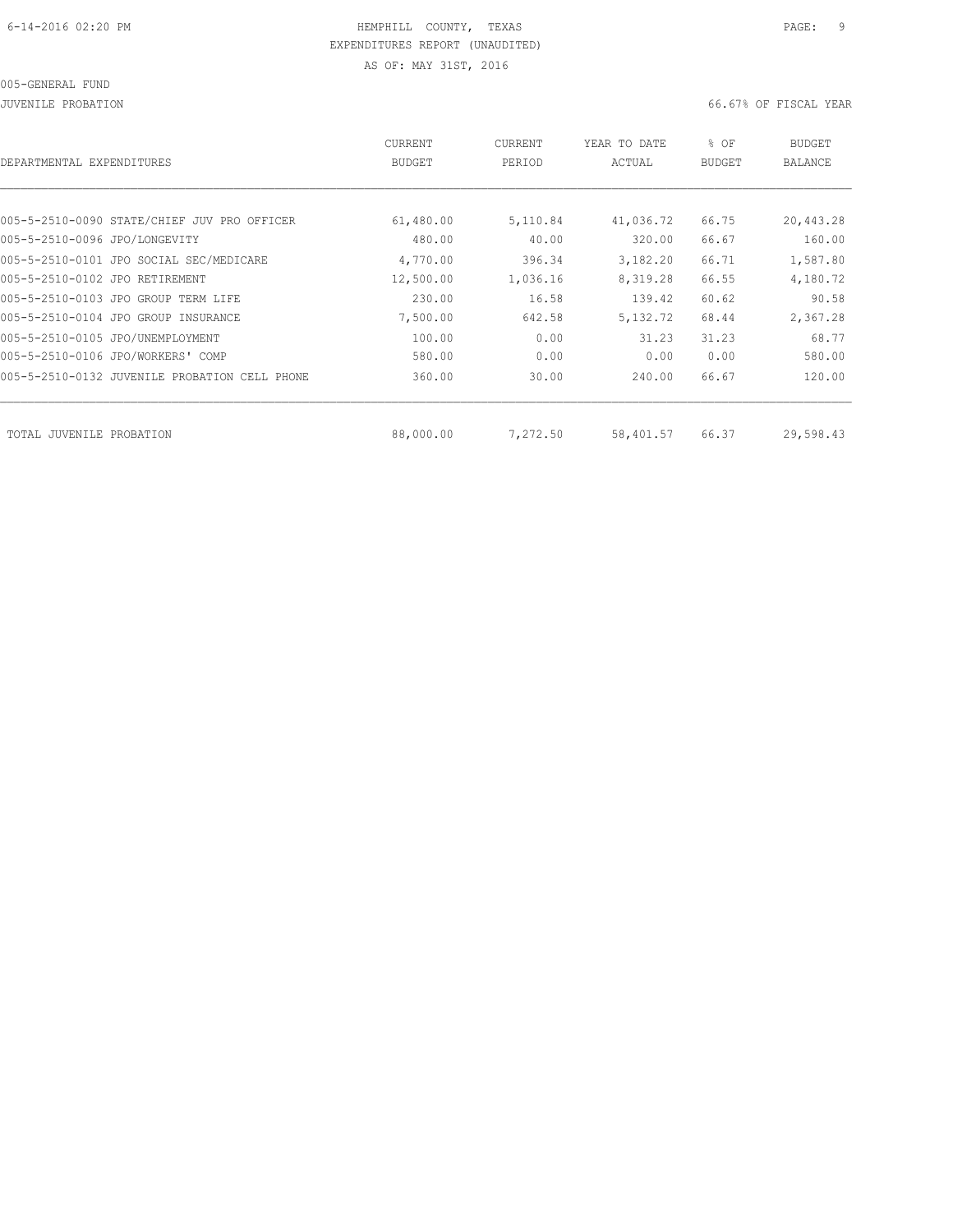#### 005-GENERAL FUND

JUVENILE PROBATION 66.67% OF FISCAL YEAR

|                                               | <b>CURRENT</b> | CURRENT  | YEAR TO DATE | % OF   | BUDGET    |
|-----------------------------------------------|----------------|----------|--------------|--------|-----------|
| DEPARTMENTAL EXPENDITURES                     | BUDGET         | PERIOD   | ACTUAL       | BUDGET | BALANCE   |
| 005-5-2510-0090 STATE/CHIEF JUV PRO OFFICER   | 61,480.00      | 5,110.84 | 41,036.72    | 66.75  | 20,443.28 |
| 005-5-2510-0096 JPO/LONGEVITY                 | 480.00         | 40.00    | 320.00       | 66.67  | 160.00    |
| 005-5-2510-0101 JPO SOCIAL SEC/MEDICARE       | 4,770.00       | 396.34   | 3,182.20     | 66.71  | 1,587.80  |
| 005-5-2510-0102 JPO RETIREMENT                | 12,500.00      | 1,036.16 | 8,319.28     | 66.55  | 4,180.72  |
| 005-5-2510-0103 JPO GROUP TERM LIFE           | 230.00         | 16.58    | 139.42       | 60.62  | 90.58     |
| 005-5-2510-0104 JPO GROUP INSURANCE           | 7,500.00       | 642.58   | 5, 132, 72   | 68.44  | 2,367.28  |
| 005-5-2510-0105 JPO/UNEMPLOYMENT              | 100.00         | 0.00     | 31.23        | 31.23  | 68.77     |
| 005-5-2510-0106 JPO/WORKERS' COMP             | 580.00         | 0.00     | 0.00         | 0.00   | 580.00    |
| 005-5-2510-0132 JUVENILE PROBATION CELL PHONE | 360.00         | 30.00    | 240.00       | 66.67  | 120.00    |
|                                               |                |          |              |        |           |
| TOTAL JUVENILE PROBATION                      | 88,000.00      | 7,272.50 | 58,401.57    | 66.37  | 29,598.43 |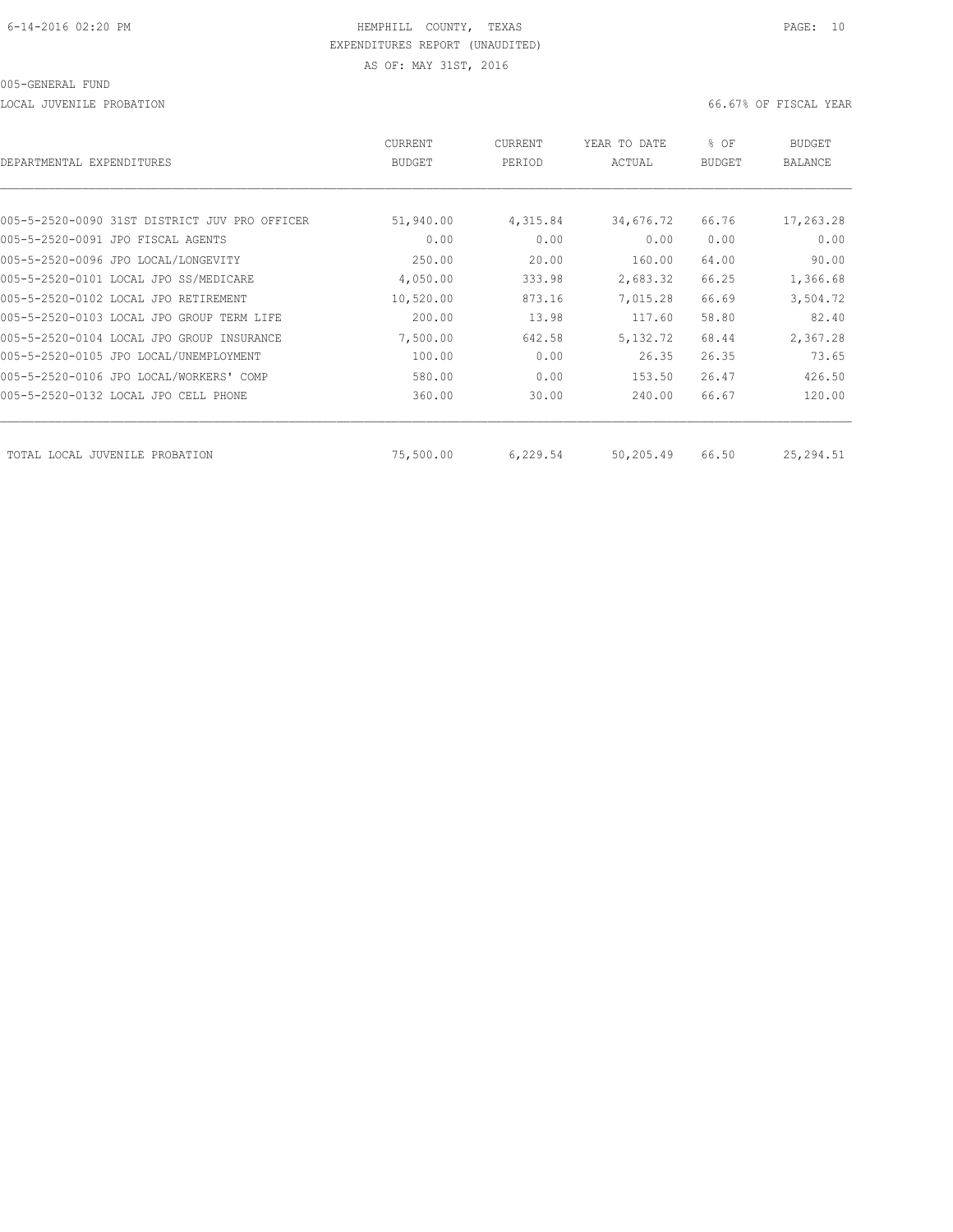LOCAL JUVENILE PROBATION 66.67% OF FISCAL YEAR

| DEPARTMENTAL EXPENDITURES                     | CURRENT<br><b>BUDGET</b> | <b>CURRENT</b><br>PERIOD | YEAR TO DATE<br>ACTUAL | % OF<br><b>BUDGET</b> | <b>BUDGET</b><br>BALANCE |
|-----------------------------------------------|--------------------------|--------------------------|------------------------|-----------------------|--------------------------|
|                                               |                          |                          |                        |                       |                          |
| 005-5-2520-0090 31ST DISTRICT JUV PRO OFFICER | 51,940.00                | 4,315.84                 | 34,676.72              | 66.76                 | 17,263.28                |
| 005-5-2520-0091 JPO FISCAL AGENTS             | 0.00                     | 0.00                     | 0.00                   | 0.00                  | 0.00                     |
| 005-5-2520-0096 JPO LOCAL/LONGEVITY           | 250.00                   | 20.00                    | 160.00                 | 64.00                 | 90.00                    |
| 005-5-2520-0101 LOCAL JPO SS/MEDICARE         | 4,050.00                 | 333.98                   | 2,683.32               | 66.25                 | 1,366.68                 |
| 005-5-2520-0102 LOCAL JPO RETIREMENT          | 10,520.00                | 873.16                   | 7,015.28               | 66.69                 | 3,504.72                 |
| 005-5-2520-0103 LOCAL JPO GROUP TERM LIFE     | 200.00                   | 13.98                    | 117.60                 | 58.80                 | 82.40                    |
| 005-5-2520-0104 LOCAL JPO GROUP INSURANCE     | 7,500.00                 | 642.58                   | 5, 132.72              | 68.44                 | 2,367.28                 |
| 005-5-2520-0105 JPO LOCAL/UNEMPLOYMENT        | 100.00                   | 0.00                     | 26.35                  | 26.35                 | 73.65                    |
| 005-5-2520-0106 JPO LOCAL/WORKERS' COMP       | 580.00                   | 0.00                     | 153.50                 | 26.47                 | 426.50                   |
| 005-5-2520-0132 LOCAL JPO CELL PHONE          | 360.00                   | 30.00                    | 240.00                 | 66.67                 | 120.00                   |
| TOTAL LOCAL JUVENILE PROBATION                | 75,500.00                | 6,229.54                 | 50,205.49              | 66.50                 | 25,294.51                |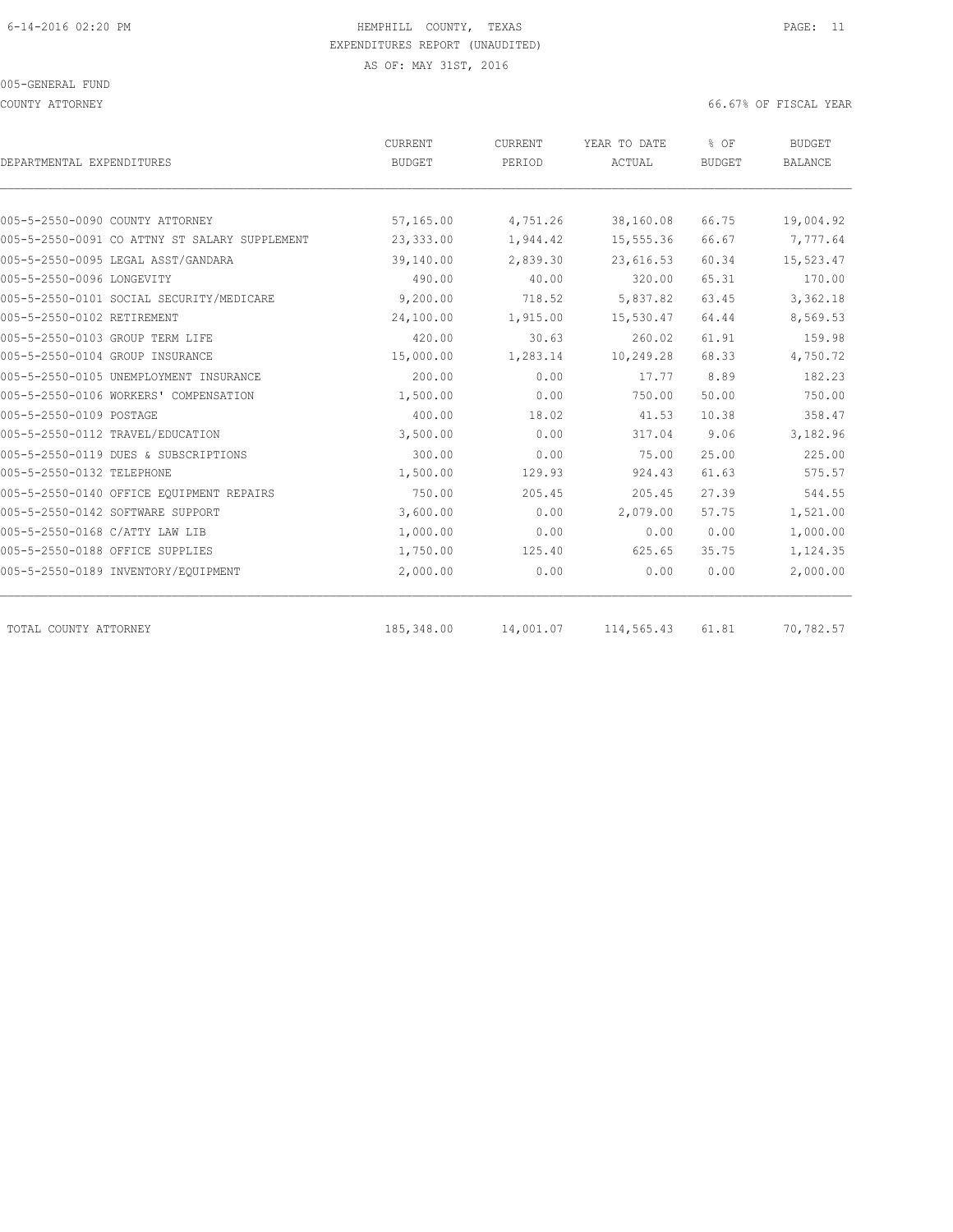COUNTY ATTORNEY 66.67% OF FISCAL YEAR

| DEPARTMENTAL EXPENDITURES                     | <b>CURRENT</b><br><b>BUDGET</b> | CURRENT<br>PERIOD | YEAR TO DATE<br>ACTUAL | % OF<br><b>BUDGET</b> | <b>BUDGET</b><br><b>BALANCE</b> |
|-----------------------------------------------|---------------------------------|-------------------|------------------------|-----------------------|---------------------------------|
|                                               |                                 |                   |                        |                       |                                 |
| 005-5-2550-0090 COUNTY ATTORNEY               | 57,165.00                       | 4,751.26          | 38,160.08              | 66.75                 | 19,004.92                       |
| 005-5-2550-0091 CO ATTNY ST SALARY SUPPLEMENT | 23,333.00                       | 1,944.42          | 15,555.36              | 66.67                 | 7,777.64                        |
| 005-5-2550-0095 LEGAL ASST/GANDARA            | 39,140.00                       | 2,839.30          | 23,616.53              | 60.34                 | 15,523.47                       |
| 005-5-2550-0096 LONGEVITY                     | 490.00                          | 40.00             | 320.00                 | 65.31                 | 170.00                          |
| 005-5-2550-0101 SOCIAL SECURITY/MEDICARE      | 9,200.00                        | 718.52            | 5,837.82               | 63.45                 | 3,362.18                        |
| 005-5-2550-0102 RETIREMENT                    | 24,100.00                       | 1,915.00          | 15,530.47              | 64.44                 | 8,569.53                        |
| 005-5-2550-0103 GROUP TERM LIFE               | 420.00                          | 30.63             | 260.02                 | 61.91                 | 159.98                          |
| 005-5-2550-0104 GROUP INSURANCE               | 15,000.00                       | 1,283.14          | 10,249.28              | 68.33                 | 4,750.72                        |
| 005-5-2550-0105 UNEMPLOYMENT INSURANCE        | 200.00                          | 0.00              | 17.77                  | 8.89                  | 182.23                          |
| 005-5-2550-0106 WORKERS' COMPENSATION         | 1,500.00                        | 0.00              | 750.00                 | 50.00                 | 750.00                          |
| 005-5-2550-0109 POSTAGE                       | 400.00                          | 18.02             | 41.53                  | 10.38                 | 358.47                          |
| 005-5-2550-0112 TRAVEL/EDUCATION              | 3,500.00                        | 0.00              | 317.04                 | 9.06                  | 3,182.96                        |
| 005-5-2550-0119 DUES & SUBSCRIPTIONS          | 300.00                          | 0.00              | 75.00                  | 25.00                 | 225.00                          |
| 005-5-2550-0132 TELEPHONE                     | 1,500.00                        | 129.93            | 924.43                 | 61.63                 | 575.57                          |
| 005-5-2550-0140 OFFICE EQUIPMENT REPAIRS      | 750.00                          | 205.45            | 205.45                 | 27.39                 | 544.55                          |
| 005-5-2550-0142 SOFTWARE SUPPORT              | 3,600.00                        | 0.00              | 2,079.00               | 57.75                 | 1,521.00                        |
| 005-5-2550-0168 C/ATTY LAW LIB                | 1,000.00                        | 0.00              | 0.00                   | 0.00                  | 1,000.00                        |
| 005-5-2550-0188 OFFICE SUPPLIES               | 1,750.00                        | 125.40            | 625.65                 | 35.75                 | 1,124.35                        |
| 005-5-2550-0189 INVENTORY/EQUIPMENT           | 2,000.00                        | 0.00              | 0.00                   | 0.00                  | 2,000.00                        |
| TOTAL COUNTY ATTORNEY                         | 185,348.00                      | 14,001.07         | 114,565.43             | 61.81                 | 70,782.57                       |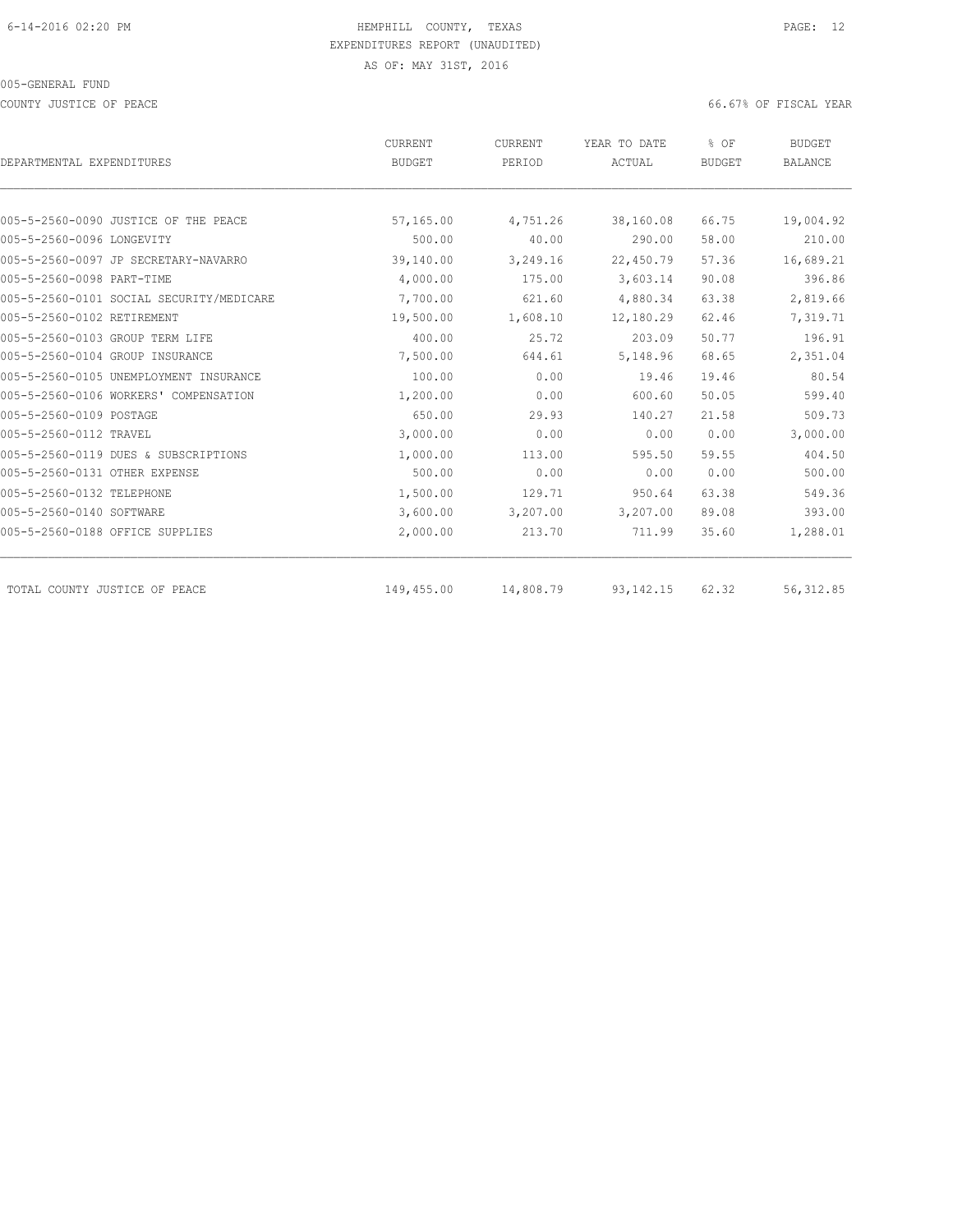COUNTY JUSTICE OF PEACE **EXECUTE OF PEACE** 66.67% OF FISCAL YEAR

|                                          | CURRENT       | CURRENT   | YEAR TO DATE | % OF                                                                                                                                                                 | <b>BUDGET</b> |
|------------------------------------------|---------------|-----------|--------------|----------------------------------------------------------------------------------------------------------------------------------------------------------------------|---------------|
| DEPARTMENTAL EXPENDITURES                | <b>BUDGET</b> | PERIOD    | ACTUAL       | <b>BUDGET</b><br>66.75<br>58.00<br>57.36<br>90.08<br>63.38<br>62.46<br>50.77<br>68.65<br>19.46<br>50.05<br>21.58<br>0.00<br>59.55<br>0.00<br>63.38<br>89.08<br>35.60 | BALANCE       |
|                                          |               |           |              |                                                                                                                                                                      |               |
| 005-5-2560-0090 JUSTICE OF THE PEACE     | 57,165.00     | 4,751.26  | 38,160.08    |                                                                                                                                                                      | 19,004.92     |
| 005-5-2560-0096 LONGEVITY                | 500.00        | 40.00     | 290.00       |                                                                                                                                                                      | 210.00        |
| 005-5-2560-0097 JP SECRETARY-NAVARRO     | 39,140.00     | 3,249.16  | 22,450.79    |                                                                                                                                                                      | 16,689.21     |
| 005-5-2560-0098 PART-TIME                | 4,000.00      | 175.00    | 3,603.14     |                                                                                                                                                                      | 396.86        |
| 005-5-2560-0101 SOCIAL SECURITY/MEDICARE | 7,700.00      | 621.60    | 4,880.34     |                                                                                                                                                                      | 2,819.66      |
| 005-5-2560-0102 RETIREMENT               | 19,500.00     | 1,608.10  | 12,180.29    |                                                                                                                                                                      | 7,319.71      |
| 005-5-2560-0103 GROUP TERM LIFE          | 400.00        | 25.72     | 203.09       |                                                                                                                                                                      | 196.91        |
| 005-5-2560-0104 GROUP INSURANCE          | 7,500.00      | 644.61    | 5,148.96     |                                                                                                                                                                      | 2,351.04      |
| 005-5-2560-0105 UNEMPLOYMENT INSURANCE   | 100.00        | 0.00      | 19.46        |                                                                                                                                                                      | 80.54         |
| 005-5-2560-0106 WORKERS' COMPENSATION    | 1,200.00      | 0.00      | 600.60       |                                                                                                                                                                      | 599.40        |
| 005-5-2560-0109 POSTAGE                  | 650.00        | 29.93     | 140.27       |                                                                                                                                                                      | 509.73        |
| 005-5-2560-0112 TRAVEL                   | 3,000.00      | 0.00      | 0.00         |                                                                                                                                                                      | 3,000.00      |
| 005-5-2560-0119 DUES & SUBSCRIPTIONS     | 1,000.00      | 113.00    | 595.50       |                                                                                                                                                                      | 404.50        |
| 005-5-2560-0131 OTHER EXPENSE            | 500.00        | 0.00      | 0.00         |                                                                                                                                                                      | 500.00        |
| 005-5-2560-0132 TELEPHONE                | 1,500.00      | 129.71    | 950.64       |                                                                                                                                                                      | 549.36        |
| 005-5-2560-0140 SOFTWARE                 | 3,600.00      | 3,207.00  | 3,207.00     |                                                                                                                                                                      | 393.00        |
| 005-5-2560-0188 OFFICE SUPPLIES          | 2,000.00      | 213.70    | 711.99       |                                                                                                                                                                      | 1,288.01      |
| TOTAL COUNTY JUSTICE OF PEACE            | 149,455.00    | 14,808.79 | 93, 142. 15  | 62.32                                                                                                                                                                | 56, 312.85    |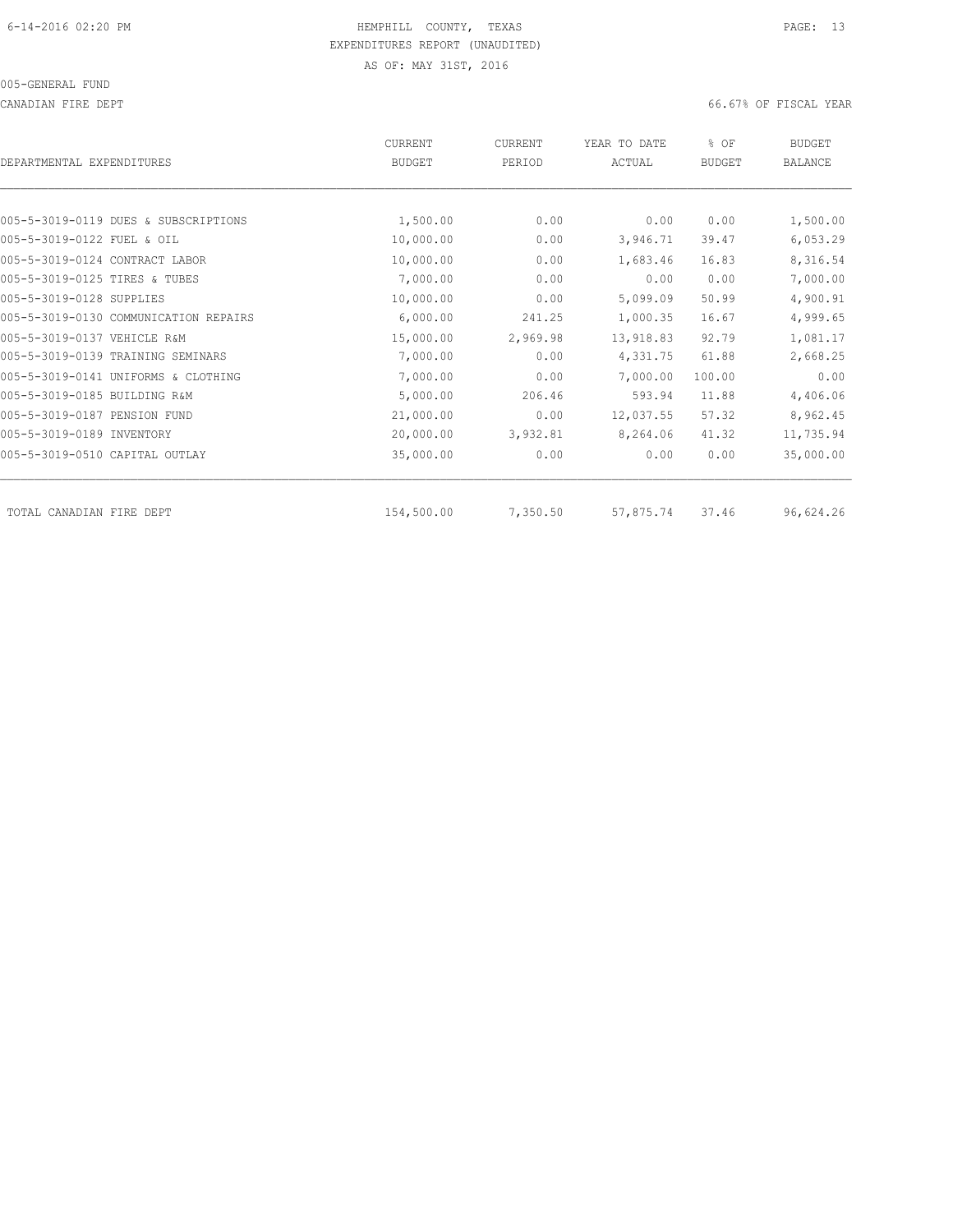CANADIAN FIRE DEPT 66.67% OF FISCAL YEAR

| DEPARTMENTAL EXPENDITURES             | <b>CURRENT</b><br><b>BUDGET</b> | CURRENT<br>PERIOD | YEAR TO DATE<br>ACTUAL | % OF<br><b>BUDGET</b> | <b>BUDGET</b><br><b>BALANCE</b> |
|---------------------------------------|---------------------------------|-------------------|------------------------|-----------------------|---------------------------------|
|                                       |                                 |                   |                        |                       |                                 |
| 005-5-3019-0119 DUES & SUBSCRIPTIONS  | 1,500.00                        | 0.00              | 0.00                   | 0.00                  | 1,500.00                        |
| 005-5-3019-0122 FUEL & OIL            | 10,000.00                       | 0.00              | 3,946.71               | 39.47                 | 6,053.29                        |
| 005-5-3019-0124 CONTRACT LABOR        | 10,000.00                       | 0.00              | 1,683.46               | 16.83                 | 8,316.54                        |
| 005-5-3019-0125 TIRES & TUBES         | 7,000.00                        | 0.00              | 0.00                   | 0.00                  | 7,000.00                        |
| 005-5-3019-0128 SUPPLIES              | 10,000.00                       | 0.00              | 5,099.09               | 50.99                 | 4,900.91                        |
| 005-5-3019-0130 COMMUNICATION REPAIRS | 6,000.00                        | 241.25            | 1,000.35               | 16.67                 | 4,999.65                        |
| 005-5-3019-0137 VEHICLE R&M           | 15,000.00                       | 2,969.98          | 13,918.83              | 92.79                 | 1,081.17                        |
| 005-5-3019-0139 TRAINING SEMINARS     | 7,000.00                        | 0.00              | 4,331.75               | 61.88                 | 2,668.25                        |
| 005-5-3019-0141 UNIFORMS & CLOTHING   | 7,000.00                        | 0.00              | 7,000.00               | 100.00                | 0.00                            |
| 005-5-3019-0185 BUILDING R&M          | 5,000.00                        | 206.46            | 593.94                 | 11.88                 | 4,406.06                        |
| 005-5-3019-0187 PENSION FUND          | 21,000.00                       | 0.00              | 12,037.55              | 57.32                 | 8,962.45                        |
| 005-5-3019-0189 INVENTORY             | 20,000.00                       | 3,932.81          | 8,264.06               | 41.32                 | 11,735.94                       |
| 005-5-3019-0510 CAPITAL OUTLAY        | 35,000.00                       | 0.00              | 0.00                   | 0.00                  | 35,000.00                       |
| TOTAL CANADIAN FIRE DEPT              | 154,500.00                      | 7,350.50          | 57,875.74              | 37.46                 | 96,624.26                       |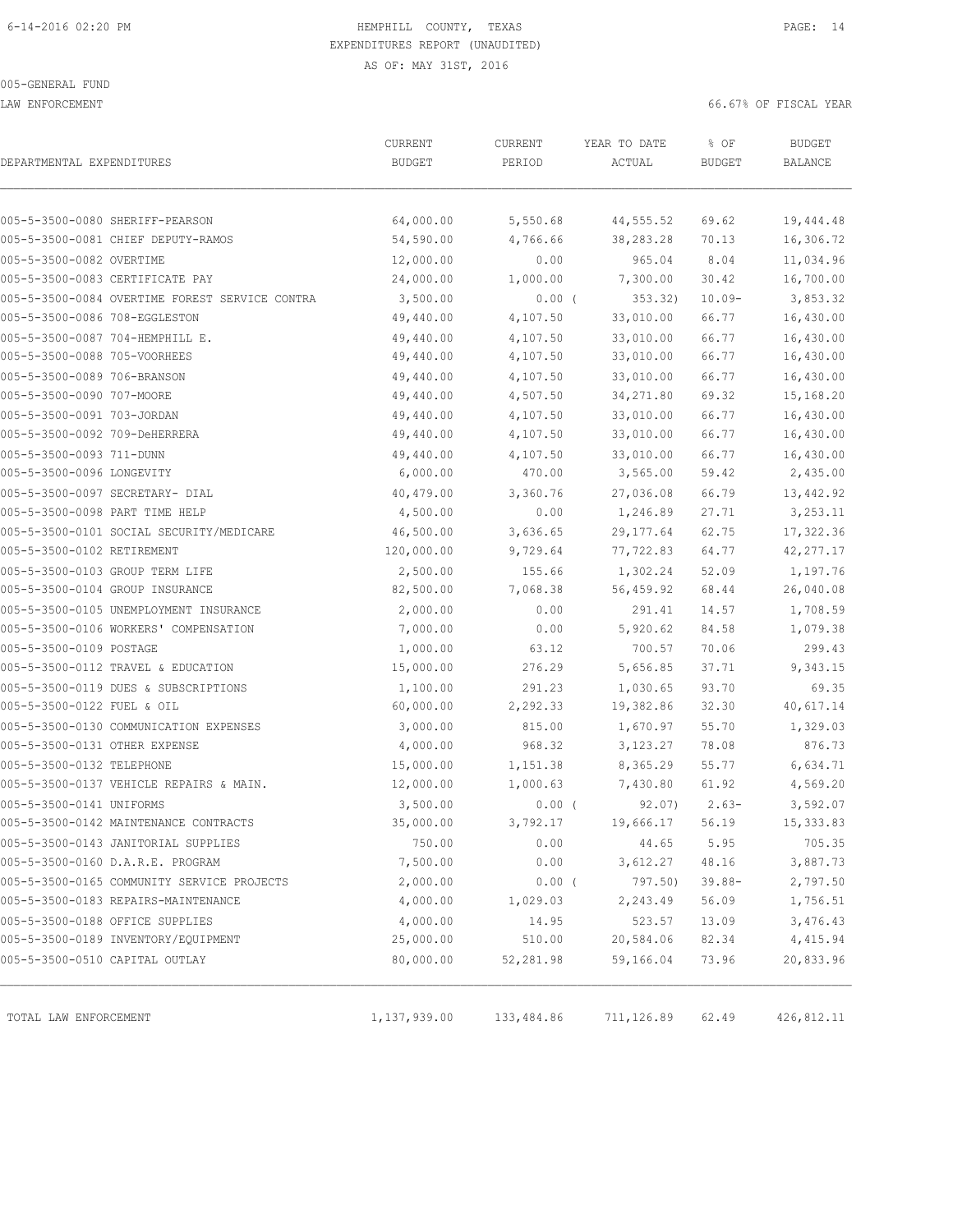LAW ENFORCEMENT 66.67% OF FISCAL YEAR

| DEPARTMENTAL EXPENDITURES      |                                                | CURRENT<br><b>BUDGET</b> | CURRENT<br>PERIOD | YEAR TO DATE<br>ACTUAL | % OF<br><b>BUDGET</b> | <b>BUDGET</b><br><b>BALANCE</b> |
|--------------------------------|------------------------------------------------|--------------------------|-------------------|------------------------|-----------------------|---------------------------------|
|                                |                                                |                          |                   |                        |                       |                                 |
|                                | 005-5-3500-0080 SHERIFF-PEARSON                | 64,000.00                | 5,550.68          | 44,555.52              | 69.62                 | 19,444.48                       |
|                                | 005-5-3500-0081 CHIEF DEPUTY-RAMOS             | 54,590.00                | 4,766.66          | 38,283.28              | 70.13                 | 16,306.72                       |
| 005-5-3500-0082 OVERTIME       |                                                | 12,000.00                | 0.00              | 965.04                 | 8.04                  | 11,034.96                       |
|                                | 005-5-3500-0083 CERTIFICATE PAY                | 24,000.00                | 1,000.00          | 7,300.00               | 30.42                 | 16,700.00                       |
|                                | 005-5-3500-0084 OVERTIME FOREST SERVICE CONTRA | 3,500.00                 | $0.00$ (          | 353.32)                | $10.09 -$             | 3,853.32                        |
| 005-5-3500-0086 708-EGGLESTON  |                                                | 49,440.00                | 4,107.50          | 33,010.00              | 66.77                 | 16,430.00                       |
|                                | 005-5-3500-0087 704-HEMPHILL E.                | 49,440.00                | 4,107.50          | 33,010.00              | 66.77                 | 16,430.00                       |
| 005-5-3500-0088 705-VOORHEES   |                                                | 49,440.00                | 4,107.50          | 33,010.00              | 66.77                 | 16,430.00                       |
| 005-5-3500-0089 706-BRANSON    |                                                | 49,440.00                | 4,107.50          | 33,010.00              | 66.77                 | 16,430.00                       |
| 005-5-3500-0090 707-MOORE      |                                                | 49,440.00                | 4,507.50          | 34,271.80              | 69.32                 | 15,168.20                       |
| 005-5-3500-0091 703-JORDAN     |                                                | 49,440.00                | 4,107.50          | 33,010.00              | 66.77                 | 16,430.00                       |
| 005-5-3500-0092 709-DeHERRERA  |                                                | 49,440.00                | 4,107.50          | 33,010.00              | 66.77                 | 16,430.00                       |
| 005-5-3500-0093 711-DUNN       |                                                | 49,440.00                | 4,107.50          | 33,010.00              | 66.77                 | 16,430.00                       |
| 005-5-3500-0096 LONGEVITY      |                                                | 6,000.00                 | 470.00            | 3,565.00               | 59.42                 | 2,435.00                        |
|                                | 005-5-3500-0097 SECRETARY- DIAL                | 40,479.00                | 3,360.76          | 27,036.08              | 66.79                 | 13,442.92                       |
| 005-5-3500-0098 PART TIME HELP |                                                | 4,500.00                 | 0.00              | 1,246.89               | 27.71                 | 3,253.11                        |
|                                | 005-5-3500-0101 SOCIAL SECURITY/MEDICARE       | 46,500.00                | 3,636.65          | 29, 177.64             | 62.75                 | 17,322.36                       |
| 005-5-3500-0102 RETIREMENT     |                                                | 120,000.00               | 9,729.64          | 77,722.83              | 64.77                 | 42, 277.17                      |
|                                | 005-5-3500-0103 GROUP TERM LIFE                | 2,500.00                 | 155.66            | 1,302.24               | 52.09                 | 1,197.76                        |
|                                | 005-5-3500-0104 GROUP INSURANCE                | 82,500.00                | 7,068.38          | 56,459.92              | 68.44                 | 26,040.08                       |
|                                | 005-5-3500-0105 UNEMPLOYMENT INSURANCE         | 2,000.00                 | 0.00              | 291.41                 | 14.57                 | 1,708.59                        |
|                                | 005-5-3500-0106 WORKERS' COMPENSATION          | 7,000.00                 | 0.00              | 5,920.62               | 84.58                 | 1,079.38                        |
| 005-5-3500-0109 POSTAGE        |                                                | 1,000.00                 | 63.12             | 700.57                 | 70.06                 | 299.43                          |
|                                | 005-5-3500-0112 TRAVEL & EDUCATION             | 15,000.00                | 276.29            | 5,656.85               | 37.71                 | 9,343.15                        |
|                                | 005-5-3500-0119 DUES & SUBSCRIPTIONS           | 1,100.00                 | 291.23            | 1,030.65               | 93.70                 | 69.35                           |
| 005-5-3500-0122 FUEL & OIL     |                                                | 60,000.00                | 2,292.33          | 19,382.86              | 32.30                 | 40,617.14                       |
|                                | 005-5-3500-0130 COMMUNICATION EXPENSES         | 3,000.00                 | 815.00            | 1,670.97               | 55.70                 | 1,329.03                        |
| 005-5-3500-0131 OTHER EXPENSE  |                                                | 4,000.00                 | 968.32            | 3,123.27               | 78.08                 | 876.73                          |
| 005-5-3500-0132 TELEPHONE      |                                                | 15,000.00                | 1,151.38          | 8,365.29               | 55.77                 | 6,634.71                        |
|                                | 005-5-3500-0137 VEHICLE REPAIRS & MAIN.        | 12,000.00                | 1,000.63          | 7,430.80               | 61.92                 | 4,569.20                        |
| 005-5-3500-0141 UNIFORMS       |                                                | 3,500.00                 | $0.00$ (          | 92.07)                 | $2.63-$               | 3,592.07                        |
|                                | 005-5-3500-0142 MAINTENANCE CONTRACTS          | 35,000.00                | 3,792.17          | 19,666.17              | 56.19                 | 15,333.83                       |
|                                | 005-5-3500-0143 JANITORIAL SUPPLIES            | 750.00                   | 0.00              | 44.65                  | 5.95                  | 705.35                          |
|                                | 005-5-3500-0160 D.A.R.E. PROGRAM               | 7,500.00                 | 0.00              | 3,612.27               | 48.16                 | 3,887.73                        |
|                                | 005-5-3500-0165 COMMUNITY SERVICE PROJECTS     | 2,000.00                 | $0.00$ (          | 797.50)                | $39.88 -$             | 2,797.50                        |
|                                | 005-5-3500-0183 REPAIRS-MAINTENANCE            | 4,000.00                 | 1,029.03          | 2,243.49               | 56.09                 | 1,756.51                        |
|                                | 005-5-3500-0188 OFFICE SUPPLIES                | 4,000.00                 | 14.95             | 523.57                 | 13.09                 | 3,476.43                        |
|                                | 005-5-3500-0189 INVENTORY/EQUIPMENT            | 25,000.00                | 510.00            | 20,584.06              | 82.34                 | 4,415.94                        |
|                                | 005-5-3500-0510 CAPITAL OUTLAY                 | 80,000.00                | 52,281.98         | 59,166.04              | 73.96                 | 20,833.96                       |
|                                |                                                |                          |                   |                        |                       |                                 |
| TOTAL LAW ENFORCEMENT          |                                                | 1,137,939.00             | 133,484.86        | 711, 126.89            | 62.49                 | 426,812.11                      |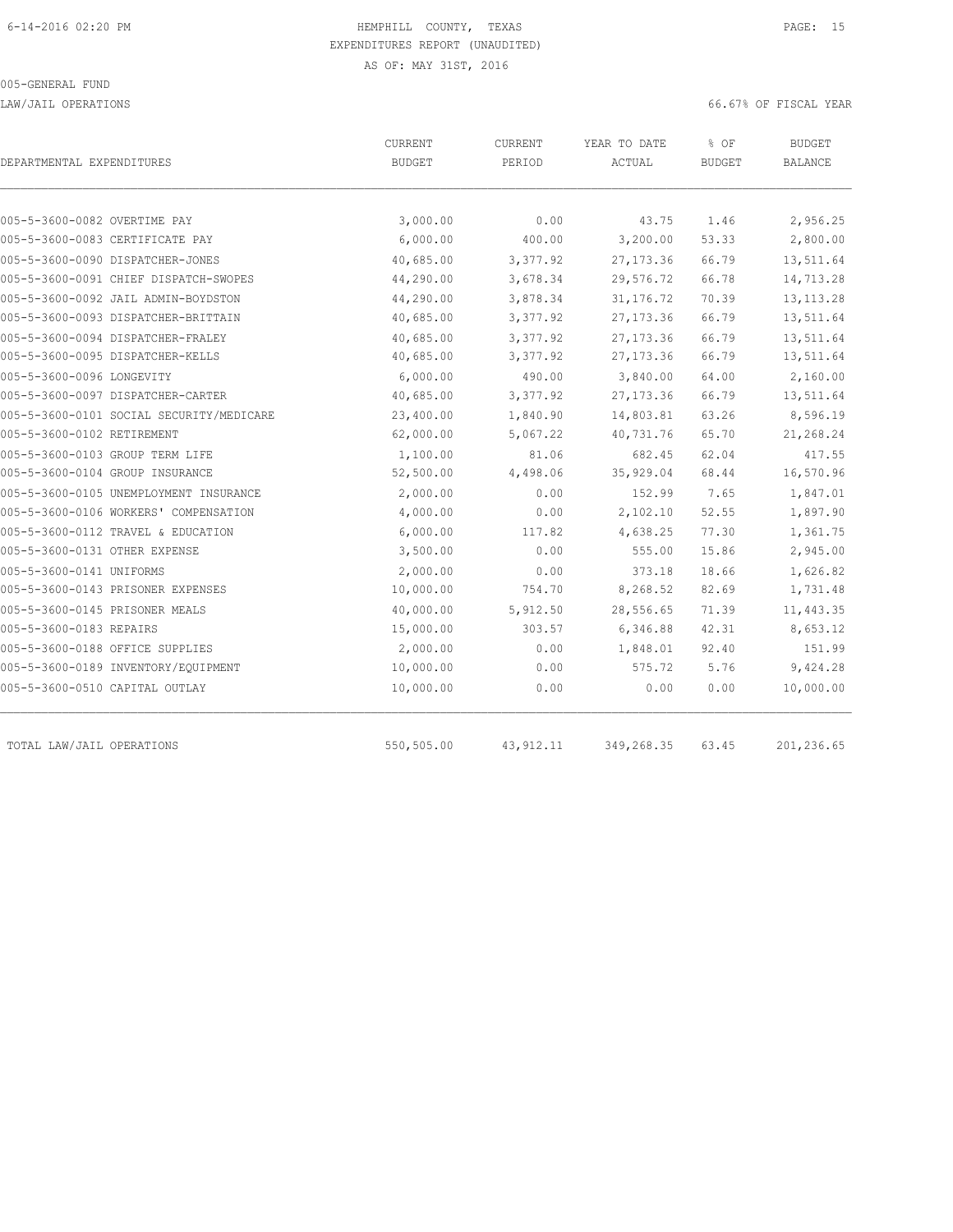LAW/JAIL OPERATIONS 66.67% OF FISCAL YEAR

| DEPARTMENTAL EXPENDITURES                | <b>CURRENT</b><br><b>BUDGET</b> | <b>CURRENT</b><br>PERIOD | YEAR TO DATE<br>ACTUAL | % OF<br><b>BUDGET</b> | BUDGET<br>BALANCE |
|------------------------------------------|---------------------------------|--------------------------|------------------------|-----------------------|-------------------|
|                                          |                                 |                          |                        |                       |                   |
| 005-5-3600-0082 OVERTIME PAY             | 3,000.00                        | 0.00                     | 43.75                  | 1.46                  | 2,956.25          |
| 005-5-3600-0083 CERTIFICATE PAY          | 6,000.00                        | 400.00                   | 3,200.00               | 53.33                 | 2,800.00          |
| 005-5-3600-0090 DISPATCHER-JONES         | 40,685.00                       | 3,377.92                 | 27, 173.36             | 66.79                 | 13,511.64         |
| 005-5-3600-0091 CHIEF DISPATCH-SWOPES    | 44,290.00                       | 3,678.34                 | 29,576.72              | 66.78                 | 14,713.28         |
| 005-5-3600-0092 JAIL ADMIN-BOYDSTON      | 44,290.00                       | 3,878.34                 | 31, 176.72             | 70.39                 | 13, 113. 28       |
| 005-5-3600-0093 DISPATCHER-BRITTAIN      | 40,685.00                       | 3,377.92                 | 27, 173.36             | 66.79                 | 13,511.64         |
| 005-5-3600-0094 DISPATCHER-FRALEY        | 40,685.00                       | 3,377.92                 | 27, 173.36             | 66.79                 | 13,511.64         |
| 005-5-3600-0095 DISPATCHER-KELLS         | 40,685.00                       | 3,377.92                 | 27, 173.36             | 66.79                 | 13,511.64         |
| 005-5-3600-0096 LONGEVITY                | 6,000.00                        | 490.00                   | 3,840.00               | 64.00                 | 2,160.00          |
| 005-5-3600-0097 DISPATCHER-CARTER        | 40,685.00                       | 3,377.92                 | 27, 173.36             | 66.79                 | 13,511.64         |
| 005-5-3600-0101 SOCIAL SECURITY/MEDICARE | 23,400.00                       | 1,840.90                 | 14,803.81              | 63.26                 | 8,596.19          |
| 005-5-3600-0102 RETIREMENT               | 62,000.00                       | 5,067.22                 | 40,731.76              | 65.70                 | 21,268.24         |
| 005-5-3600-0103 GROUP TERM LIFE          | 1,100.00                        | 81.06                    | 682.45                 | 62.04                 | 417.55            |
| 005-5-3600-0104 GROUP INSURANCE          | 52,500.00                       | 4,498.06                 | 35, 929.04             | 68.44                 | 16,570.96         |
| 005-5-3600-0105 UNEMPLOYMENT INSURANCE   | 2,000.00                        | 0.00                     | 152.99                 | 7.65                  | 1,847.01          |
| 005-5-3600-0106 WORKERS' COMPENSATION    | 4,000.00                        | 0.00                     | 2,102.10               | 52.55                 | 1,897.90          |
| 005-5-3600-0112 TRAVEL & EDUCATION       | 6,000.00                        | 117.82                   | 4,638.25               | 77.30                 | 1,361.75          |
| 005-5-3600-0131 OTHER EXPENSE            | 3,500.00                        | 0.00                     | 555.00                 | 15.86                 | 2,945.00          |
| 005-5-3600-0141 UNIFORMS                 | 2,000.00                        | 0.00                     | 373.18                 | 18.66                 | 1,626.82          |
| 005-5-3600-0143 PRISONER EXPENSES        | 10,000.00                       | 754.70                   | 8,268.52               | 82.69                 | 1,731.48          |
| 005-5-3600-0145 PRISONER MEALS           | 40,000.00                       | 5,912.50                 | 28,556.65              | 71.39                 | 11,443.35         |
| 005-5-3600-0183 REPAIRS                  | 15,000.00                       | 303.57                   | 6,346.88               | 42.31                 | 8,653.12          |
| 005-5-3600-0188 OFFICE SUPPLIES          | 2,000.00                        | 0.00                     | 1,848.01               | 92.40                 | 151.99            |
| 005-5-3600-0189 INVENTORY/EQUIPMENT      | 10,000.00                       | 0.00                     | 575.72                 | 5.76                  | 9,424.28          |
| 005-5-3600-0510 CAPITAL OUTLAY           | 10,000.00                       | 0.00                     | 0.00                   | 0.00                  | 10,000.00         |
| TOTAL LAW/JAIL OPERATIONS                | 550,505.00                      | 43, 912.11               | 349,268.35             | 63.45                 | 201,236.65        |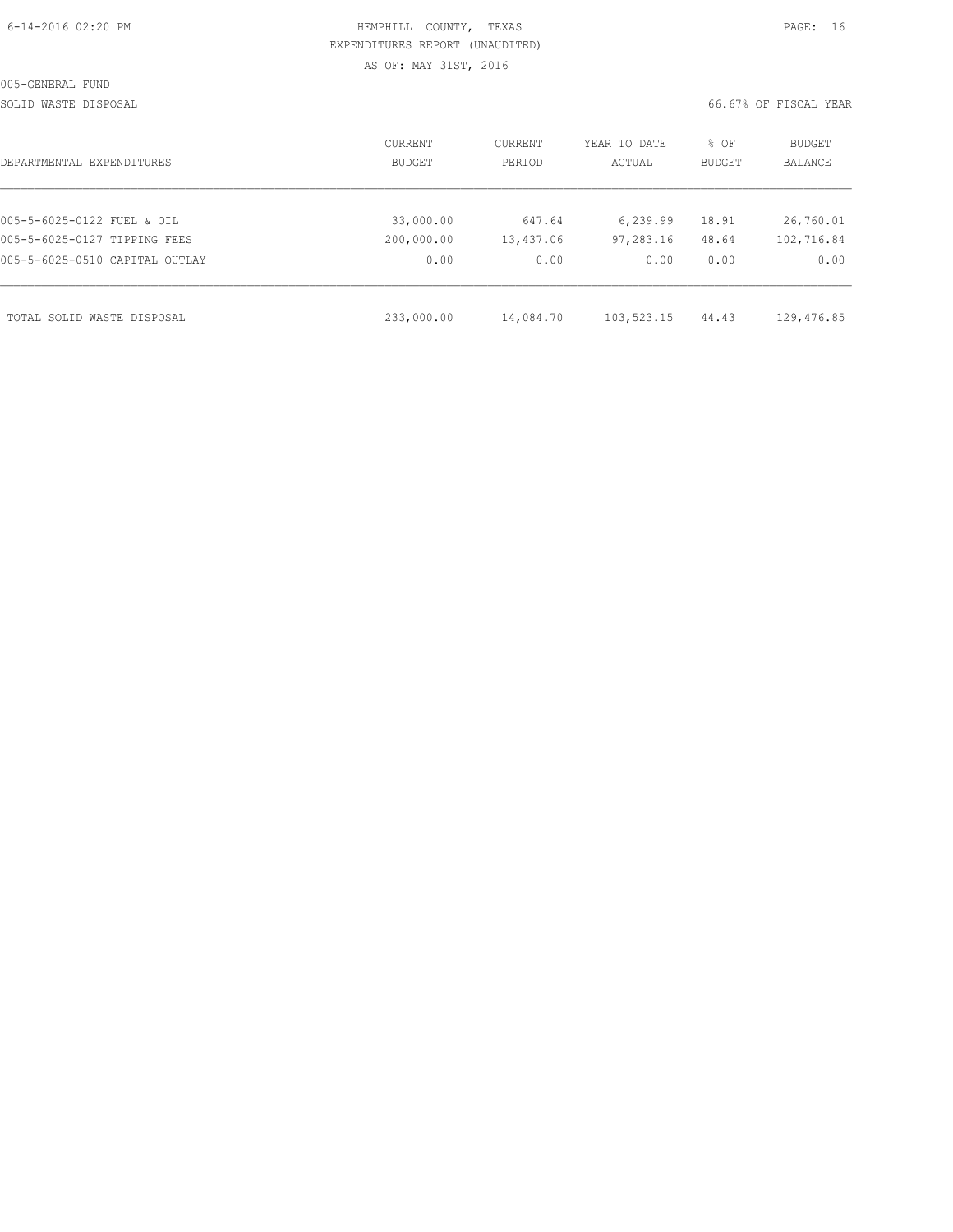| 6-14-2016 02:20 PM |
|--------------------|
|--------------------|

# HEMPHILL COUNTY, TEXAS **Example 20:20 PAGE:** 16 EXPENDITURES REPORT (UNAUDITED) AS OF: MAY 31ST, 2016

SOLID WASTE DISPOSAL 66.67% OF FISCAL YEAR

| DEPARTMENTAL EXPENDITURES      | <b>CURRENT</b><br><b>BUDGET</b> | CURRENT<br>PERIOD | YEAR TO DATE<br>ACTUAL | % OF<br><b>BUDGET</b> | <b>BUDGET</b><br>BALANCE |
|--------------------------------|---------------------------------|-------------------|------------------------|-----------------------|--------------------------|
|                                |                                 |                   |                        |                       |                          |
| 005-5-6025-0122 FUEL & OIL     | 33,000.00                       | 647.64            | 6,239.99               | 18.91                 | 26,760.01                |
| 005-5-6025-0127 TIPPING FEES   | 200,000.00                      | 13,437.06         | 97,283.16              | 48.64                 | 102,716.84               |
| 005-5-6025-0510 CAPITAL OUTLAY | 0.00                            | 0.00              | 0.00                   | 0.00                  | 0.00                     |
|                                |                                 |                   |                        |                       |                          |
| TOTAL SOLID WASTE DISPOSAL     | 233,000.00                      | 14,084.70         | 103,523.15             | 44.43                 | 129,476.85               |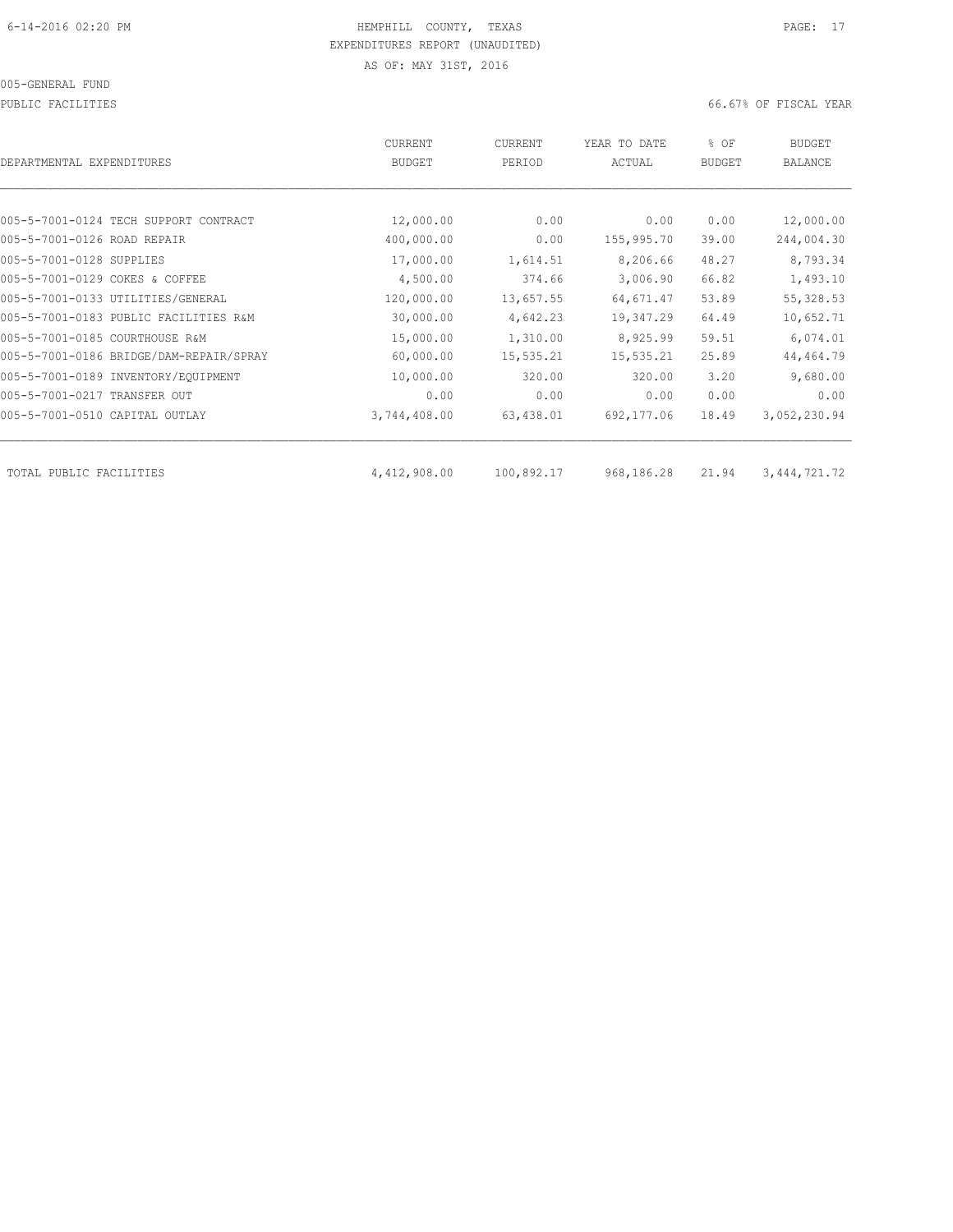PUBLIC FACILITIES 66.67% OF FISCAL YEAR

| DEPARTMENTAL EXPENDITURES               | CURRENT<br><b>BUDGET</b> | CURRENT<br>PERIOD | YEAR TO DATE<br>ACTUAL | % OF<br><b>BUDGET</b> | <b>BUDGET</b><br><b>BALANCE</b> |
|-----------------------------------------|--------------------------|-------------------|------------------------|-----------------------|---------------------------------|
|                                         |                          |                   |                        |                       |                                 |
| 005-5-7001-0124 TECH SUPPORT CONTRACT   | 12,000.00                | 0.00              | 0.00                   | 0.00                  | 12,000.00                       |
| 005-5-7001-0126 ROAD REPAIR             | 400,000.00               | 0.00              | 155,995.70             | 39.00                 | 244,004.30                      |
| 005-5-7001-0128 SUPPLIES                | 17,000.00                | 1,614.51          | 8,206.66               | 48.27                 | 8,793.34                        |
| 005-5-7001-0129 COKES & COFFEE          | 4,500.00                 | 374.66            | 3,006.90               | 66.82                 | 1,493.10                        |
| 005-5-7001-0133 UTILITIES/GENERAL       | 120,000.00               | 13,657.55         | 64,671.47              | 53.89                 | 55, 328.53                      |
| 005-5-7001-0183 PUBLIC FACILITIES R&M   | 30,000.00                | 4,642.23          | 19,347.29              | 64.49                 | 10,652.71                       |
| 005-5-7001-0185 COURTHOUSE R&M          | 15,000.00                | 1,310.00          | 8,925.99               | 59.51                 | 6,074.01                        |
| 005-5-7001-0186 BRIDGE/DAM-REPAIR/SPRAY | 60,000.00                | 15,535.21         | 15,535.21              | 25.89                 | 44,464.79                       |
| 005-5-7001-0189 INVENTORY/EQUIPMENT     | 10,000.00                | 320.00            | 320.00                 | 3.20                  | 9,680.00                        |
| 005-5-7001-0217 TRANSFER OUT            | 0.00                     | 0.00              | 0.00                   | 0.00                  | 0.00                            |
| 005-5-7001-0510 CAPITAL OUTLAY          | 3,744,408.00             | 63,438.01         | 692,177.06             | 18.49                 | 3,052,230.94                    |
| TOTAL PUBLIC FACILITIES                 | 4,412,908.00             | 100,892.17        | 968,186.28             | 21.94                 | 3, 444, 721. 72                 |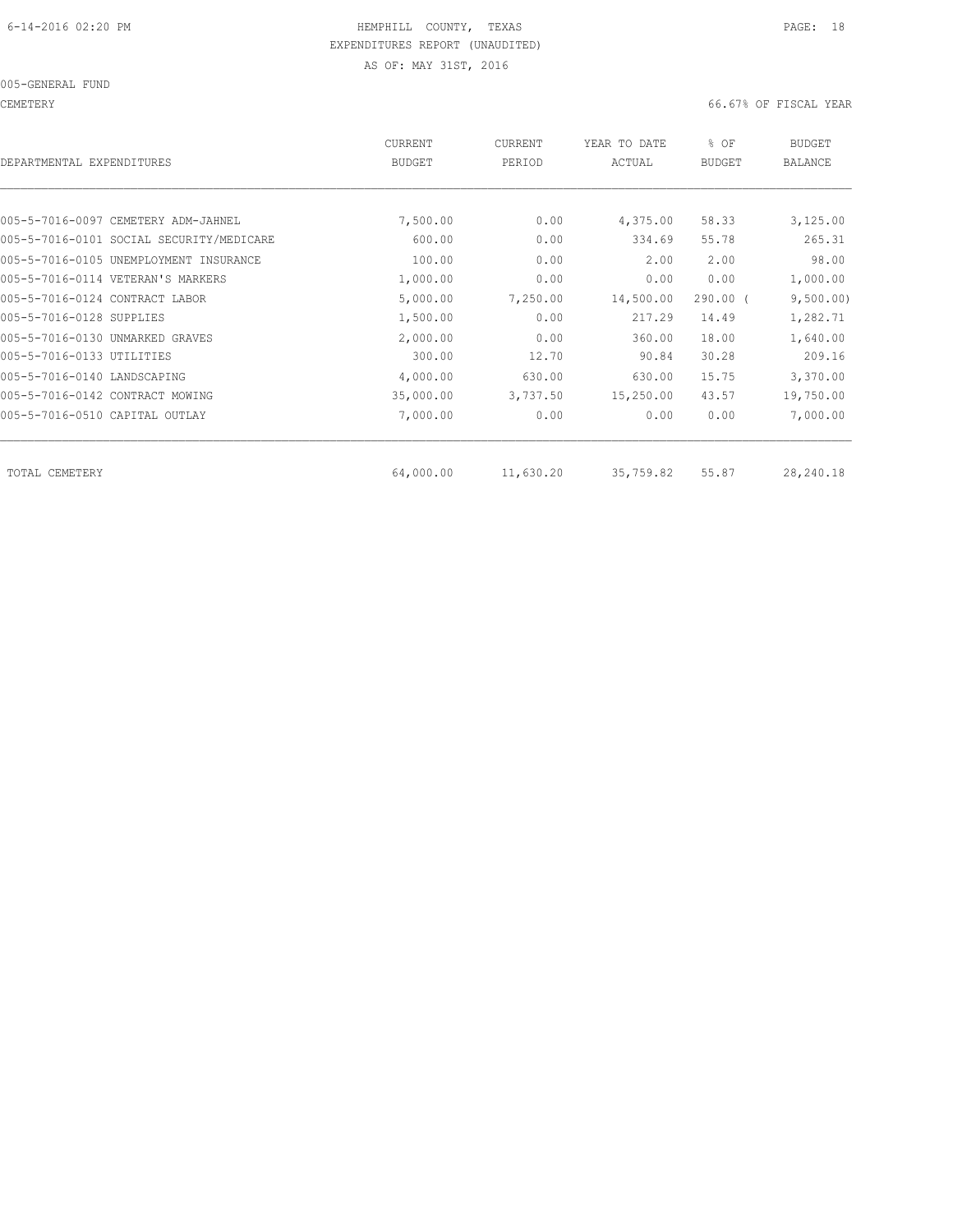005-GENERAL FUND

CEMETERY 66.67% OF FISCAL YEAR

| DEPARTMENTAL EXPENDITURES                | <b>CURRENT</b><br><b>BUDGET</b> | CURRENT<br>PERIOD | YEAR TO DATE<br>ACTUAL | % OF<br><b>BUDGET</b> | <b>BUDGET</b><br><b>BALANCE</b> |
|------------------------------------------|---------------------------------|-------------------|------------------------|-----------------------|---------------------------------|
|                                          |                                 |                   |                        |                       |                                 |
| 005-5-7016-0097 CEMETERY ADM-JAHNEL      | 7,500.00                        | 0.00              | 4,375.00               | 58.33                 | 3,125.00                        |
| 005-5-7016-0101 SOCIAL SECURITY/MEDICARE | 600.00                          | 0.00              | 334.69                 | 55.78                 | 265.31                          |
| 005-5-7016-0105 UNEMPLOYMENT INSURANCE   | 100.00                          | 0.00              | 2.00                   | 2.00                  | 98.00                           |
| 005-5-7016-0114 VETERAN'S MARKERS        | 1,000.00                        | 0.00              | 0.00                   | 0.00                  | 1,000.00                        |
| 005-5-7016-0124 CONTRACT LABOR           | 5,000.00                        | 7,250.00          | 14,500.00              | $290.00$ (            | 9,500.00)                       |
| 005-5-7016-0128 SUPPLIES                 | 1,500.00                        | 0.00              | 217.29                 | 14.49                 | 1,282.71                        |
| 005-5-7016-0130 UNMARKED GRAVES          | 2,000.00                        | 0.00              | 360.00                 | 18.00                 | 1,640.00                        |
| 005-5-7016-0133 UTILITIES                | 300.00                          | 12.70             | 90.84                  | 30.28                 | 209.16                          |
| 005-5-7016-0140 LANDSCAPING              | 4,000.00                        | 630.00            | 630.00                 | 15.75                 | 3,370.00                        |
| 005-5-7016-0142 CONTRACT MOWING          | 35,000.00                       | 3,737.50          | 15,250.00              | 43.57                 | 19,750.00                       |
| 005-5-7016-0510 CAPITAL OUTLAY           | 7,000.00                        | 0.00              | 0.00                   | 0.00                  | 7,000.00                        |
| TOTAL CEMETERY                           | 64,000.00                       | 11,630.20         | 35,759.82              | 55.87                 | 28,240.18                       |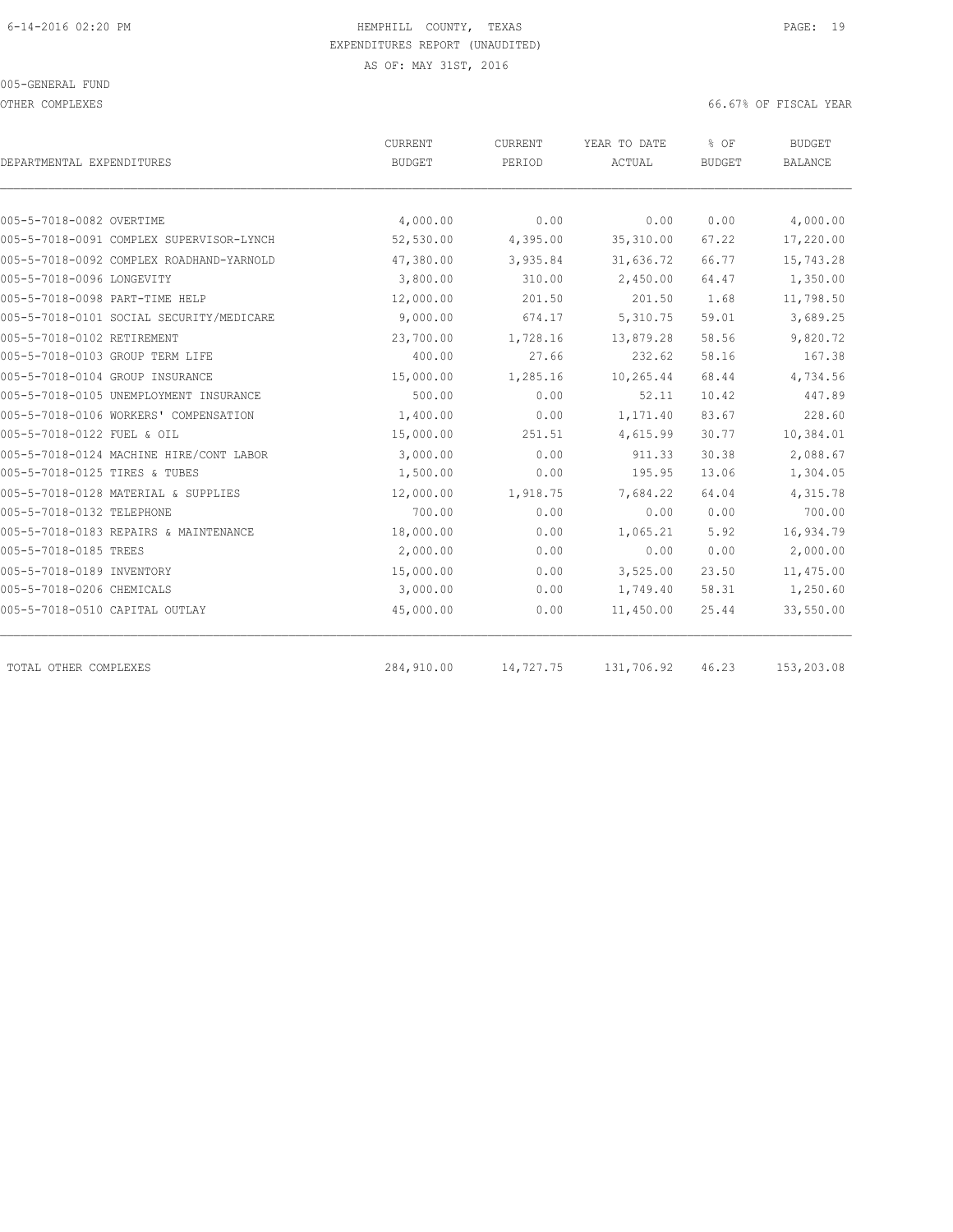#### 005-GENERAL FUND

OTHER COMPLEXES 66.67% OF FISCAL YEAR

|                                          | CURRENT       | CURRENT   | YEAR TO DATE | % OF          | <b>BUDGET</b>  |  |
|------------------------------------------|---------------|-----------|--------------|---------------|----------------|--|
| DEPARTMENTAL EXPENDITURES                | <b>BUDGET</b> | PERIOD    | ACTUAL       | <b>BUDGET</b> | <b>BALANCE</b> |  |
|                                          |               |           |              |               |                |  |
| 005-5-7018-0082 OVERTIME                 | 4,000.00      | 0.00      | 0.00         | 0.00          | 4,000.00       |  |
| 005-5-7018-0091 COMPLEX SUPERVISOR-LYNCH | 52,530.00     | 4,395.00  | 35,310.00    | 67.22         | 17,220.00      |  |
| 005-5-7018-0092 COMPLEX ROADHAND-YARNOLD | 47,380.00     | 3,935.84  | 31,636.72    | 66.77         | 15,743.28      |  |
| 005-5-7018-0096 LONGEVITY                | 3,800.00      | 310.00    | 2,450.00     | 64.47         | 1,350.00       |  |
| 005-5-7018-0098 PART-TIME HELP           | 12,000.00     | 201.50    | 201.50       | 1.68          | 11,798.50      |  |
| 005-5-7018-0101 SOCIAL SECURITY/MEDICARE | 9,000.00      | 674.17    | 5,310.75     | 59.01         | 3,689.25       |  |
| 005-5-7018-0102 RETIREMENT               | 23,700.00     | 1,728.16  | 13,879.28    | 58.56         | 9,820.72       |  |
| 005-5-7018-0103 GROUP TERM LIFE          | 400.00        | 27.66     | 232.62       | 58.16         | 167.38         |  |
| 005-5-7018-0104 GROUP INSURANCE          | 15,000.00     | 1,285.16  | 10,265.44    | 68.44         | 4,734.56       |  |
| 005-5-7018-0105 UNEMPLOYMENT INSURANCE   | 500.00        | 0.00      | 52.11        | 10.42         | 447.89         |  |
| 005-5-7018-0106 WORKERS' COMPENSATION    | 1,400.00      | 0.00      | 1,171.40     | 83.67         | 228.60         |  |
| 005-5-7018-0122 FUEL & OIL               | 15,000.00     | 251.51    | 4,615.99     | 30.77         | 10,384.01      |  |
| 005-5-7018-0124 MACHINE HIRE/CONT LABOR  | 3,000.00      | 0.00      | 911.33       | 30.38         | 2,088.67       |  |
| 005-5-7018-0125 TIRES & TUBES            | 1,500.00      | 0.00      | 195.95       | 13.06         | 1,304.05       |  |
| 005-5-7018-0128 MATERIAL & SUPPLIES      | 12,000.00     | 1,918.75  | 7,684.22     | 64.04         | 4,315.78       |  |
| 005-5-7018-0132 TELEPHONE                | 700.00        | 0.00      | 0.00         | 0.00          | 700.00         |  |
| 005-5-7018-0183 REPAIRS & MAINTENANCE    | 18,000.00     | 0.00      | 1,065.21     | 5.92          | 16,934.79      |  |
| 005-5-7018-0185 TREES                    | 2,000.00      | 0.00      | 0.00         | 0.00          | 2,000.00       |  |
| 005-5-7018-0189 INVENTORY                | 15,000.00     | 0.00      | 3,525.00     | 23.50         | 11,475.00      |  |
| 005-5-7018-0206 CHEMICALS                | 3,000.00      | 0.00      | 1,749.40     | 58.31         | 1,250.60       |  |
| 005-5-7018-0510 CAPITAL OUTLAY           | 45,000.00     | 0.00      | 11,450.00    | 25.44         | 33,550.00      |  |
| TOTAL OTHER COMPLEXES                    | 284,910.00    | 14,727.75 | 131,706.92   | 46.23         | 153,203.08     |  |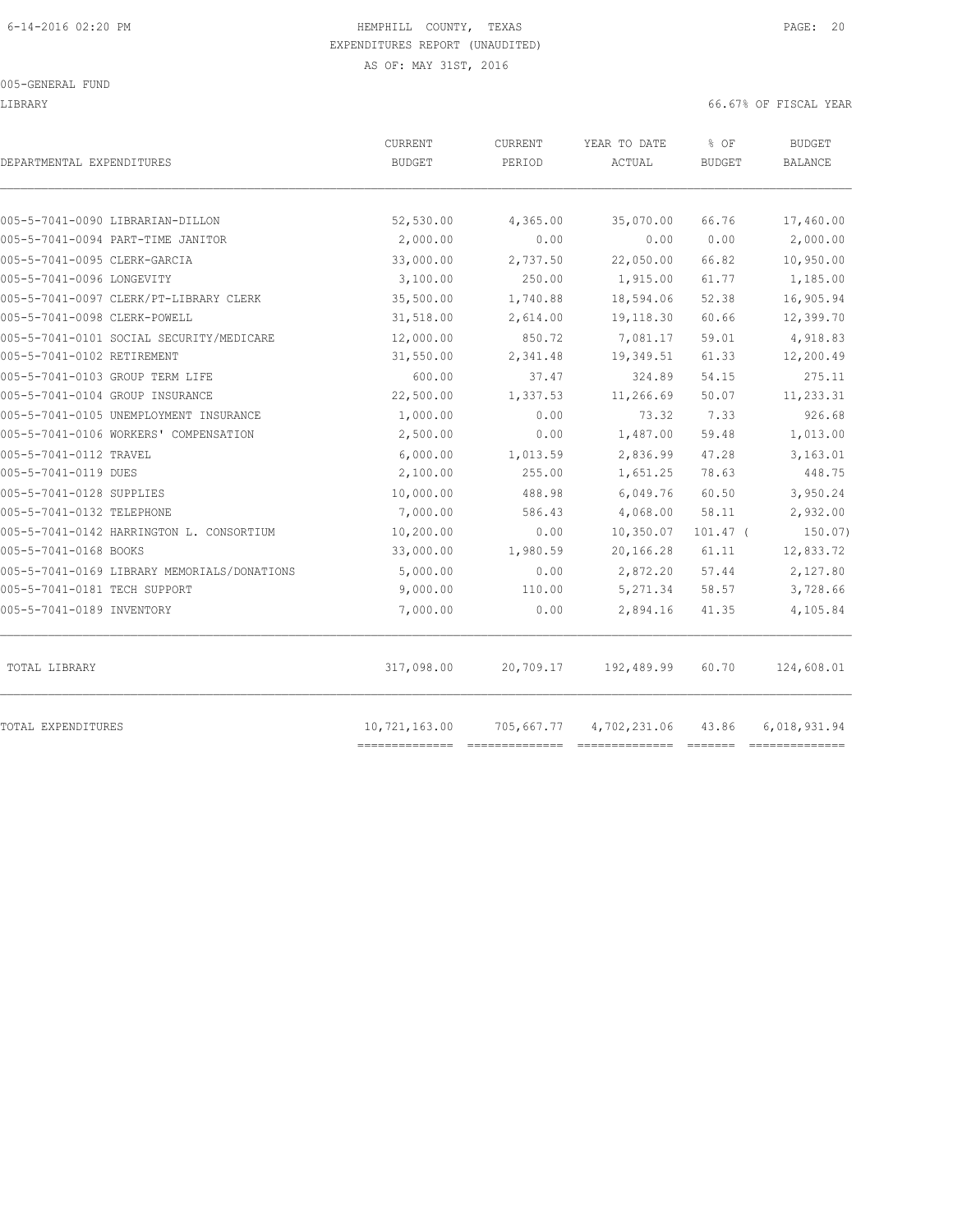LIBRARY 66.67% OF FISCAL YEAR

| DEPARTMENTAL EXPENDITURES                   | CURRENT<br><b>BUDGET</b> | CURRENT<br>PERIOD | YEAR TO DATE<br>ACTUAL | % OF<br><b>BUDGET</b> | <b>BUDGET</b><br><b>BALANCE</b> |
|---------------------------------------------|--------------------------|-------------------|------------------------|-----------------------|---------------------------------|
| 005-5-7041-0090 LIBRARIAN-DILLON            | 52,530.00                | 4,365.00          | 35,070.00              | 66.76                 | 17,460.00                       |
| 005-5-7041-0094 PART-TIME JANITOR           | 2,000.00                 | 0.00              | 0.00                   | 0.00                  | 2,000.00                        |
| 005-5-7041-0095 CLERK-GARCIA                | 33,000.00                | 2,737.50          | 22,050.00              | 66.82                 | 10,950.00                       |
| 005-5-7041-0096 LONGEVITY                   | 3,100.00                 | 250.00            | 1,915.00               | 61.77                 | 1,185.00                        |
| 005-5-7041-0097 CLERK/PT-LIBRARY CLERK      | 35,500.00                | 1,740.88          | 18,594.06              | 52.38                 | 16,905.94                       |
| 005-5-7041-0098 CLERK-POWELL                | 31,518.00                | 2,614.00          | 19,118.30              | 60.66                 | 12,399.70                       |
| 005-5-7041-0101 SOCIAL SECURITY/MEDICARE    | 12,000.00                | 850.72            | 7,081.17               | 59.01                 | 4,918.83                        |
| 005-5-7041-0102 RETIREMENT                  | 31,550.00                | 2,341.48          | 19,349.51              | 61.33                 | 12,200.49                       |
| 005-5-7041-0103 GROUP TERM LIFE             | 600.00                   | 37.47             | 324.89                 | 54.15                 | 275.11                          |
| 005-5-7041-0104 GROUP INSURANCE             | 22,500.00                | 1,337.53          | 11,266.69              | 50.07                 | 11,233.31                       |
| 005-5-7041-0105 UNEMPLOYMENT INSURANCE      | 1,000.00                 | 0.00              | 73.32                  | 7.33                  | 926.68                          |
| 005-5-7041-0106 WORKERS' COMPENSATION       | 2,500.00                 | 0.00              | 1,487.00               | 59.48                 | 1,013.00                        |
| 005-5-7041-0112 TRAVEL                      | 6,000.00                 | 1,013.59          | 2,836.99               | 47.28                 | 3,163.01                        |
| 005-5-7041-0119 DUES                        | 2,100.00                 | 255.00            | 1,651.25               | 78.63                 | 448.75                          |
| 005-5-7041-0128 SUPPLIES                    | 10,000.00                | 488.98            | 6,049.76               | 60.50                 | 3,950.24                        |
| 005-5-7041-0132 TELEPHONE                   | 7,000.00                 | 586.43            | 4,068.00               | 58.11                 | 2,932.00                        |
| 005-5-7041-0142 HARRINGTON L. CONSORTIUM    | 10,200.00                | 0.00              | 10,350.07              | $101.47$ (            | $150.07$ )                      |
| 005-5-7041-0168 BOOKS                       | 33,000.00                | 1,980.59          | 20,166.28              | 61.11                 | 12,833.72                       |
| 005-5-7041-0169 LIBRARY MEMORIALS/DONATIONS | 5,000.00                 | 0.00              | 2,872.20               | 57.44                 | 2,127.80                        |
| 005-5-7041-0181 TECH SUPPORT                | 9,000.00                 | 110.00            | 5,271.34               | 58.57                 | 3,728.66                        |
| 005-5-7041-0189 INVENTORY                   | 7,000.00                 | 0.00              | 2,894.16               | 41.35                 | 4,105.84                        |
| TOTAL LIBRARY                               | 317,098.00               | 20,709.17         | 192,489.99             | 60.70                 | 124,608.01                      |
| TOTAL EXPENDITURES                          | 10,721,163.00            | 705,667.77        | 4,702,231.06           | 43.86                 | 6,018,931.94                    |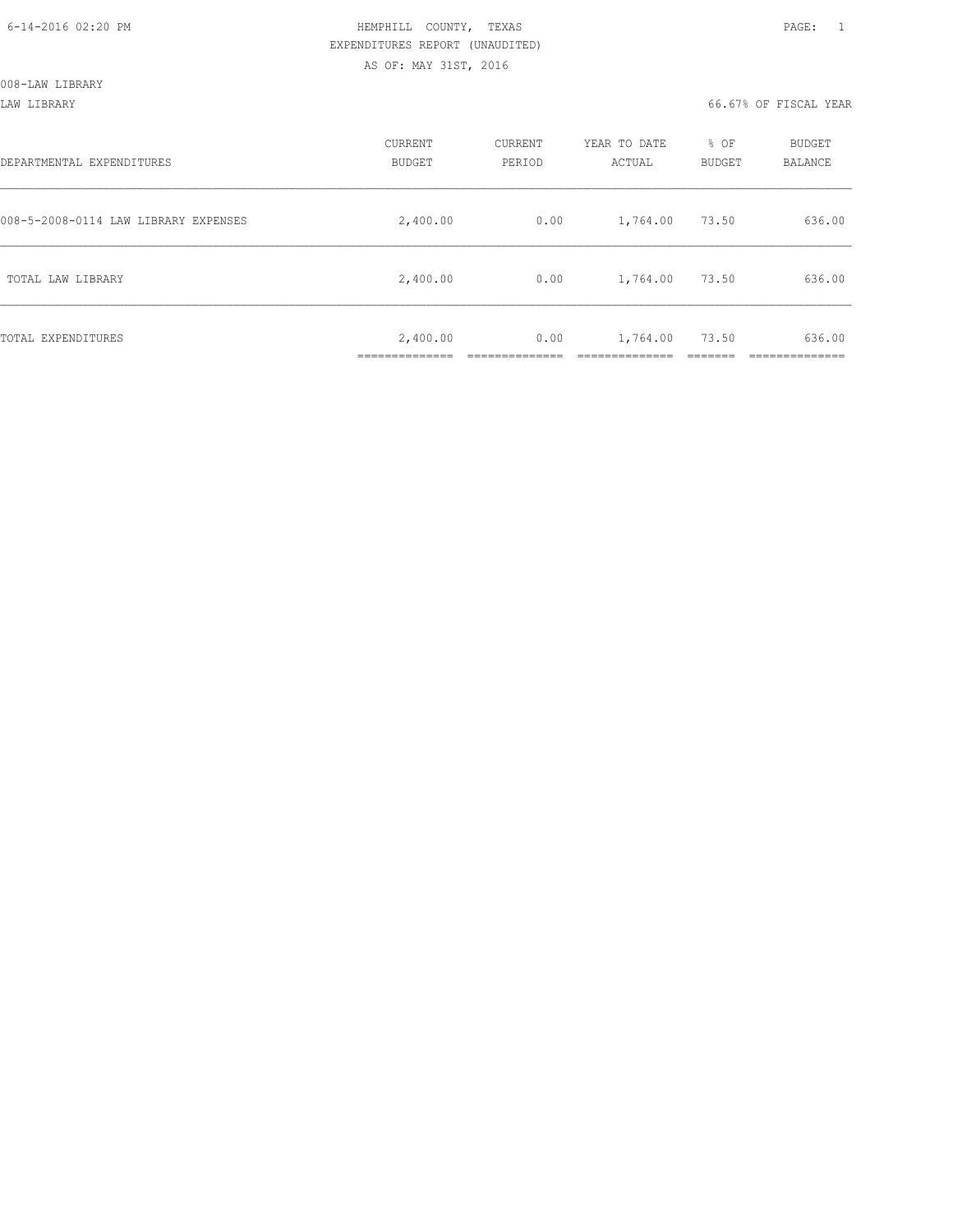008-LAW LIBRARY

LAW LIBRARY 66.67% OF FISCAL YEAR

| DEPARTMENTAL EXPENDITURES            | CURRENT<br><b>BUDGET</b> | CURRENT<br>PERIOD | YEAR TO DATE<br>ACTUAL | % OF<br>BUDGET | BUDGET<br>BALANCE |
|--------------------------------------|--------------------------|-------------------|------------------------|----------------|-------------------|
| 008-5-2008-0114 LAW LIBRARY EXPENSES | 2,400.00                 | 0.00              | 1,764.00               | 73.50          | 636.00            |
| TOTAL LAW LIBRARY                    | 2,400.00                 | 0.00              | 1,764.00               | 73.50          | 636.00            |
| TOTAL EXPENDITURES                   | 2,400.00                 | 0.00              | 1,764.00               | 73.50          | 636.00            |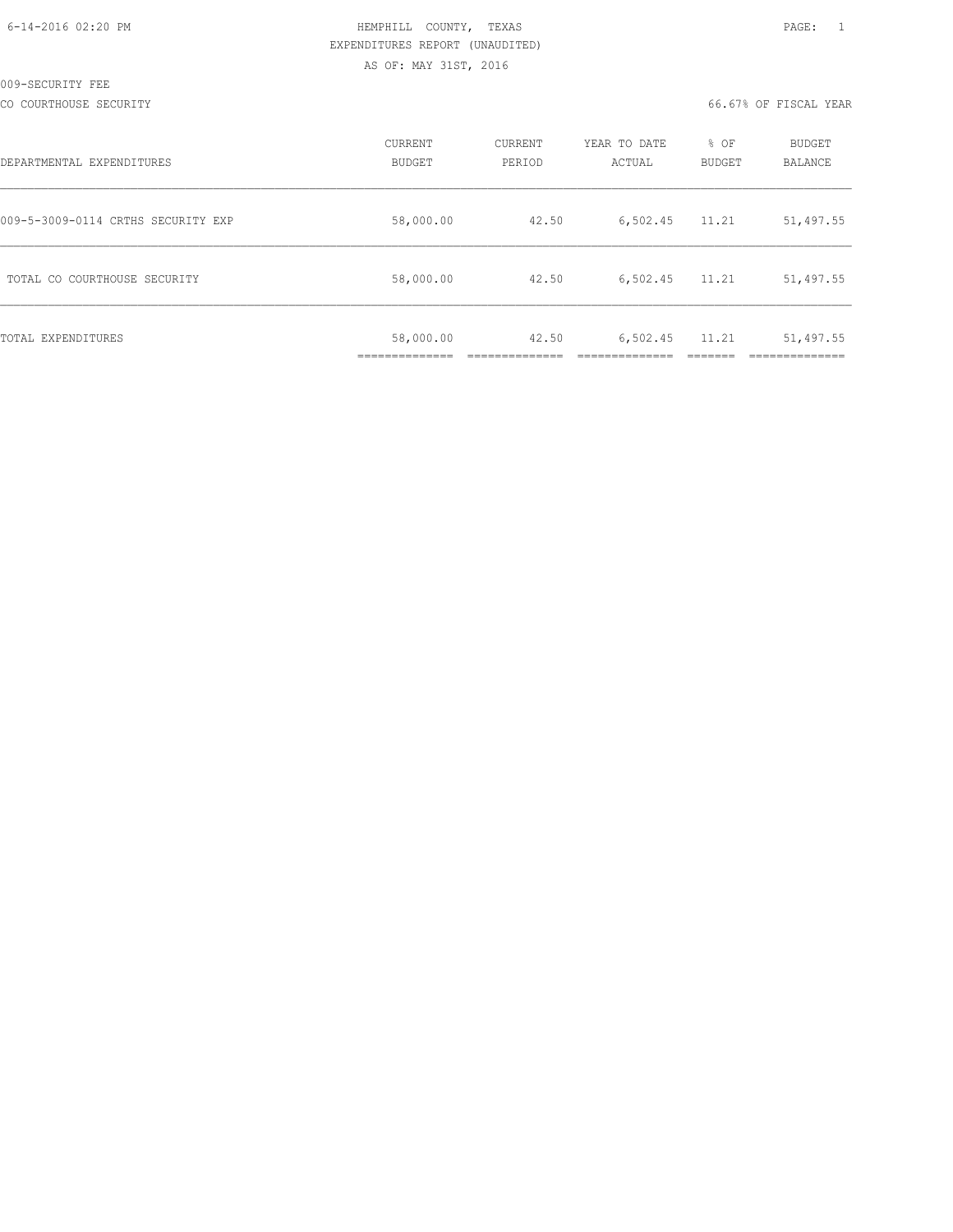| 6-14-2016 02:20 PM |  |
|--------------------|--|
|                    |  |

# HEMPHILL COUNTY, TEXAS **Example 20:20 PAGE:** 1 EXPENDITURES REPORT (UNAUDITED) AS OF: MAY 31ST, 2016

CO COURTHOUSE SECURITY CONSULTED AND RESOLUTION OF SECOND ACTIVITY OF SECONDITY CONSULTED A COURTHOUSE SECURITY

| DEPARTMENTAL EXPENDITURES          | <b>CURRENT</b><br>BUDGET | CURRENT<br>PERIOD | YEAR TO DATE<br>ACTUAL | % OF<br><b>BUDGET</b> | <b>BUDGET</b><br>BALANCE |
|------------------------------------|--------------------------|-------------------|------------------------|-----------------------|--------------------------|
| 009-5-3009-0114 CRTHS SECURITY EXP | 58,000.00                | 42.50             | 6,502.45               | 11.21                 | 51,497.55                |
| TOTAL CO COURTHOUSE SECURITY       | 58,000.00                | 42.50             | 6,502.45               | 11.21                 | 51,497.55                |
| TOTAL EXPENDITURES                 | 58,000.00<br>___________ | 42.50             | 6,502.45               | 11.21                 | 51,497.55                |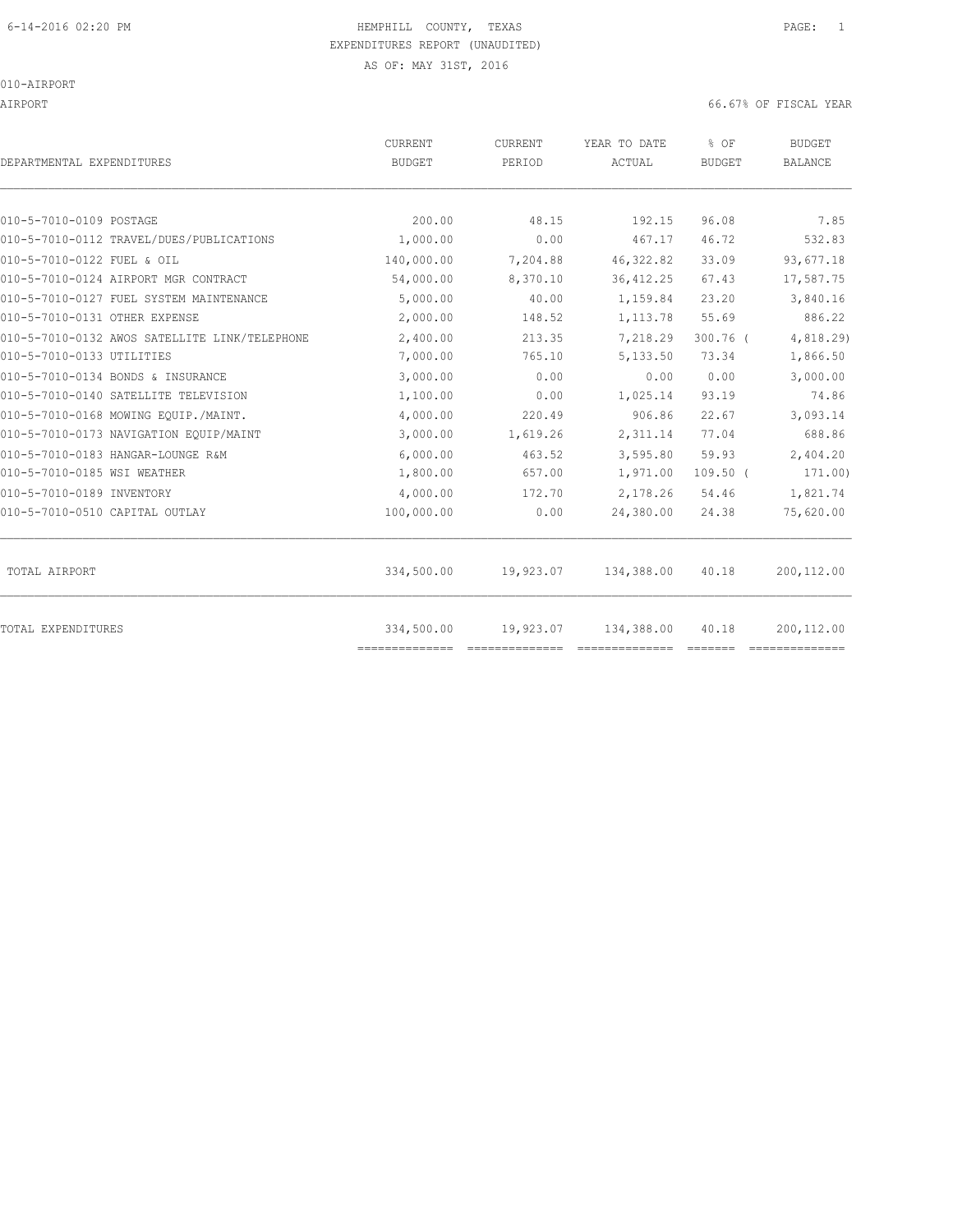AIRPORT 66.67% OF FISCAL YEAR

| DEPARTMENTAL EXPENDITURES                     | <b>CURRENT</b><br><b>BUDGET</b> | CURRENT<br>PERIOD | YEAR TO DATE<br>ACTUAL | % OF<br><b>BUDGET</b> | <b>BUDGET</b><br><b>BALANCE</b> |
|-----------------------------------------------|---------------------------------|-------------------|------------------------|-----------------------|---------------------------------|
|                                               |                                 |                   |                        |                       |                                 |
| 010-5-7010-0109 POSTAGE                       | 200.00                          | 48.15             | 192.15                 | 96.08                 | 7.85                            |
| 010-5-7010-0112 TRAVEL/DUES/PUBLICATIONS      | 1,000.00                        | 0.00              | 467.17                 | 46.72                 | 532.83                          |
| 010-5-7010-0122 FUEL & OIL                    | 140,000.00                      | 7,204.88          | 46, 322.82             | 33.09                 | 93,677.18                       |
| 010-5-7010-0124 AIRPORT MGR CONTRACT          | 54,000.00                       | 8,370.10          | 36, 412.25             | 67.43                 | 17,587.75                       |
| 010-5-7010-0127 FUEL SYSTEM MAINTENANCE       | 5,000.00                        | 40.00             | 1,159.84               | 23.20                 | 3,840.16                        |
| 010-5-7010-0131 OTHER EXPENSE                 | 2,000.00                        | 148.52            | 1,113.78               | 55.69                 | 886.22                          |
| 010-5-7010-0132 AWOS SATELLITE LINK/TELEPHONE | 2,400.00                        | 213.35            | 7,218.29               | $300.76$ $($          | 4,818.29)                       |
| 010-5-7010-0133 UTILITIES                     | 7,000.00                        | 765.10            | 5,133.50               | 73.34                 | 1,866.50                        |
| 010-5-7010-0134 BONDS & INSURANCE             | 3,000.00                        | 0.00              | 0.00                   | 0.00                  | 3,000.00                        |
| 010-5-7010-0140 SATELLITE TELEVISION          | 1,100.00                        | 0.00              | 1,025.14               | 93.19                 | 74.86                           |
| 010-5-7010-0168 MOWING EOUIP./MAINT.          | 4,000.00                        | 220.49            | 906.86                 | 22.67                 | 3,093.14                        |
| 010-5-7010-0173 NAVIGATION EQUIP/MAINT        | 3,000.00                        | 1,619.26          | 2,311.14               | 77.04                 | 688.86                          |
| 010-5-7010-0183 HANGAR-LOUNGE R&M             | 6,000.00                        | 463.52            | 3,595.80               | 59.93                 | 2,404.20                        |
| 010-5-7010-0185 WSI WEATHER                   | 1,800.00                        | 657.00            | 1,971.00               | $109.50$ (            | 171.00)                         |
| 010-5-7010-0189 INVENTORY                     | 4,000.00                        | 172.70            | 2,178.26               | 54.46                 | 1,821.74                        |
| 010-5-7010-0510 CAPITAL OUTLAY                | 100,000.00                      | 0.00              | 24,380.00              | 24.38                 | 75,620.00                       |
| TOTAL AIRPORT                                 | 334,500.00                      | 19,923.07         | 134,388.00             | 40.18                 | 200,112.00                      |
| TOTAL EXPENDITURES                            | 334,500.00<br>==============    | 19,923.07         | 134,388.00             | 40.18                 | 200,112.00                      |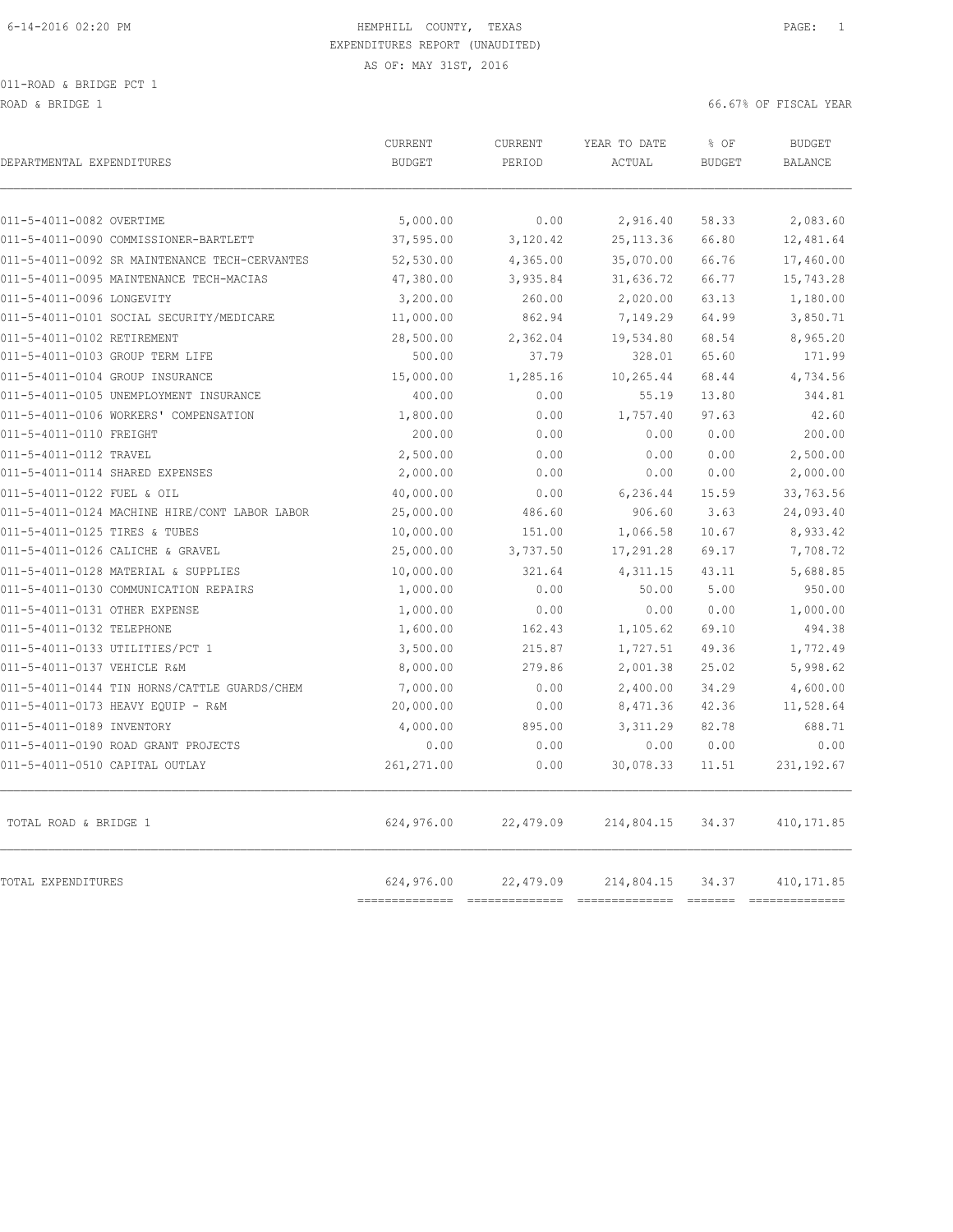011-ROAD & BRIDGE PCT 1

ROAD & BRIDGE 1 66.67% OF FISCAL YEAR

| DEPARTMENTAL EXPENDITURES                     | CURRENT<br><b>BUDGET</b>  | CURRENT<br>PERIOD | YEAR TO DATE<br>ACTUAL | % OF<br><b>BUDGET</b>                                                                                                                                                                                                                                                                                                                                                                                                                                                                    | <b>BUDGET</b><br><b>BALANCE</b> |
|-----------------------------------------------|---------------------------|-------------------|------------------------|------------------------------------------------------------------------------------------------------------------------------------------------------------------------------------------------------------------------------------------------------------------------------------------------------------------------------------------------------------------------------------------------------------------------------------------------------------------------------------------|---------------------------------|
| 011-5-4011-0082 OVERTIME                      | 5,000.00                  | 0.00              | 2,916.40               | 58.33                                                                                                                                                                                                                                                                                                                                                                                                                                                                                    | 2,083.60                        |
| 011-5-4011-0090 COMMISSIONER-BARTLETT         | 37,595.00                 | 3,120.42          | 25, 113.36             | 66.80                                                                                                                                                                                                                                                                                                                                                                                                                                                                                    | 12,481.64                       |
| 011-5-4011-0092 SR MAINTENANCE TECH-CERVANTES | 52,530.00                 | 4,365.00          | 35,070.00              | 66.76                                                                                                                                                                                                                                                                                                                                                                                                                                                                                    | 17,460.00                       |
| 011-5-4011-0095 MAINTENANCE TECH-MACIAS       | 47,380.00                 | 3,935.84          | 31,636.72              | 66.77                                                                                                                                                                                                                                                                                                                                                                                                                                                                                    | 15,743.28                       |
| 011-5-4011-0096 LONGEVITY                     | 3,200.00                  | 260.00            | 2,020.00               | 63.13                                                                                                                                                                                                                                                                                                                                                                                                                                                                                    | 1,180.00                        |
| 011-5-4011-0101 SOCIAL SECURITY/MEDICARE      | 11,000.00                 | 862.94            | 7,149.29               | 64.99                                                                                                                                                                                                                                                                                                                                                                                                                                                                                    | 3,850.71                        |
| 011-5-4011-0102 RETIREMENT                    | 28,500.00                 | 2,362.04          | 19,534.80              | 68.54                                                                                                                                                                                                                                                                                                                                                                                                                                                                                    | 8,965.20                        |
| 011-5-4011-0103 GROUP TERM LIFE               | 500.00                    | 37.79             | 328.01                 | 65.60                                                                                                                                                                                                                                                                                                                                                                                                                                                                                    | 171.99                          |
| 011-5-4011-0104 GROUP INSURANCE               | 15,000.00                 | 1,285.16          | 10,265.44              | 68.44                                                                                                                                                                                                                                                                                                                                                                                                                                                                                    | 4,734.56                        |
| 011-5-4011-0105 UNEMPLOYMENT INSURANCE        | 400.00                    | 0.00              | 55.19                  | 13.80                                                                                                                                                                                                                                                                                                                                                                                                                                                                                    | 344.81                          |
| 011-5-4011-0106 WORKERS' COMPENSATION         | 1,800.00                  | 0.00              | 1,757.40               | 97.63                                                                                                                                                                                                                                                                                                                                                                                                                                                                                    | 42.60                           |
| 011-5-4011-0110 FREIGHT                       | 200.00                    | 0.00              | 0.00                   | 0.00                                                                                                                                                                                                                                                                                                                                                                                                                                                                                     | 200.00                          |
| 011-5-4011-0112 TRAVEL                        | 2,500.00                  | 0.00              | 0.00                   | 0.00                                                                                                                                                                                                                                                                                                                                                                                                                                                                                     | 2,500.00                        |
| 011-5-4011-0114 SHARED EXPENSES               | 2,000.00                  | 0.00              | 0.00                   | 0.00                                                                                                                                                                                                                                                                                                                                                                                                                                                                                     | 2,000.00                        |
| 011-5-4011-0122 FUEL & OIL                    | 40,000.00                 | 0.00              | 6,236.44               | 15.59                                                                                                                                                                                                                                                                                                                                                                                                                                                                                    | 33,763.56                       |
| 011-5-4011-0124 MACHINE HIRE/CONT LABOR LABOR | 25,000.00                 | 486.60            | 906.60                 | 3.63                                                                                                                                                                                                                                                                                                                                                                                                                                                                                     | 24,093.40                       |
| 011-5-4011-0125 TIRES & TUBES                 | 10,000.00                 | 151.00            | 1,066.58               | 10.67                                                                                                                                                                                                                                                                                                                                                                                                                                                                                    | 8,933.42                        |
| 011-5-4011-0126 CALICHE & GRAVEL              | 25,000.00                 | 3,737.50          | 17,291.28              | 69.17                                                                                                                                                                                                                                                                                                                                                                                                                                                                                    | 7,708.72                        |
| 011-5-4011-0128 MATERIAL & SUPPLIES           | 10,000.00                 | 321.64            | 4,311.15               | 43.11                                                                                                                                                                                                                                                                                                                                                                                                                                                                                    | 5,688.85                        |
| 011-5-4011-0130 COMMUNICATION REPAIRS         | 1,000.00                  | 0.00              | 50.00                  | 5.00                                                                                                                                                                                                                                                                                                                                                                                                                                                                                     | 950.00                          |
| 011-5-4011-0131 OTHER EXPENSE                 | 1,000.00                  | 0.00              | 0.00                   | 0.00                                                                                                                                                                                                                                                                                                                                                                                                                                                                                     | 1,000.00                        |
| 011-5-4011-0132 TELEPHONE                     | 1,600.00                  | 162.43            | 1,105.62               | 69.10                                                                                                                                                                                                                                                                                                                                                                                                                                                                                    | 494.38                          |
| 011-5-4011-0133 UTILITIES/PCT 1               | 3,500.00                  | 215.87            | 1,727.51               | 49.36                                                                                                                                                                                                                                                                                                                                                                                                                                                                                    | 1,772.49                        |
| 011-5-4011-0137 VEHICLE R&M                   | 8,000.00                  | 279.86            | 2,001.38               | 25.02                                                                                                                                                                                                                                                                                                                                                                                                                                                                                    | 5,998.62                        |
| 011-5-4011-0144 TIN HORNS/CATTLE GUARDS/CHEM  | 7,000.00                  | 0.00              | 2,400.00               | 34.29                                                                                                                                                                                                                                                                                                                                                                                                                                                                                    | 4,600.00                        |
| 011-5-4011-0173 HEAVY EQUIP - R&M             | 20,000.00                 | 0.00              | 8,471.36               | 42.36                                                                                                                                                                                                                                                                                                                                                                                                                                                                                    | 11,528.64                       |
| 011-5-4011-0189 INVENTORY                     | 4,000.00                  | 895.00            | 3, 311.29              | 82.78                                                                                                                                                                                                                                                                                                                                                                                                                                                                                    | 688.71                          |
| 011-5-4011-0190 ROAD GRANT PROJECTS           | 0.00                      | 0.00              | 0.00                   | 0.00                                                                                                                                                                                                                                                                                                                                                                                                                                                                                     | 0.00                            |
| 011-5-4011-0510 CAPITAL OUTLAY                | 261,271.00                | 0.00              | 30,078.33              | 11.51                                                                                                                                                                                                                                                                                                                                                                                                                                                                                    | 231, 192.67                     |
| TOTAL ROAD & BRIDGE 1                         | 624,976.00                | 22,479.09         | 214,804.15             | 34.37                                                                                                                                                                                                                                                                                                                                                                                                                                                                                    | 410, 171.85                     |
| <b>TOTAL EXPENDITURES</b>                     | 624,976.00<br>----------- | 22,479.09         | 214,804.15             | 34.37<br>$\begin{tabular}{ll} \multicolumn{2}{c}{\textbf{2}} & \multicolumn{2}{c}{\textbf{2}} & \multicolumn{2}{c}{\textbf{2}} & \multicolumn{2}{c}{\textbf{2}} & \multicolumn{2}{c}{\textbf{2}} & \multicolumn{2}{c}{\textbf{2}} & \multicolumn{2}{c}{\textbf{2}} & \multicolumn{2}{c}{\textbf{2}} & \multicolumn{2}{c}{\textbf{2}} & \multicolumn{2}{c}{\textbf{2}} & \multicolumn{2}{c}{\textbf{2}} & \multicolumn{2}{c}{\textbf{2}} & \multicolumn{2}{c}{\textbf{2}} & \multicolumn$ | 410, 171.85<br>$= 2222222222$   |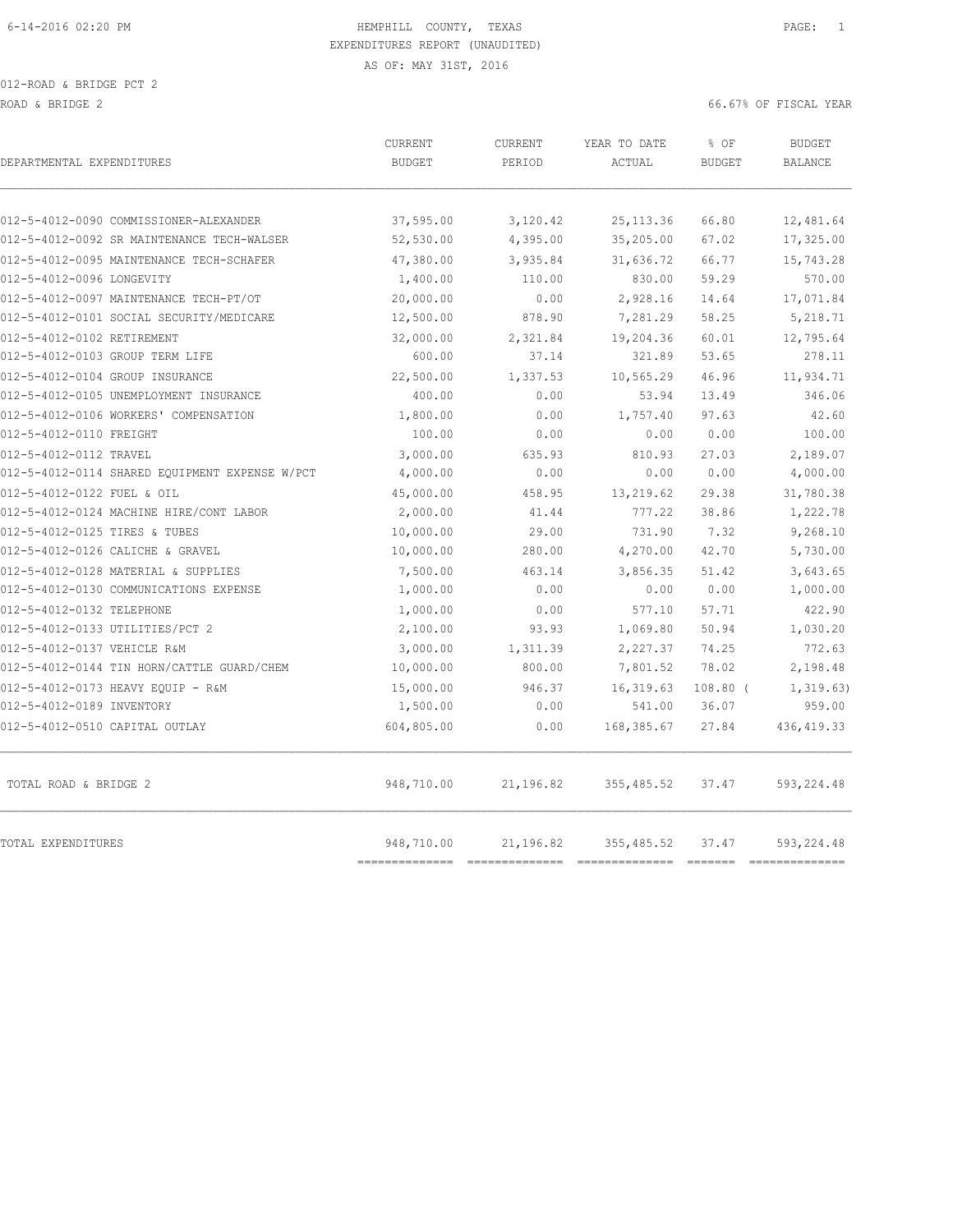012-ROAD & BRIDGE PCT 2 ROAD & BRIDGE 2 66.67% OF FISCAL YEAR

| DEPARTMENTAL EXPENDITURES                      | <b>CURRENT</b><br><b>BUDGET</b> | CURRENT<br>PERIOD | YEAR TO DATE<br>ACTUAL | % OF<br><b>BUDGET</b> | <b>BUDGET</b><br><b>BALANCE</b> |
|------------------------------------------------|---------------------------------|-------------------|------------------------|-----------------------|---------------------------------|
|                                                |                                 |                   |                        |                       |                                 |
| 012-5-4012-0090 COMMISSIONER-ALEXANDER         | 37,595.00                       | 3,120.42          | 25, 113.36             | 66.80                 | 12,481.64                       |
| 012-5-4012-0092 SR MAINTENANCE TECH-WALSER     | 52,530.00                       | 4,395.00          | 35,205.00              | 67.02                 | 17,325.00                       |
| 012-5-4012-0095 MAINTENANCE TECH-SCHAFER       | 47,380.00                       | 3,935.84          | 31,636.72              | 66.77                 | 15,743.28                       |
| 012-5-4012-0096 LONGEVITY                      | 1,400.00                        | 110.00            | 830.00                 | 59.29                 | 570.00                          |
| 012-5-4012-0097 MAINTENANCE TECH-PT/OT         | 20,000.00                       | 0.00              | 2,928.16               | 14.64                 | 17,071.84                       |
| 012-5-4012-0101 SOCIAL SECURITY/MEDICARE       | 12,500.00                       | 878.90            | 7,281.29               | 58.25                 | 5,218.71                        |
| 012-5-4012-0102 RETIREMENT                     | 32,000.00                       | 2,321.84          | 19,204.36              | 60.01                 | 12,795.64                       |
| 012-5-4012-0103 GROUP TERM LIFE                | 600.00                          | 37.14             | 321.89                 | 53.65                 | 278.11                          |
| 012-5-4012-0104 GROUP INSURANCE                | 22,500.00                       | 1,337.53          | 10,565.29              | 46.96                 | 11,934.71                       |
| 012-5-4012-0105 UNEMPLOYMENT INSURANCE         | 400.00                          | 0.00              | 53.94                  | 13.49                 | 346.06                          |
| 012-5-4012-0106 WORKERS' COMPENSATION          | 1,800.00                        | 0.00              | 1,757.40               | 97.63                 | 42.60                           |
| 012-5-4012-0110 FREIGHT                        | 100.00                          | 0.00              | 0.00                   | 0.00                  | 100.00                          |
| 012-5-4012-0112 TRAVEL                         | 3,000.00                        | 635.93            | 810.93                 | 27.03                 | 2,189.07                        |
| 012-5-4012-0114 SHARED EQUIPMENT EXPENSE W/PCT | 4,000.00                        | 0.00              | 0.00                   | 0.00                  | 4,000.00                        |
| 012-5-4012-0122 FUEL & OIL                     | 45,000.00                       | 458.95            | 13,219.62              | 29.38                 | 31,780.38                       |
| 012-5-4012-0124 MACHINE HIRE/CONT LABOR        | 2,000.00                        | 41.44             | 777.22                 | 38.86                 | 1,222.78                        |
| 012-5-4012-0125 TIRES & TUBES                  | 10,000.00                       | 29.00             | 731.90                 | 7.32                  | 9,268.10                        |
| 012-5-4012-0126 CALICHE & GRAVEL               | 10,000.00                       | 280.00            | 4,270.00               | 42.70                 | 5,730.00                        |
| 012-5-4012-0128 MATERIAL & SUPPLIES            | 7,500.00                        | 463.14            | 3,856.35               | 51.42                 | 3,643.65                        |
| 012-5-4012-0130 COMMUNICATIONS EXPENSE         | 1,000.00                        | 0.00              | 0.00                   | 0.00                  | 1,000.00                        |
| 012-5-4012-0132 TELEPHONE                      | 1,000.00                        | 0.00              | 577.10                 | 57.71                 | 422.90                          |
| 012-5-4012-0133 UTILITIES/PCT 2                | 2,100.00                        | 93.93             | 1,069.80               | 50.94                 | 1,030.20                        |
| 012-5-4012-0137 VEHICLE R&M                    | 3,000.00                        | 1,311.39          | 2,227.37               | 74.25                 | 772.63                          |
| 012-5-4012-0144 TIN HORN/CATTLE GUARD/CHEM     | 10,000.00                       | 800.00            | 7,801.52               | 78.02                 | 2,198.48                        |
| 012-5-4012-0173 HEAVY EQUIP - R&M              | 15,000.00                       | 946.37            | 16, 319.63             | $108.80$ (            | 1, 319.63)                      |
| 012-5-4012-0189 INVENTORY                      | 1,500.00                        | 0.00              | 541.00                 | 36.07                 | 959.00                          |
| 012-5-4012-0510 CAPITAL OUTLAY                 | 604,805.00                      | 0.00              | 168,385.67             | 27.84                 | 436, 419.33                     |
| TOTAL ROAD & BRIDGE 2                          | 948,710.00                      | 21,196.82         | 355,485.52             | 37.47                 | 593, 224.48                     |
| <b>TOTAL EXPENDITURES</b>                      | 948,710.00<br>===========       | 21,196.82         | 355,485.52             | 37.47                 | 593,224.48<br>---------------   |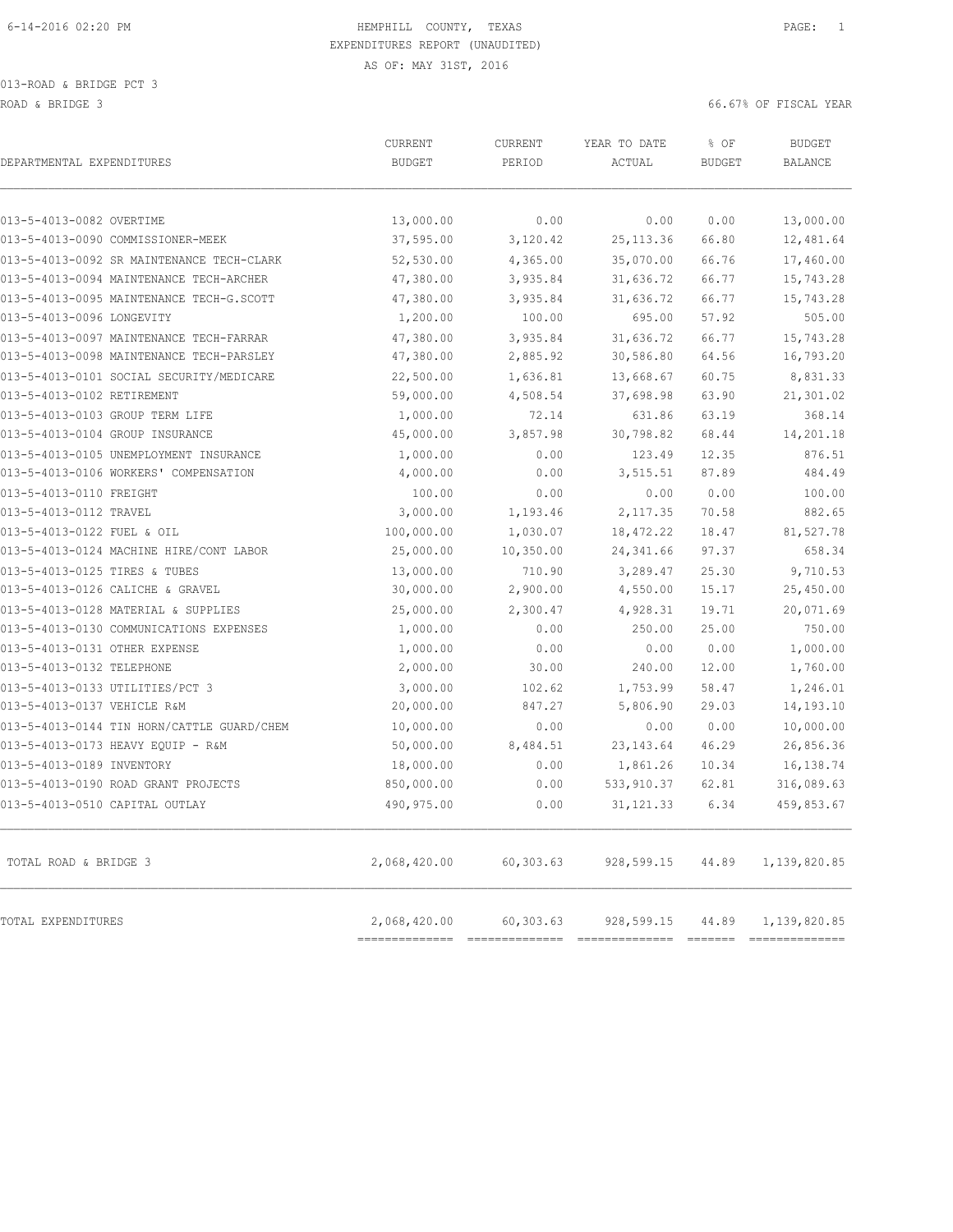013-ROAD & BRIDGE PCT 3 ROAD & BRIDGE 3 66.67% OF FISCAL YEAR

| DEPARTMENTAL EXPENDITURES                  | CURRENT<br><b>BUDGET</b>       | CURRENT<br>PERIOD | YEAR TO DATE<br>ACTUAL | % OF<br><b>BUDGET</b> | <b>BUDGET</b><br><b>BALANCE</b> |
|--------------------------------------------|--------------------------------|-------------------|------------------------|-----------------------|---------------------------------|
| 013-5-4013-0082 OVERTIME                   | 13,000.00                      | 0.00              | 0.00                   | 0.00                  | 13,000.00                       |
| 013-5-4013-0090 COMMISSIONER-MEEK          | 37,595.00                      | 3,120.42          | 25, 113.36             | 66.80                 | 12,481.64                       |
| 013-5-4013-0092 SR MAINTENANCE TECH-CLARK  | 52,530.00                      | 4,365.00          | 35,070.00              | 66.76                 | 17,460.00                       |
| 013-5-4013-0094 MAINTENANCE TECH-ARCHER    | 47,380.00                      | 3,935.84          | 31,636.72              | 66.77                 | 15,743.28                       |
| 013-5-4013-0095 MAINTENANCE TECH-G.SCOTT   | 47,380.00                      | 3,935.84          | 31,636.72              | 66.77                 | 15,743.28                       |
| 013-5-4013-0096 LONGEVITY                  | 1,200.00                       | 100.00            | 695.00                 | 57.92                 | 505.00                          |
| 013-5-4013-0097 MAINTENANCE TECH-FARRAR    | 47,380.00                      | 3,935.84          | 31,636.72              | 66.77                 | 15,743.28                       |
| 013-5-4013-0098 MAINTENANCE TECH-PARSLEY   | 47,380.00                      | 2,885.92          | 30,586.80              | 64.56                 | 16,793.20                       |
| 013-5-4013-0101 SOCIAL SECURITY/MEDICARE   | 22,500.00                      | 1,636.81          | 13,668.67              | 60.75                 | 8,831.33                        |
| 013-5-4013-0102 RETIREMENT                 | 59,000.00                      | 4,508.54          | 37,698.98              | 63.90                 | 21,301.02                       |
| 013-5-4013-0103 GROUP TERM LIFE            | 1,000.00                       | 72.14             | 631.86                 | 63.19                 | 368.14                          |
| 013-5-4013-0104 GROUP INSURANCE            | 45,000.00                      | 3,857.98          | 30,798.82              | 68.44                 | 14,201.18                       |
| 013-5-4013-0105 UNEMPLOYMENT INSURANCE     | 1,000.00                       | 0.00              | 123.49                 | 12.35                 | 876.51                          |
| 013-5-4013-0106 WORKERS' COMPENSATION      | 4,000.00                       | 0.00              | 3,515.51               | 87.89                 | 484.49                          |
| 013-5-4013-0110 FREIGHT                    | 100.00                         | 0.00              | 0.00                   | 0.00                  | 100.00                          |
| 013-5-4013-0112 TRAVEL                     | 3,000.00                       | 1,193.46          | 2, 117.35              | 70.58                 | 882.65                          |
| 013-5-4013-0122 FUEL & OIL                 | 100,000.00                     | 1,030.07          | 18, 472.22             | 18.47                 | 81,527.78                       |
| 013-5-4013-0124 MACHINE HIRE/CONT LABOR    | 25,000.00                      | 10, 350.00        | 24, 341.66             | 97.37                 | 658.34                          |
| 013-5-4013-0125 TIRES & TUBES              | 13,000.00                      | 710.90            | 3,289.47               | 25.30                 | 9,710.53                        |
| 013-5-4013-0126 CALICHE & GRAVEL           | 30,000.00                      | 2,900.00          | 4,550.00               | 15.17                 | 25,450.00                       |
| 013-5-4013-0128 MATERIAL & SUPPLIES        | 25,000.00                      | 2,300.47          | 4,928.31               | 19.71                 | 20,071.69                       |
| 013-5-4013-0130 COMMUNICATIONS EXPENSES    | 1,000.00                       | 0.00              | 250.00                 | 25.00                 | 750.00                          |
| 013-5-4013-0131 OTHER EXPENSE              | 1,000.00                       | 0.00              | 0.00                   | 0.00                  | 1,000.00                        |
| 013-5-4013-0132 TELEPHONE                  | 2,000.00                       | 30.00             | 240.00                 | 12.00                 | 1,760.00                        |
| 013-5-4013-0133 UTILITIES/PCT 3            | 3,000.00                       | 102.62            | 1,753.99               | 58.47                 | 1,246.01                        |
| 013-5-4013-0137 VEHICLE R&M                | 20,000.00                      | 847.27            | 5,806.90               | 29.03                 | 14,193.10                       |
| 013-5-4013-0144 TIN HORN/CATTLE GUARD/CHEM | 10,000.00                      | 0.00              | 0.00                   | 0.00                  | 10,000.00                       |
| 013-5-4013-0173 HEAVY EQUIP - R&M          | 50,000.00                      | 8,484.51          | 23, 143.64             | 46.29                 | 26,856.36                       |
| 013-5-4013-0189 INVENTORY                  | 18,000.00                      | 0.00              | 1,861.26               | 10.34                 | 16,138.74                       |
| 013-5-4013-0190 ROAD GRANT PROJECTS        | 850,000.00                     | 0.00              | 533,910.37             | 62.81                 | 316,089.63                      |
| 013-5-4013-0510 CAPITAL OUTLAY             | 490,975.00                     | 0.00              | 31, 121.33             | 6.34                  | 459,853.67                      |
| TOTAL ROAD & BRIDGE 3                      | 2,068,420.00                   | 60,303.63         | 928,599.15             | 44.89                 | 1,139,820.85                    |
| TOTAL EXPENDITURES                         | 2,068,420.00<br>============== | 60,303.63         | 928,599.15             | 44.89                 | 1,139,820.85<br>==============  |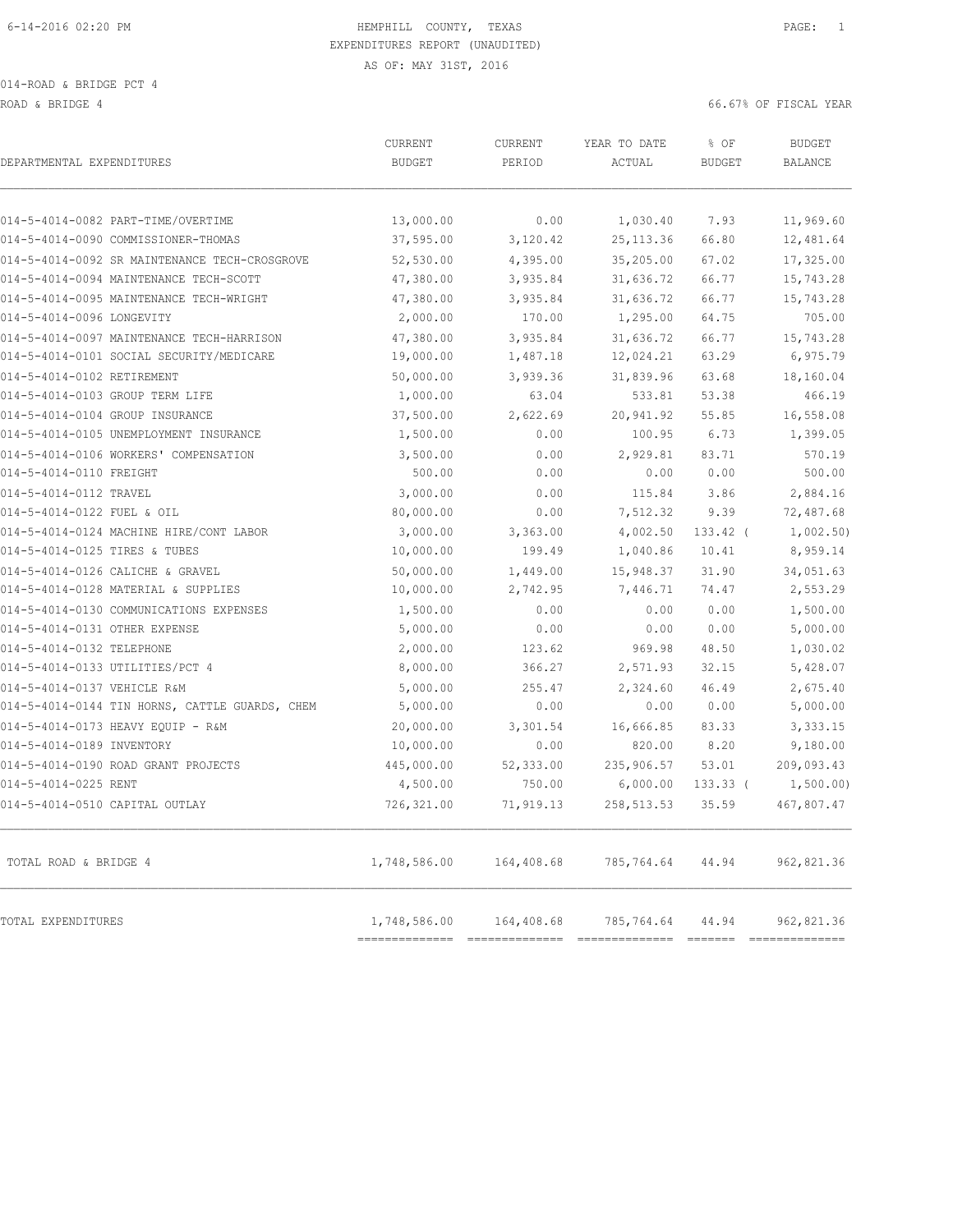014-ROAD & BRIDGE PCT 4

ROAD & BRIDGE 4 66.67% OF FISCAL YEAR

| DEPARTMENTAL EXPENDITURES                      | <b>CURRENT</b><br><b>BUDGET</b> | CURRENT<br>PERIOD | YEAR TO DATE<br>ACTUAL | % OF<br><b>BUDGET</b> | <b>BUDGET</b><br><b>BALANCE</b> |
|------------------------------------------------|---------------------------------|-------------------|------------------------|-----------------------|---------------------------------|
| 014-5-4014-0082 PART-TIME/OVERTIME             | 13,000.00                       | 0.00              | 1,030.40               | 7.93                  | 11,969.60                       |
| 014-5-4014-0090 COMMISSIONER-THOMAS            | 37,595.00                       | 3,120.42          | 25, 113.36             | 66.80                 | 12,481.64                       |
| 014-5-4014-0092 SR MAINTENANCE TECH-CROSGROVE  | 52,530.00                       | 4,395.00          | 35,205.00              | 67.02                 | 17,325.00                       |
| 014-5-4014-0094 MAINTENANCE TECH-SCOTT         | 47,380.00                       | 3,935.84          | 31,636.72              | 66.77                 | 15,743.28                       |
| 014-5-4014-0095 MAINTENANCE TECH-WRIGHT        | 47,380.00                       | 3,935.84          | 31,636.72              | 66.77                 | 15,743.28                       |
| 014-5-4014-0096 LONGEVITY                      | 2,000.00                        | 170.00            | 1,295.00               | 64.75                 | 705.00                          |
| 014-5-4014-0097 MAINTENANCE TECH-HARRISON      | 47,380.00                       | 3,935.84          | 31,636.72              | 66.77                 | 15,743.28                       |
| 014-5-4014-0101 SOCIAL SECURITY/MEDICARE       | 19,000.00                       | 1,487.18          | 12,024.21              | 63.29                 | 6,975.79                        |
| 014-5-4014-0102 RETIREMENT                     | 50,000.00                       | 3,939.36          | 31,839.96              | 63.68                 | 18,160.04                       |
| 014-5-4014-0103 GROUP TERM LIFE                | 1,000.00                        | 63.04             | 533.81                 | 53.38                 | 466.19                          |
| 014-5-4014-0104 GROUP INSURANCE                | 37,500.00                       | 2,622.69          | 20,941.92              | 55.85                 | 16,558.08                       |
| 014-5-4014-0105 UNEMPLOYMENT INSURANCE         | 1,500.00                        | 0.00              | 100.95                 | 6.73                  | 1,399.05                        |
| 014-5-4014-0106 WORKERS' COMPENSATION          | 3,500.00                        | 0.00              | 2,929.81               | 83.71                 | 570.19                          |
| 014-5-4014-0110 FREIGHT                        | 500.00                          | 0.00              | 0.00                   | 0.00                  | 500.00                          |
| 014-5-4014-0112 TRAVEL                         | 3,000.00                        | 0.00              | 115.84                 | 3.86                  | 2,884.16                        |
| 014-5-4014-0122 FUEL & OIL                     | 80,000.00                       | 0.00              | 7,512.32               | 9.39                  | 72,487.68                       |
| 014-5-4014-0124 MACHINE HIRE/CONT LABOR        | 3,000.00                        | 3,363.00          | 4,002.50               | $133.42$ (            | 1,002.50                        |
| 014-5-4014-0125 TIRES & TUBES                  | 10,000.00                       | 199.49            | 1,040.86               | 10.41                 | 8,959.14                        |
| 014-5-4014-0126 CALICHE & GRAVEL               | 50,000.00                       | 1,449.00          | 15,948.37              | 31.90                 | 34,051.63                       |
| 014-5-4014-0128 MATERIAL & SUPPLIES            | 10,000.00                       | 2,742.95          | 7,446.71               | 74.47                 | 2,553.29                        |
| 014-5-4014-0130 COMMUNICATIONS EXPENSES        | 1,500.00                        | 0.00              | 0.00                   | 0.00                  | 1,500.00                        |
| 014-5-4014-0131 OTHER EXPENSE                  | 5,000.00                        | 0.00              | 0.00                   | 0.00                  | 5,000.00                        |
| 014-5-4014-0132 TELEPHONE                      | 2,000.00                        | 123.62            | 969.98                 | 48.50                 | 1,030.02                        |
| 014-5-4014-0133 UTILITIES/PCT 4                | 8,000.00                        | 366.27            | 2,571.93               | 32.15                 | 5,428.07                        |
| 014-5-4014-0137 VEHICLE R&M                    | 5,000.00                        | 255.47            | 2,324.60               | 46.49                 | 2,675.40                        |
| 014-5-4014-0144 TIN HORNS, CATTLE GUARDS, CHEM | 5,000.00                        | 0.00              | 0.00                   | 0.00                  | 5,000.00                        |
| 014-5-4014-0173 HEAVY EQUIP - R&M              | 20,000.00                       | 3,301.54          | 16,666.85              | 83.33                 | 3,333.15                        |
| 014-5-4014-0189 INVENTORY                      | 10,000.00                       | 0.00              | 820.00                 | 8.20                  | 9,180.00                        |
| 014-5-4014-0190 ROAD GRANT PROJECTS            | 445,000.00                      | 52,333.00         | 235,906.57             | 53.01                 | 209,093.43                      |
| 014-5-4014-0225 RENT                           | 4,500.00                        | 750.00            | 6,000.00               | 133.33(               | 1,500.00)                       |
| 014-5-4014-0510 CAPITAL OUTLAY                 | 726,321.00                      | 71,919.13         | 258, 513.53            | 35.59                 | 467,807.47                      |
| TOTAL ROAD & BRIDGE 4                          | 1,748,586.00                    | 164,408.68        | 785,764.64             | 44.94                 | 962,821.36                      |
| TOTAL EXPENDITURES                             | 1,748,586.00                    | 164,408.68        | 785,764.64             | 44.94                 | 962,821.36                      |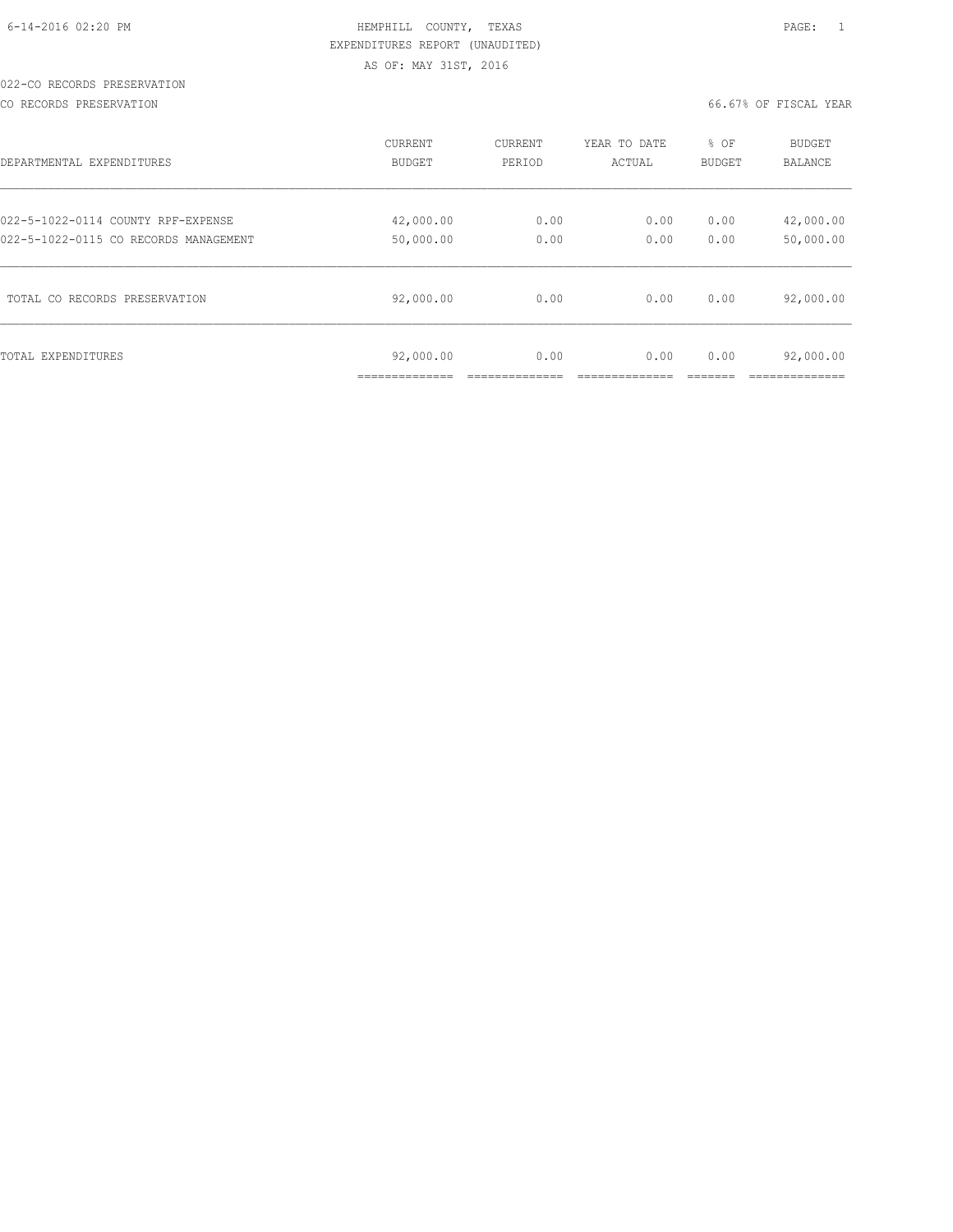#### 022-CO RECORDS PRESERVATION

CO RECORDS PRESERVATION 66.67% OF FISCAL YEAR

| DEPARTMENTAL EXPENDITURES             | CURRENT                                    | CURRENT | YEAR TO DATE | % OF   | <b>BUDGET</b> |
|---------------------------------------|--------------------------------------------|---------|--------------|--------|---------------|
|                                       | BUDGET                                     | PERIOD  | ACTUAL       | BUDGET | BALANCE       |
| 022-5-1022-0114 COUNTY RPF-EXPENSE    | 42,000.00                                  | 0.00    | 0.00         | 0.00   | 42,000.00     |
| 022-5-1022-0115 CO RECORDS MANAGEMENT | 50,000.00                                  | 0.00    | 0.00         | 0.00   | 50,000.00     |
| TOTAL CO RECORDS PRESERVATION         | 92,000.00                                  | 0.00    | 0.00         | 0.00   | 92,000.00     |
| TOTAL EXPENDITURES                    | 92,000.00<br>. _ _ _ _ _ _ _ _ _ _ _ _ _ _ | 0.00    | 0.00         | 0.00   | 92,000.00     |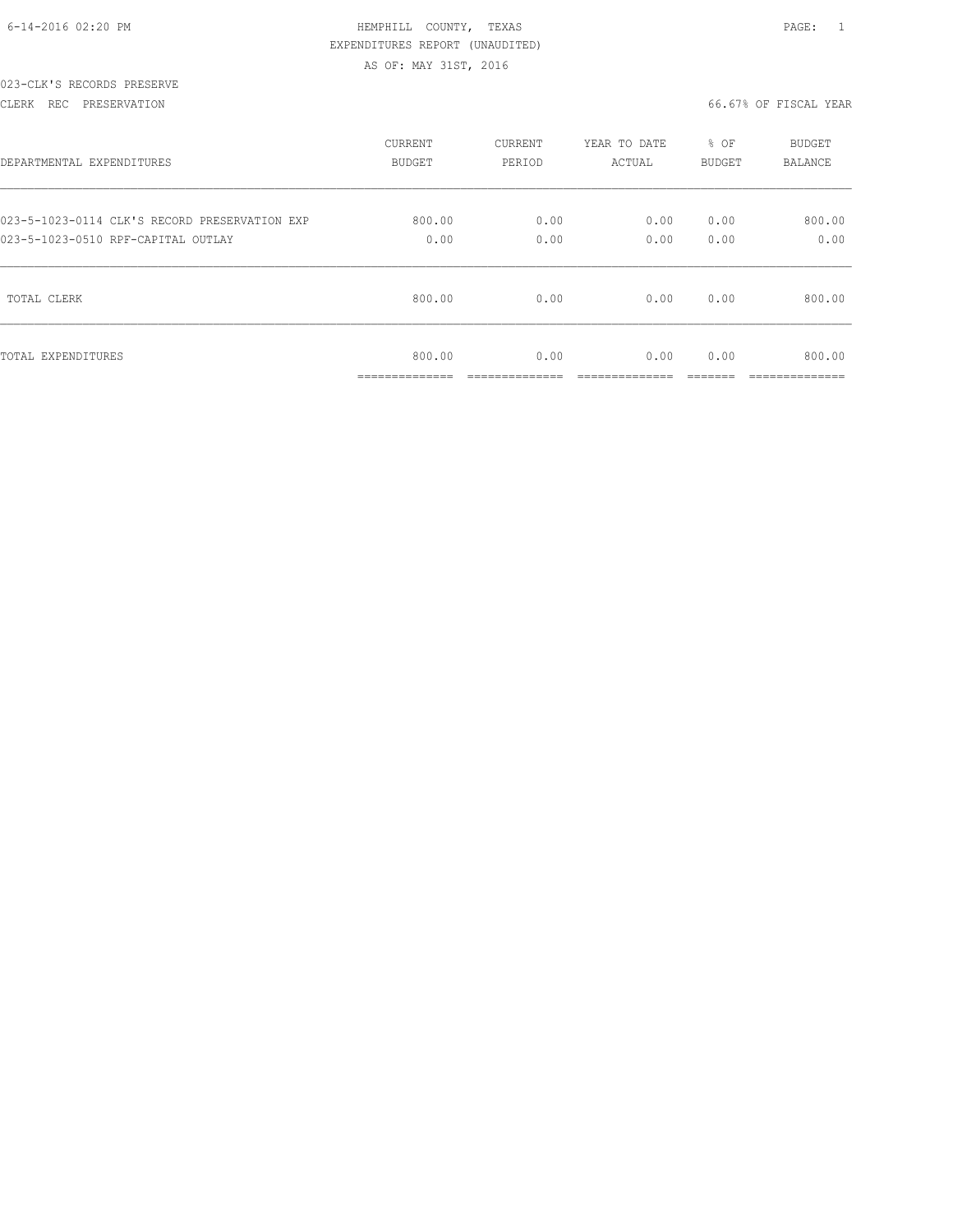|  | 6-14-2016 02:20 PM |  |
|--|--------------------|--|

# HEMPHILL COUNTY, TEXAS **Example 20:20 PAGE:** 1 EXPENDITURES REPORT (UNAUDITED) AS OF: MAY 31ST, 2016

#### 023-CLK'S RECORDS PRESERVE

#### CLERK REC PRESERVATION 66.67% OF FISCAL YEAR

| DEPARTMENTAL EXPENDITURES                     | <b>CURRENT</b>          | CURRENT                | YEAR TO DATE            | % OF   | BUDGET                    |
|-----------------------------------------------|-------------------------|------------------------|-------------------------|--------|---------------------------|
|                                               | <b>BUDGET</b>           | PERIOD                 | ACTUAL                  | BUDGET | BALANCE                   |
| 023-5-1023-0114 CLK'S RECORD PRESERVATION EXP | 800.00                  | 0.00                   | 0.00                    | 0.00   | 800.00                    |
| 023-5-1023-0510 RPF-CAPITAL OUTLAY            | 0.00                    | 0.00                   | 0.00                    | 0.00   | 0.00                      |
| TOTAL CLERK                                   | 800.00                  | 0.00                   | 0.00                    | 0.00   | 800.00                    |
| TOTAL EXPENDITURES                            | 800.00<br>_____________ | 0.00<br>______________ | 0.00<br>--------------- | 0.00   | 800.00<br>--------------- |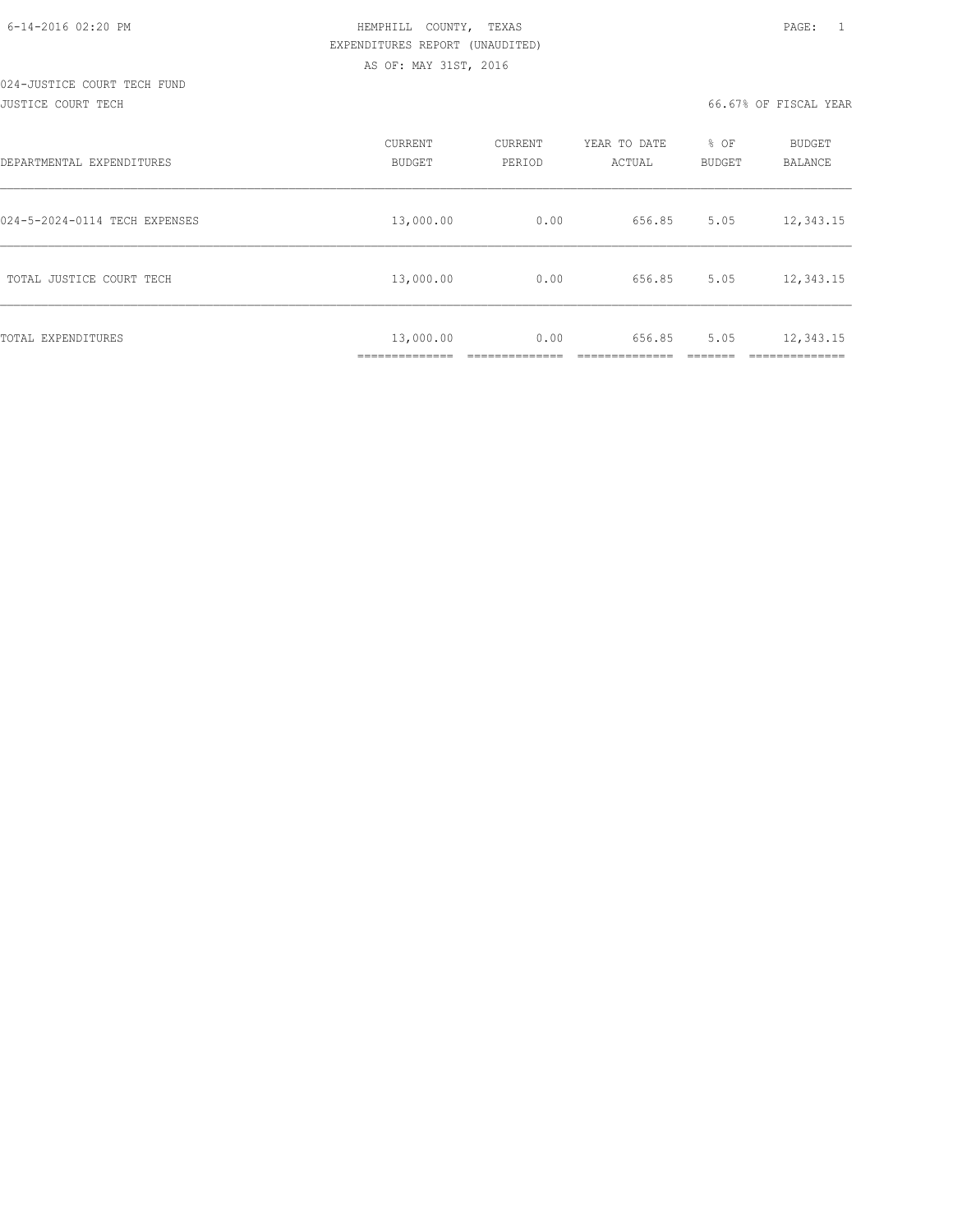#### 024-JUSTICE COURT TECH FUND JUSTICE COURT TECH 66.67% OF FISCAL YEAR

| DEPARTMENTAL EXPENDITURES     | CURRENT<br><b>BUDGET</b>        | CURRENT<br>PERIOD | YEAR TO DATE<br>ACTUAL | % OF<br><b>BUDGET</b> | BUDGET<br>BALANCE       |
|-------------------------------|---------------------------------|-------------------|------------------------|-----------------------|-------------------------|
| 024-5-2024-0114 TECH EXPENSES | 13,000.00                       | 0.00              | 656.85                 | 5.05                  | 12,343.15               |
| TOTAL JUSTICE COURT TECH      | 13,000.00                       | 0.00              | 656.85                 | 5.05                  | 12,343.15               |
| TOTAL EXPENDITURES            | 13,000.00<br>-------------<br>. | 0.00              | 656.85                 | 5.05                  | 12,343.15<br>__________ |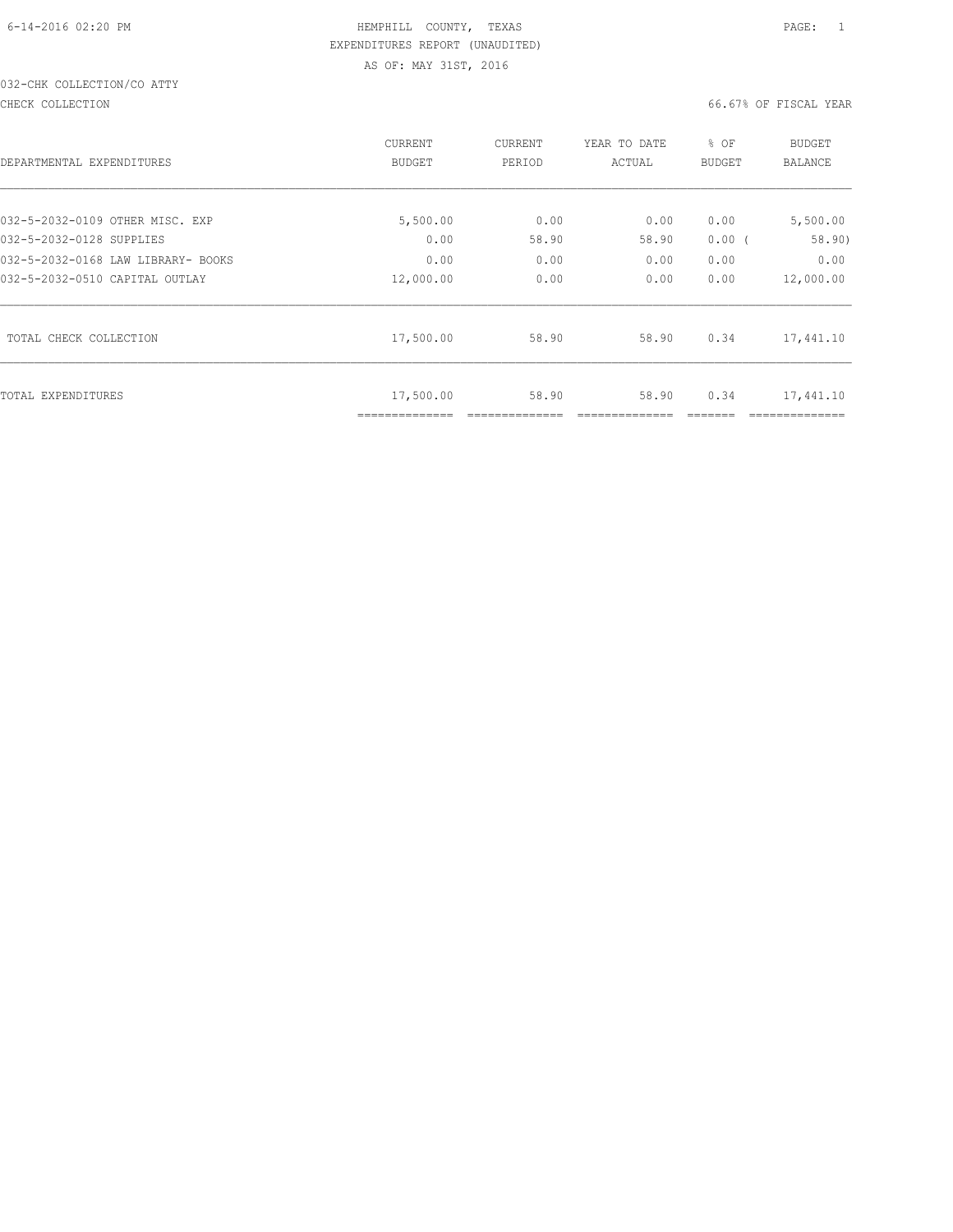# 032-CHK COLLECTION/CO ATTY

#### CHECK COLLECTION 66.67% OF FISCAL YEAR

| DEPARTMENTAL EXPENDITURES          | <b>CURRENT</b><br><b>BUDGET</b> | CURRENT<br>PERIOD | YEAR TO DATE<br>ACTUAL | % OF<br>BUDGET | <b>BUDGET</b><br><b>BALANCE</b> |
|------------------------------------|---------------------------------|-------------------|------------------------|----------------|---------------------------------|
| 032-5-2032-0109 OTHER MISC. EXP    | 5,500.00                        | 0.00              | 0.00                   | 0.00           | 5,500.00                        |
| 032-5-2032-0128 SUPPLIES           | 0.00                            | 58.90             | 58.90                  | 0.00(          | 58.90)                          |
| 032-5-2032-0168 LAW LIBRARY- BOOKS | 0.00                            | 0.00              | 0.00                   | 0.00           | 0.00                            |
| 032-5-2032-0510 CAPITAL OUTLAY     | 12,000.00                       | 0.00              | 0.00                   | 0.00           | 12,000.00                       |
| TOTAL CHECK COLLECTION             | 17,500.00                       | 58.90             | 58.90                  | 0.34           | 17,441.10                       |
| TOTAL EXPENDITURES                 | 17,500.00<br>==============     | 58.90             | 58.90                  | 0.34           | 17,441.10                       |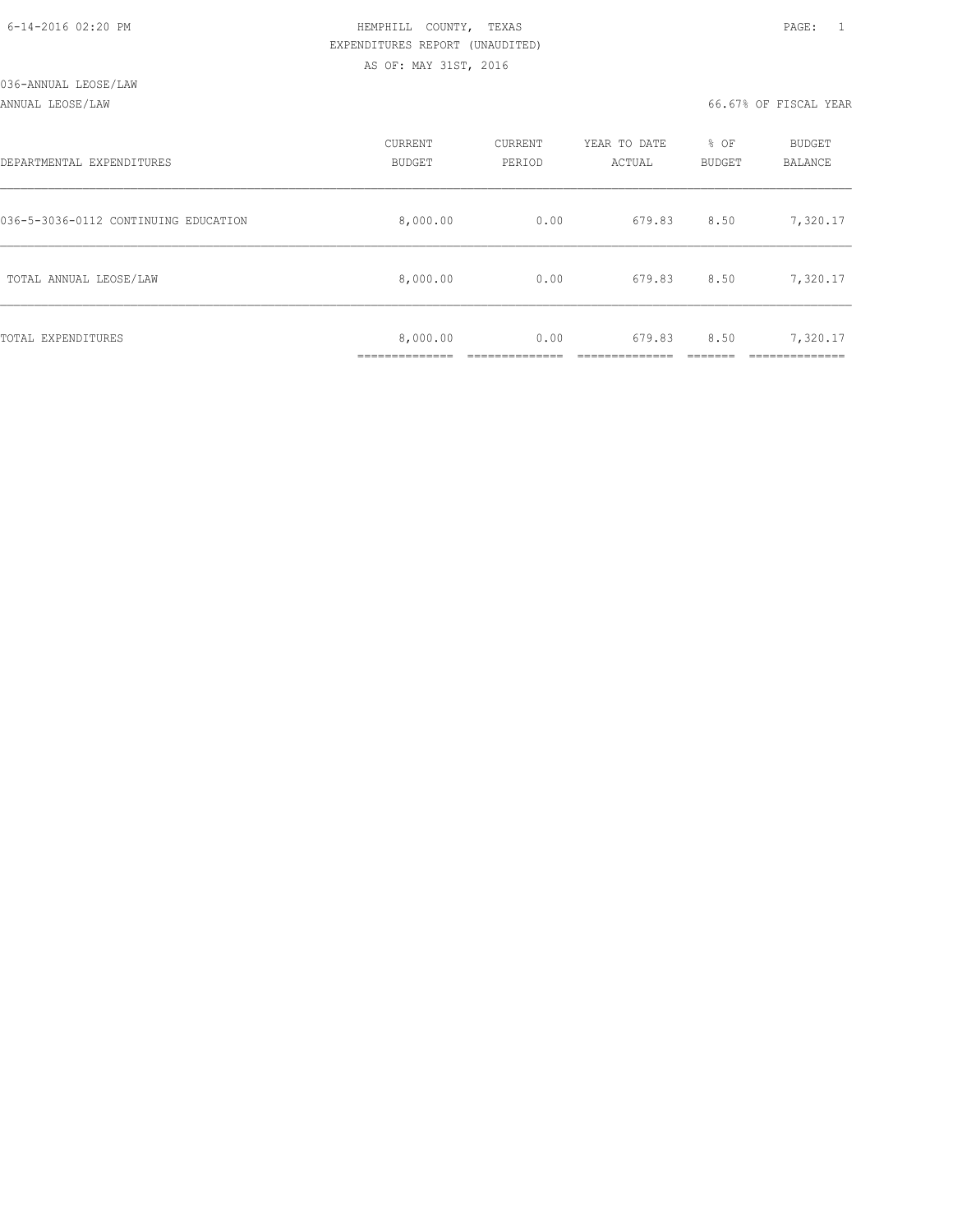|  | 6-14-2016 02:20 PM |  |
|--|--------------------|--|

# HEMPHILL COUNTY, TEXAS **PAGE:** 1 EXPENDITURES REPORT (UNAUDITED) AS OF: MAY 31ST, 2016

#### ANNUAL LEOSE/LAW 66.67% OF FISCAL YEAR

| DEPARTMENTAL EXPENDITURES            | CURRENT<br><b>BUDGET</b> | CURRENT<br>PERIOD | YEAR TO DATE<br>ACTUAL | % OF<br>BUDGET | BUDGET<br><b>BALANCE</b> |
|--------------------------------------|--------------------------|-------------------|------------------------|----------------|--------------------------|
| 036-5-3036-0112 CONTINUING EDUCATION | 8,000.00                 | 0.00              | 679.83                 | 8.50           | 7,320.17                 |
| TOTAL ANNUAL LEOSE/LAW               | 8,000.00                 | 0.00              | 679.83                 | 8.50           | 7,320.17                 |
| TOTAL EXPENDITURES                   | 8,000.00                 | 0.00              | 679.83                 | 8.50           | 7,320.17                 |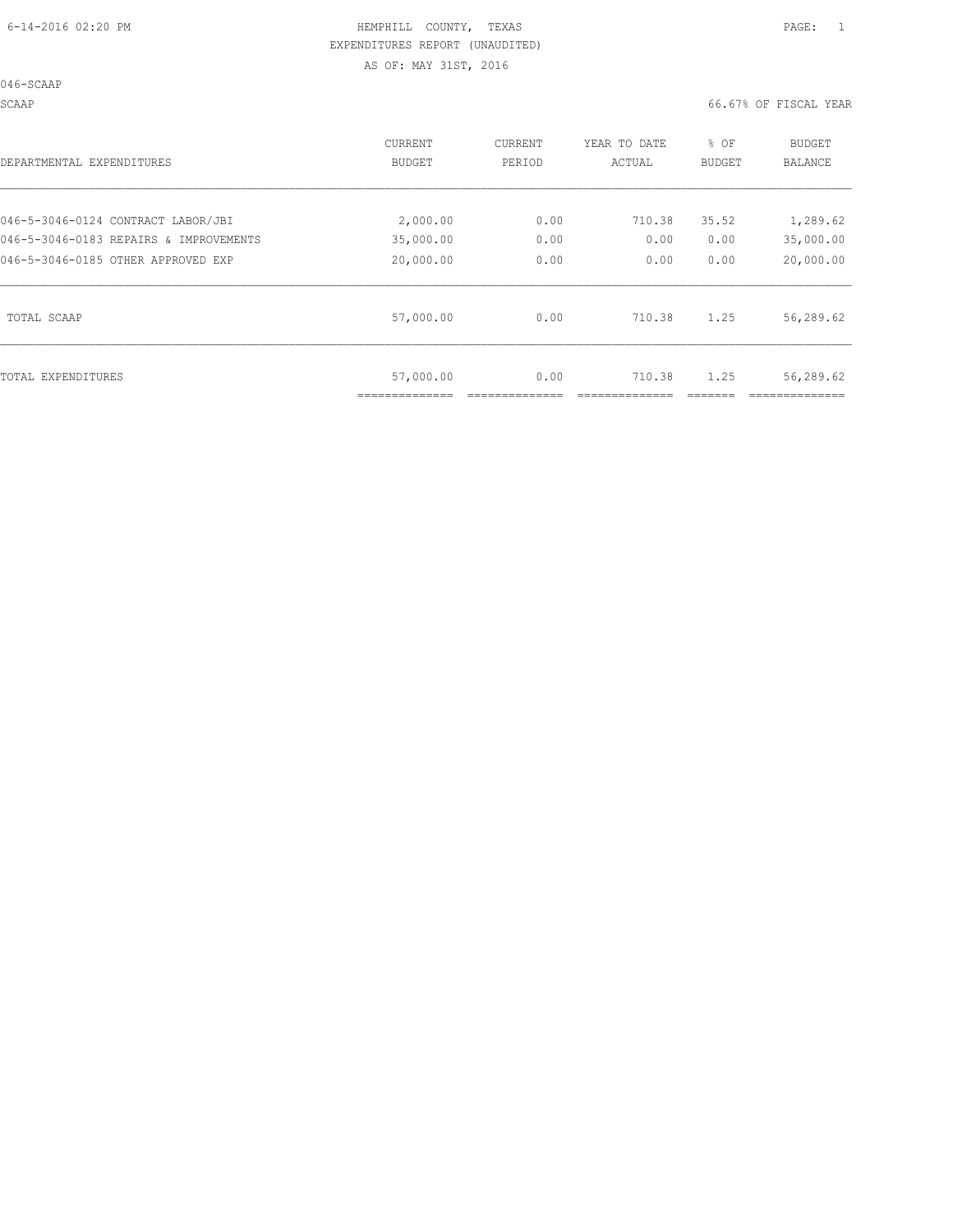046-SCAAP

SCAAP 66.67% OF FISCAL YEAR

| DEPARTMENTAL EXPENDITURES              | <b>CURRENT</b><br>BUDGET | CURRENT<br>PERIOD | YEAR TO DATE<br>ACTUAL | % OF<br>BUDGET | <b>BUDGET</b><br><b>BALANCE</b> |
|----------------------------------------|--------------------------|-------------------|------------------------|----------------|---------------------------------|
| 046-5-3046-0124 CONTRACT LABOR/JBI     | 2,000.00                 | 0.00              | 710.38                 | 35.52          | 1,289.62                        |
| 046-5-3046-0183 REPAIRS & IMPROVEMENTS | 35,000.00                | 0.00              | 0.00                   | 0.00           | 35,000.00                       |
| 046-5-3046-0185 OTHER APPROVED EXP     | 20,000.00                | 0.00              | 0.00                   | 0.00           | 20,000.00                       |
| TOTAL SCAAP                            | 57,000.00                | 0.00              | 710.38                 | 1.25           | 56,289.62                       |
| TOTAL EXPENDITURES                     | 57,000.00                | 0.00              | 710.38                 | 1.25           | 56,289.62                       |